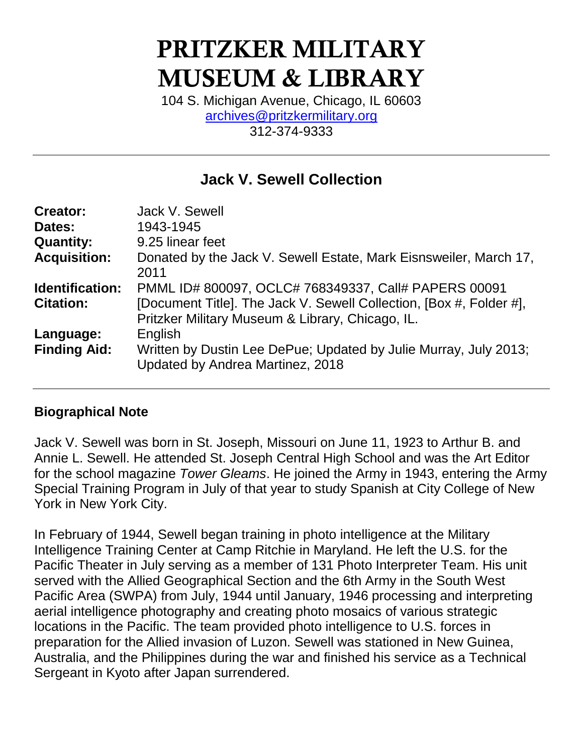# PRITZKER MILITARY MUSEUM & LIBRARY

104 S. Michigan Avenue, Chicago, IL 60603 [archives@pritzkermilitary.org](mailto:archives@pritzkermilitary.org) 312-374-9333

# **Jack V. Sewell Collection**

| Jack V. Sewell                                                                                                          |
|-------------------------------------------------------------------------------------------------------------------------|
| 1943-1945                                                                                                               |
| 9.25 linear feet                                                                                                        |
| Donated by the Jack V. Sewell Estate, Mark Eisnsweiler, March 17,<br>2011                                               |
| PMML ID# 800097, OCLC# 768349337, Call# PAPERS 00091                                                                    |
| [Document Title]. The Jack V. Sewell Collection, [Box #, Folder #],<br>Pritzker Military Museum & Library, Chicago, IL. |
| English                                                                                                                 |
| Written by Dustin Lee DePue; Updated by Julie Murray, July 2013;<br>Updated by Andrea Martinez, 2018                    |
|                                                                                                                         |

#### **Biographical Note**

Jack V. Sewell was born in St. Joseph, Missouri on June 11, 1923 to Arthur B. and Annie L. Sewell. He attended St. Joseph Central High School and was the Art Editor for the school magazine *Tower Gleams*. He joined the Army in 1943, entering the Army Special Training Program in July of that year to study Spanish at City College of New York in New York City.

In February of 1944, Sewell began training in photo intelligence at the Military Intelligence Training Center at Camp Ritchie in Maryland. He left the U.S. for the Pacific Theater in July serving as a member of 131 Photo Interpreter Team. His unit served with the Allied Geographical Section and the 6th Army in the South West Pacific Area (SWPA) from July, 1944 until January, 1946 processing and interpreting aerial intelligence photography and creating photo mosaics of various strategic locations in the Pacific. The team provided photo intelligence to U.S. forces in preparation for the Allied invasion of Luzon. Sewell was stationed in New Guinea, Australia, and the Philippines during the war and finished his service as a Technical Sergeant in Kyoto after Japan surrendered.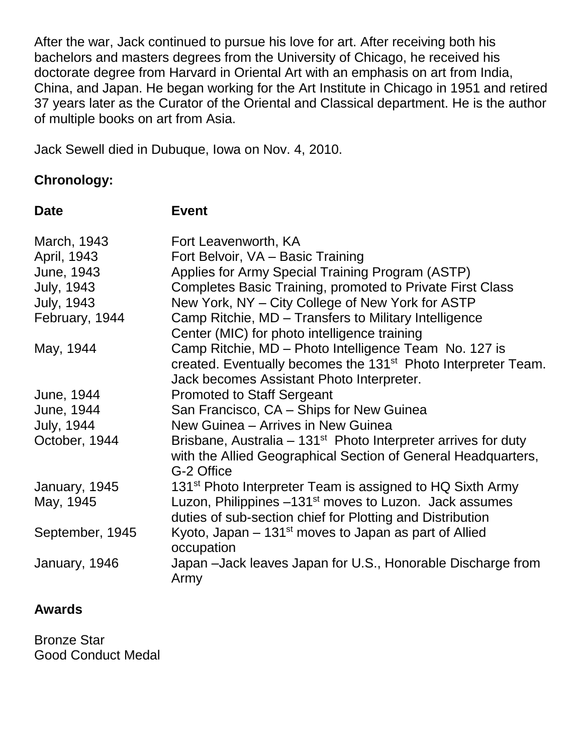After the war, Jack continued to pursue his love for art. After receiving both his bachelors and masters degrees from the University of Chicago, he received his doctorate degree from Harvard in Oriental Art with an emphasis on art from India, China, and Japan. He began working for the Art Institute in Chicago in 1951 and retired 37 years later as the Curator of the Oriental and Classical department. He is the author of multiple books on art from Asia.

Jack Sewell died in Dubuque, Iowa on Nov. 4, 2010.

#### **Chronology:**

| <b>Date</b>       | <b>Event</b>                                                              |
|-------------------|---------------------------------------------------------------------------|
| March, 1943       | Fort Leavenworth, KA                                                      |
| April, 1943       | Fort Belvoir, VA - Basic Training                                         |
| June, 1943        | Applies for Army Special Training Program (ASTP)                          |
| <b>July, 1943</b> | <b>Completes Basic Training, promoted to Private First Class</b>          |
| <b>July, 1943</b> | New York, NY - City College of New York for ASTP                          |
| February, 1944    | Camp Ritchie, MD – Transfers to Military Intelligence                     |
|                   | Center (MIC) for photo intelligence training                              |
| May, 1944         | Camp Ritchie, MD - Photo Intelligence Team No. 127 is                     |
|                   | created. Eventually becomes the 131 <sup>st</sup> Photo Interpreter Team. |
|                   | Jack becomes Assistant Photo Interpreter.                                 |
| June, 1944        | <b>Promoted to Staff Sergeant</b>                                         |
| June, 1944        | San Francisco, CA - Ships for New Guinea                                  |
| <b>July, 1944</b> | New Guinea - Arrives in New Guinea                                        |
| October, 1944     | Brisbane, Australia – $131st$ Photo Interpreter arrives for duty          |
|                   | with the Allied Geographical Section of General Headquarters,             |
|                   | G-2 Office                                                                |
| January, 1945     | 131 <sup>st</sup> Photo Interpreter Team is assigned to HQ Sixth Army     |
| May, 1945         | Luzon, Philippines -131 <sup>st</sup> moves to Luzon. Jack assumes        |
|                   | duties of sub-section chief for Plotting and Distribution                 |
| September, 1945   | Kyoto, Japan $-131st$ moves to Japan as part of Allied<br>occupation      |
| January, 1946     | Japan -Jack leaves Japan for U.S., Honorable Discharge from<br>Army       |

#### **Awards**

Bronze Star Good Conduct Medal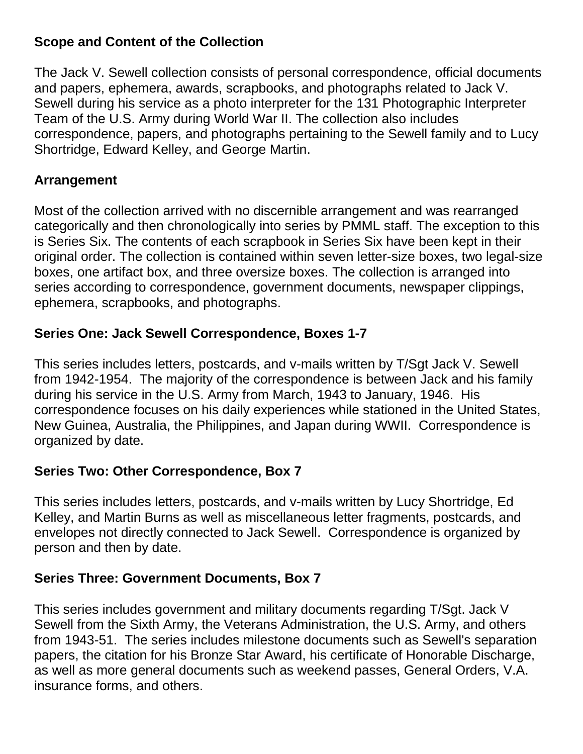#### **Scope and Content of the Collection**

The Jack V. Sewell collection consists of personal correspondence, official documents and papers, ephemera, awards, scrapbooks, and photographs related to Jack V. Sewell during his service as a photo interpreter for the 131 Photographic Interpreter Team of the U.S. Army during World War II. The collection also includes correspondence, papers, and photographs pertaining to the Sewell family and to Lucy Shortridge, Edward Kelley, and George Martin.

#### **Arrangement**

Most of the collection arrived with no discernible arrangement and was rearranged categorically and then chronologically into series by PMML staff. The exception to this is Series Six. The contents of each scrapbook in Series Six have been kept in their original order. The collection is contained within seven letter-size boxes, two legal-size boxes, one artifact box, and three oversize boxes. The collection is arranged into series according to correspondence, government documents, newspaper clippings, ephemera, scrapbooks, and photographs.

## **Series One: Jack Sewell Correspondence, Boxes 1-7**

This series includes letters, postcards, and v-mails written by T/Sgt Jack V. Sewell from 1942-1954. The majority of the correspondence is between Jack and his family during his service in the U.S. Army from March, 1943 to January, 1946. His correspondence focuses on his daily experiences while stationed in the United States, New Guinea, Australia, the Philippines, and Japan during WWII. Correspondence is organized by date.

## **Series Two: Other Correspondence, Box 7**

This series includes letters, postcards, and v-mails written by Lucy Shortridge, Ed Kelley, and Martin Burns as well as miscellaneous letter fragments, postcards, and envelopes not directly connected to Jack Sewell. Correspondence is organized by person and then by date.

## **Series Three: Government Documents, Box 7**

This series includes government and military documents regarding T/Sgt. Jack V Sewell from the Sixth Army, the Veterans Administration, the U.S. Army, and others from 1943-51. The series includes milestone documents such as Sewell's separation papers, the citation for his Bronze Star Award, his certificate of Honorable Discharge, as well as more general documents such as weekend passes, General Orders, V.A. insurance forms, and others.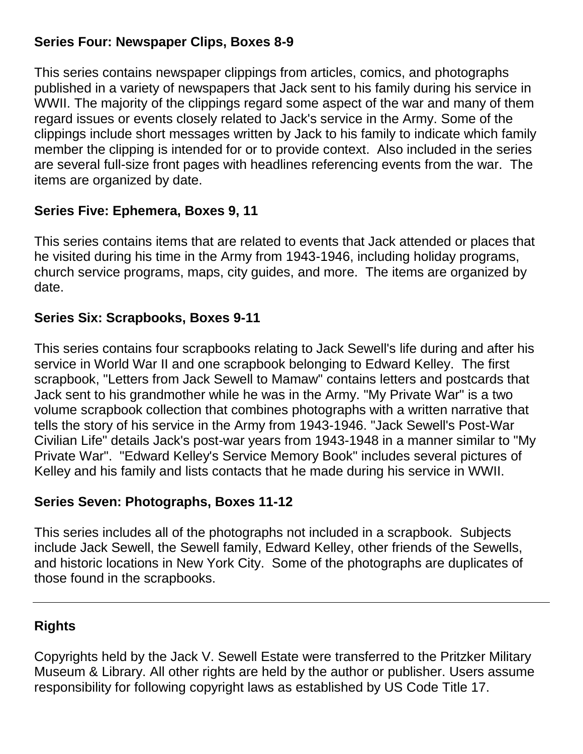#### **Series Four: Newspaper Clips, Boxes 8-9**

This series contains newspaper clippings from articles, comics, and photographs published in a variety of newspapers that Jack sent to his family during his service in WWII. The majority of the clippings regard some aspect of the war and many of them regard issues or events closely related to Jack's service in the Army. Some of the clippings include short messages written by Jack to his family to indicate which family member the clipping is intended for or to provide context. Also included in the series are several full-size front pages with headlines referencing events from the war. The items are organized by date.

#### **Series Five: Ephemera, Boxes 9, 11**

This series contains items that are related to events that Jack attended or places that he visited during his time in the Army from 1943-1946, including holiday programs, church service programs, maps, city guides, and more. The items are organized by date.

## **Series Six: Scrapbooks, Boxes 9-11**

This series contains four scrapbooks relating to Jack Sewell's life during and after his service in World War II and one scrapbook belonging to Edward Kelley. The first scrapbook, "Letters from Jack Sewell to Mamaw" contains letters and postcards that Jack sent to his grandmother while he was in the Army. "My Private War" is a two volume scrapbook collection that combines photographs with a written narrative that tells the story of his service in the Army from 1943-1946. "Jack Sewell's Post-War Civilian Life" details Jack's post-war years from 1943-1948 in a manner similar to "My Private War". "Edward Kelley's Service Memory Book" includes several pictures of Kelley and his family and lists contacts that he made during his service in WWII.

## **Series Seven: Photographs, Boxes 11-12**

This series includes all of the photographs not included in a scrapbook. Subjects include Jack Sewell, the Sewell family, Edward Kelley, other friends of the Sewells, and historic locations in New York City. Some of the photographs are duplicates of those found in the scrapbooks.

#### **Rights**

Copyrights held by the Jack V. Sewell Estate were transferred to the Pritzker Military Museum & Library. All other rights are held by the author or publisher. Users assume responsibility for following copyright laws as established by US Code Title 17.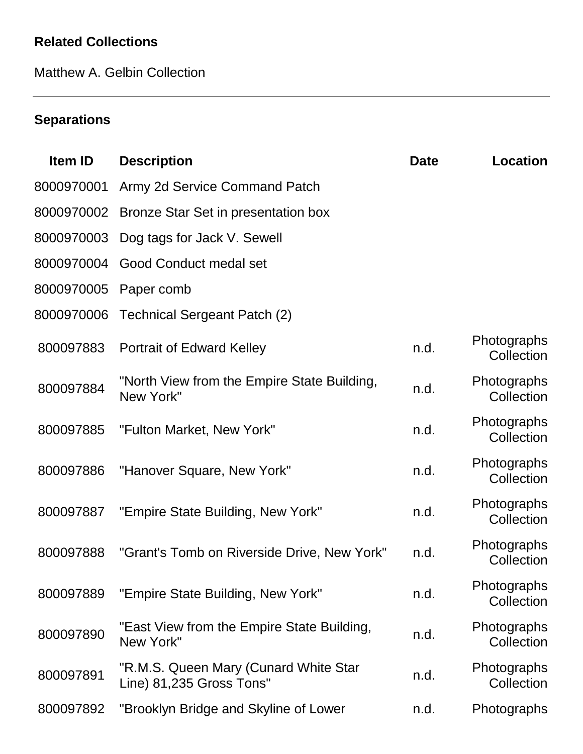# **Related Collections**

Matthew A. Gelbin Collection

# **Separations**

| <b>Item ID</b> | <b>Description</b>                                                | <b>Date</b> | <b>Location</b>           |
|----------------|-------------------------------------------------------------------|-------------|---------------------------|
| 8000970001     | Army 2d Service Command Patch                                     |             |                           |
| 8000970002     | Bronze Star Set in presentation box                               |             |                           |
| 8000970003     | Dog tags for Jack V. Sewell                                       |             |                           |
| 8000970004     | <b>Good Conduct medal set</b>                                     |             |                           |
| 8000970005     | Paper comb                                                        |             |                           |
| 8000970006     | <b>Technical Sergeant Patch (2)</b>                               |             |                           |
| 800097883      | <b>Portrait of Edward Kelley</b>                                  | n.d.        | Photographs<br>Collection |
| 800097884      | "North View from the Empire State Building,<br>New York"          | n.d.        | Photographs<br>Collection |
| 800097885      | "Fulton Market, New York"                                         | n.d.        | Photographs<br>Collection |
| 800097886      | "Hanover Square, New York"                                        | n.d.        | Photographs<br>Collection |
| 800097887      | "Empire State Building, New York"                                 | n.d.        | Photographs<br>Collection |
| 800097888      | "Grant's Tomb on Riverside Drive, New York"                       | n.d.        | Photographs<br>Collection |
| 800097889      | "Empire State Building, New York"                                 | n.d.        | Photographs<br>Collection |
| 800097890      | "East View from the Empire State Building,<br>New York"           | n.d.        | Photographs<br>Collection |
| 800097891      | "R.M.S. Queen Mary (Cunard White Star<br>Line) 81,235 Gross Tons" | n.d.        | Photographs<br>Collection |
| 800097892      | "Brooklyn Bridge and Skyline of Lower                             | n.d.        | Photographs               |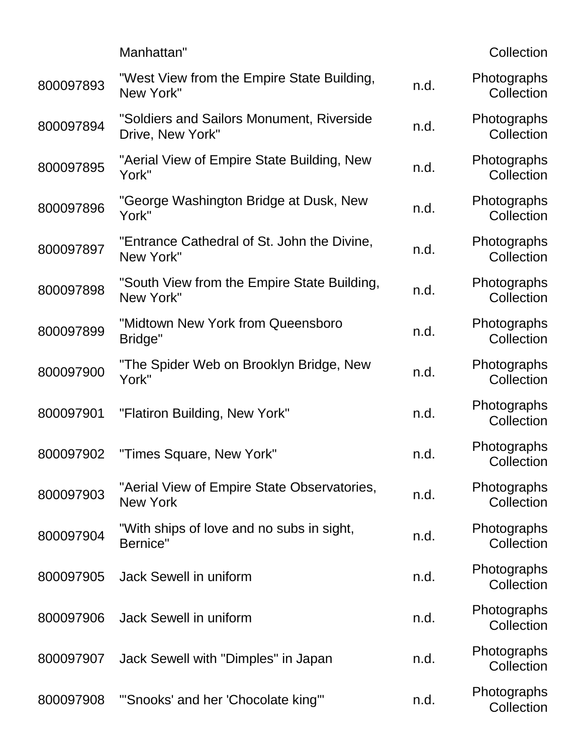|           | Manhattan"                                                     |      | Collection                |
|-----------|----------------------------------------------------------------|------|---------------------------|
| 800097893 | "West View from the Empire State Building,<br>New York"        | n.d. | Photographs<br>Collection |
| 800097894 | "Soldiers and Sailors Monument, Riverside<br>Drive, New York"  | n.d. | Photographs<br>Collection |
| 800097895 | "Aerial View of Empire State Building, New<br>York"            | n.d. | Photographs<br>Collection |
| 800097896 | "George Washington Bridge at Dusk, New<br>York"                | n.d. | Photographs<br>Collection |
| 800097897 | "Entrance Cathedral of St. John the Divine,<br>New York"       | n.d. | Photographs<br>Collection |
| 800097898 | "South View from the Empire State Building,<br>New York"       | n.d. | Photographs<br>Collection |
| 800097899 | "Midtown New York from Queensboro<br>Bridge"                   | n.d. | Photographs<br>Collection |
| 800097900 | "The Spider Web on Brooklyn Bridge, New<br>York"               | n.d. | Photographs<br>Collection |
| 800097901 | "Flatiron Building, New York"                                  | n.d. | Photographs<br>Collection |
| 800097902 | "Times Square, New York"                                       | n.d. | Photographs<br>Collection |
| 800097903 | "Aerial View of Empire State Observatories,<br><b>New York</b> | n.d. | Photographs<br>Collection |
| 800097904 | "With ships of love and no subs in sight,<br>Bernice"          | n.d. | Photographs<br>Collection |
| 800097905 | Jack Sewell in uniform                                         | n.d. | Photographs<br>Collection |
| 800097906 | Jack Sewell in uniform                                         | n.d. | Photographs<br>Collection |
| 800097907 | Jack Sewell with "Dimples" in Japan                            | n.d. | Photographs<br>Collection |
| 800097908 | "'Snooks' and her 'Chocolate king'"                            | n.d. | Photographs<br>Collection |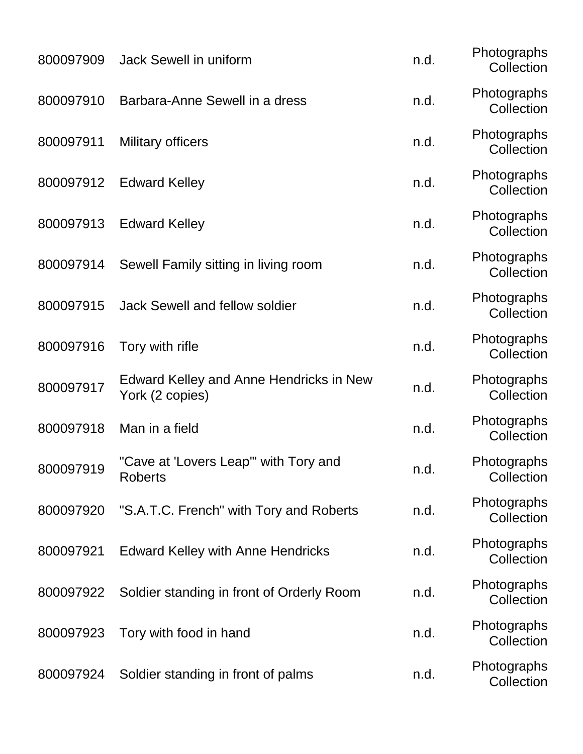| 800097909 | Jack Sewell in uniform                                            | n.d. | Photographs<br>Collection |
|-----------|-------------------------------------------------------------------|------|---------------------------|
| 800097910 | Barbara-Anne Sewell in a dress                                    | n.d. | Photographs<br>Collection |
| 800097911 | <b>Military officers</b>                                          | n.d. | Photographs<br>Collection |
| 800097912 | <b>Edward Kelley</b>                                              | n.d. | Photographs<br>Collection |
| 800097913 | <b>Edward Kelley</b>                                              | n.d. | Photographs<br>Collection |
| 800097914 | Sewell Family sitting in living room                              | n.d. | Photographs<br>Collection |
| 800097915 | <b>Jack Sewell and fellow soldier</b>                             | n.d. | Photographs<br>Collection |
| 800097916 | Tory with rifle                                                   | n.d. | Photographs<br>Collection |
| 800097917 | <b>Edward Kelley and Anne Hendricks in New</b><br>York (2 copies) | n.d. | Photographs<br>Collection |
| 800097918 | Man in a field                                                    | n.d. | Photographs<br>Collection |
| 800097919 | "Cave at 'Lovers Leap'" with Tory and<br><b>Roberts</b>           | n.d  | Photographs<br>Collection |
| 800097920 | "S.A.T.C. French" with Tory and Roberts                           | n.d. | Photographs<br>Collection |
| 800097921 | <b>Edward Kelley with Anne Hendricks</b>                          | n.d. | Photographs<br>Collection |
| 800097922 | Soldier standing in front of Orderly Room                         | n.d. | Photographs<br>Collection |
| 800097923 | Tory with food in hand                                            | n.d. | Photographs<br>Collection |
| 800097924 | Soldier standing in front of palms                                | n.d. | Photographs<br>Collection |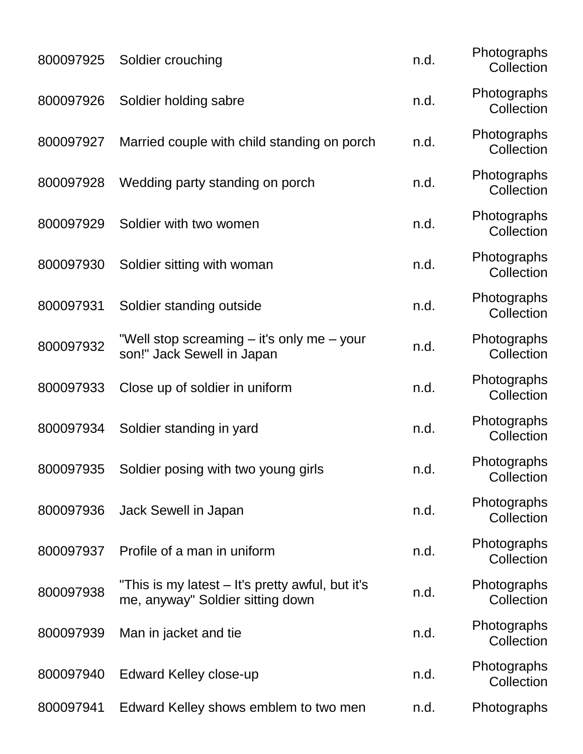| 800097925 | Soldier crouching                                                                    | n.d. | Photographs<br>Collection |
|-----------|--------------------------------------------------------------------------------------|------|---------------------------|
| 800097926 | Soldier holding sabre                                                                | n.d. | Photographs<br>Collection |
| 800097927 | Married couple with child standing on porch                                          | n.d. | Photographs<br>Collection |
| 800097928 | Wedding party standing on porch                                                      | n.d. | Photographs<br>Collection |
| 800097929 | Soldier with two women                                                               | n.d. | Photographs<br>Collection |
| 800097930 | Soldier sitting with woman                                                           | n.d. | Photographs<br>Collection |
| 800097931 | Soldier standing outside                                                             | n.d. | Photographs<br>Collection |
| 800097932 | "Well stop screaming – it's only me – your<br>son!" Jack Sewell in Japan             | n.d. | Photographs<br>Collection |
| 800097933 | Close up of soldier in uniform                                                       | n.d. | Photographs<br>Collection |
| 800097934 | Soldier standing in yard                                                             | n.d. | Photographs<br>Collection |
| 800097935 | Soldier posing with two young girls                                                  | n.d  | Photographs<br>Collection |
| 800097936 | Jack Sewell in Japan                                                                 | n.d. | Photographs<br>Collection |
| 800097937 | Profile of a man in uniform                                                          | n.d. | Photographs<br>Collection |
| 800097938 | "This is my latest – It's pretty awful, but it's<br>me, anyway" Soldier sitting down | n.d. | Photographs<br>Collection |
| 800097939 | Man in jacket and tie                                                                | n.d. | Photographs<br>Collection |
| 800097940 | <b>Edward Kelley close-up</b>                                                        | n.d. | Photographs<br>Collection |
| 800097941 | Edward Kelley shows emblem to two men                                                | n.d. | Photographs               |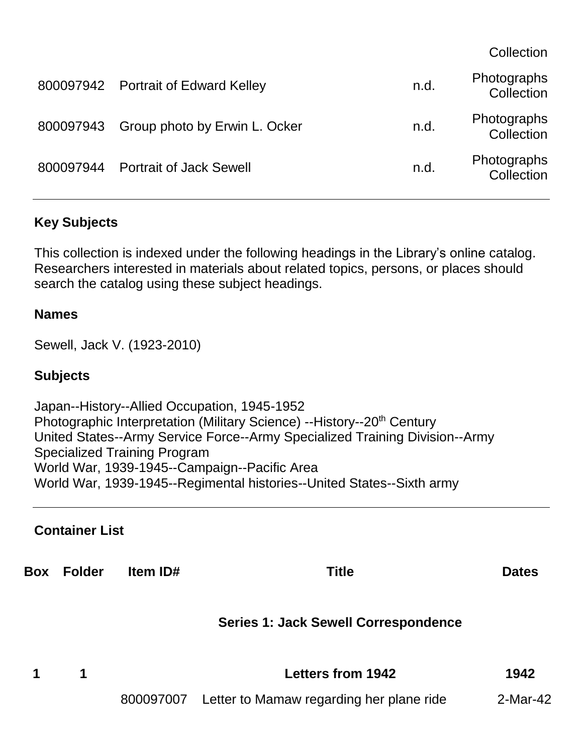**Collection** 

|           | 800097942 Portrait of Edward Kelley     | n.d. | Photographs<br>Collection |
|-----------|-----------------------------------------|------|---------------------------|
|           | 800097943 Group photo by Erwin L. Ocker | n.d. | Photographs<br>Collection |
| 800097944 | <b>Portrait of Jack Sewell</b>          | n.d. | Photographs<br>Collection |

#### **Key Subjects**

This collection is indexed under the following headings in the Library's online catalog. Researchers interested in materials about related topics, persons, or places should search the catalog using these subject headings.

#### **Names**

Sewell, Jack V. (1923-2010)

#### **Subjects**

Japan--History--Allied Occupation, 1945-1952 Photographic Interpretation (Military Science) --History--20<sup>th</sup> Century United States--Army Service Force--Army Specialized Training Division--Army Specialized Training Program World War, 1939-1945--Campaign--Pacific Area World War, 1939-1945--Regimental histories--United States--Sixth army

#### **Container List**

**Box Folder Item ID# Title Dates Series 1: Jack Sewell Correspondence 1 1 Letters from 1942 1942** 800097007 Letter to Mamaw regarding her plane ride 2-Mar-42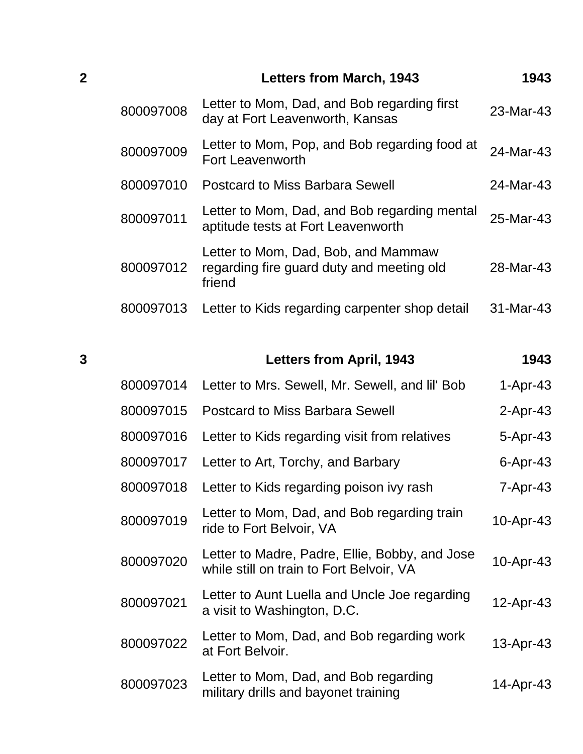| $\overline{2}$ |           | <b>Letters from March, 1943</b>                                                            | 1943        |
|----------------|-----------|--------------------------------------------------------------------------------------------|-------------|
|                | 800097008 | Letter to Mom, Dad, and Bob regarding first<br>day at Fort Leavenworth, Kansas             | $23-Mar-43$ |
|                | 800097009 | Letter to Mom, Pop, and Bob regarding food at<br><b>Fort Leavenworth</b>                   | 24-Mar-43   |
|                | 800097010 | <b>Postcard to Miss Barbara Sewell</b>                                                     | 24-Mar-43   |
|                | 800097011 | Letter to Mom, Dad, and Bob regarding mental<br>aptitude tests at Fort Leavenworth         | 25-Mar-43   |
|                | 800097012 | Letter to Mom, Dad, Bob, and Mammaw<br>regarding fire guard duty and meeting old<br>friend | 28-Mar-43   |
|                | 800097013 | Letter to Kids regarding carpenter shop detail                                             | 31-Mar-43   |

| 3 |           | <b>Letters from April, 1943</b>                                                            | 1943            |
|---|-----------|--------------------------------------------------------------------------------------------|-----------------|
|   | 800097014 | Letter to Mrs. Sewell, Mr. Sewell, and Iil' Bob                                            | $1-Apr-43$      |
|   | 800097015 | <b>Postcard to Miss Barbara Sewell</b>                                                     | $2-Apr-43$      |
|   | 800097016 | Letter to Kids regarding visit from relatives                                              | 5-Apr-43        |
|   | 800097017 | Letter to Art, Torchy, and Barbary                                                         | $6 -$ Apr $-43$ |
|   | 800097018 | Letter to Kids regarding poison ivy rash                                                   | 7-Apr-43        |
|   | 800097019 | Letter to Mom, Dad, and Bob regarding train<br>ride to Fort Belvoir, VA                    | 10-Apr-43       |
|   | 800097020 | Letter to Madre, Padre, Ellie, Bobby, and Jose<br>while still on train to Fort Belvoir, VA | 10-Apr-43       |
|   | 800097021 | Letter to Aunt Luella and Uncle Joe regarding<br>a visit to Washington, D.C.               | 12-Apr-43       |
|   | 800097022 | Letter to Mom, Dad, and Bob regarding work<br>at Fort Belvoir.                             | 13-Apr-43       |
|   | 800097023 | Letter to Mom, Dad, and Bob regarding<br>military drills and bayonet training              | 14-Apr-43       |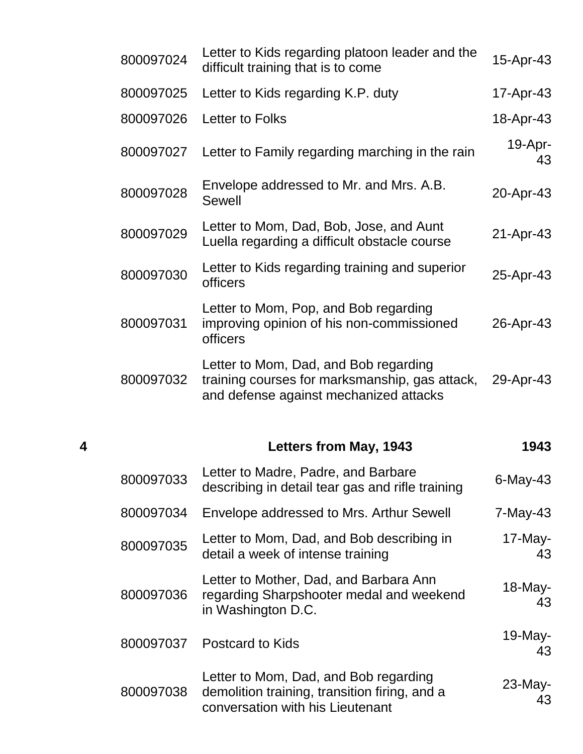|   | 800097024 | Letter to Kids regarding platoon leader and the<br>difficult training that is to come                                             | 15-Apr-43        |
|---|-----------|-----------------------------------------------------------------------------------------------------------------------------------|------------------|
|   | 800097025 | Letter to Kids regarding K.P. duty                                                                                                | 17-Apr-43        |
|   | 800097026 | Letter to Folks                                                                                                                   | 18-Apr-43        |
|   | 800097027 | Letter to Family regarding marching in the rain                                                                                   | 19-Apr-<br>43    |
|   | 800097028 | Envelope addressed to Mr. and Mrs. A.B.<br><b>Sewell</b>                                                                          | 20-Apr-43        |
|   | 800097029 | Letter to Mom, Dad, Bob, Jose, and Aunt<br>Luella regarding a difficult obstacle course                                           | 21-Apr-43        |
|   | 800097030 | Letter to Kids regarding training and superior<br>officers                                                                        | 25-Apr-43        |
|   | 800097031 | Letter to Mom, Pop, and Bob regarding<br>improving opinion of his non-commissioned<br>officers                                    | 26-Apr-43        |
|   | 800097032 | Letter to Mom, Dad, and Bob regarding<br>training courses for marksmanship, gas attack,<br>and defense against mechanized attacks | 29-Apr-43        |
| 4 |           | Letters from May, 1943                                                                                                            | 1943             |
|   | 800097033 | Letter to Madre, Padre, and Barbare<br>describing in detail tear gas and rifle training                                           | $6$ -May-43      |
|   | 800097034 | Envelope addressed to Mrs. Arthur Sewell                                                                                          | 7-May-43         |
|   | 800097035 | Letter to Mom, Dad, and Bob describing in<br>detail a week of intense training                                                    | 17-May-<br>43    |
|   | 800097036 | Letter to Mother, Dad, and Barbara Ann<br>regarding Sharpshooter medal and weekend<br>in Washington D.C.                          | $18$ -May-<br>43 |
|   | 800097037 | <b>Postcard to Kids</b>                                                                                                           | 19-May-<br>43    |
|   | 800097038 | Letter to Mom, Dad, and Bob regarding<br>demolition training, transition firing, and a<br>conversation with his Lieutenant        | $23$ -May-<br>43 |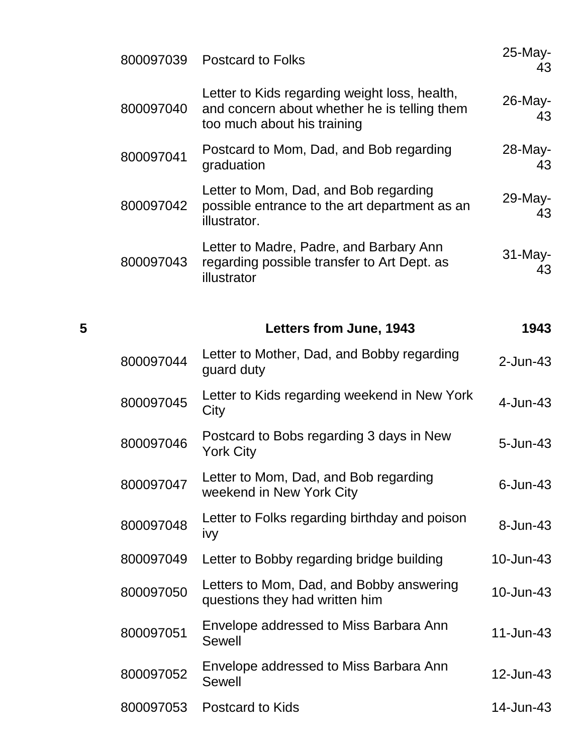|   | 800097039 | <b>Postcard to Folks</b>                                                                                                     | 25-May-<br>43 |
|---|-----------|------------------------------------------------------------------------------------------------------------------------------|---------------|
|   | 800097040 | Letter to Kids regarding weight loss, health,<br>and concern about whether he is telling them<br>too much about his training | 26-May-<br>43 |
|   | 800097041 | Postcard to Mom, Dad, and Bob regarding<br>graduation                                                                        | 28-May-<br>43 |
|   | 800097042 | Letter to Mom, Dad, and Bob regarding<br>possible entrance to the art department as an<br>illustrator.                       | 29-May-<br>43 |
|   | 800097043 | Letter to Madre, Padre, and Barbary Ann<br>regarding possible transfer to Art Dept. as<br>illustrator                        | 31-May-<br>43 |
| 5 |           | <b>Letters from June, 1943</b>                                                                                               | 1943          |
|   | 800097044 | Letter to Mother, Dad, and Bobby regarding<br>guard duty                                                                     | $2$ -Jun-43   |
|   | 800097045 | Letter to Kids regarding weekend in New York<br>City                                                                         | 4-Jun-43      |
|   | 800097046 | Postcard to Bobs regarding 3 days in New<br><b>York City</b>                                                                 | $5 - Jun-43$  |
|   | 800097047 | Letter to Mom, Dad, and Bob regarding<br>weekend in New York City                                                            | $6$ -Jun-43   |
|   | 800097048 | Letter to Folks regarding birthday and poison<br>ivy                                                                         | 8-Jun-43      |
|   | 800097049 | Letter to Bobby regarding bridge building                                                                                    | 10-Jun-43     |
|   | 800097050 | Letters to Mom, Dad, and Bobby answering<br>questions they had written him                                                   | 10-Jun-43     |
|   | 800097051 | Envelope addressed to Miss Barbara Ann<br><b>Sewell</b>                                                                      | $11$ -Jun-43  |
|   | 800097052 | Envelope addressed to Miss Barbara Ann<br><b>Sewell</b>                                                                      | 12-Jun-43     |
|   | 800097053 | <b>Postcard to Kids</b>                                                                                                      | 14-Jun-43     |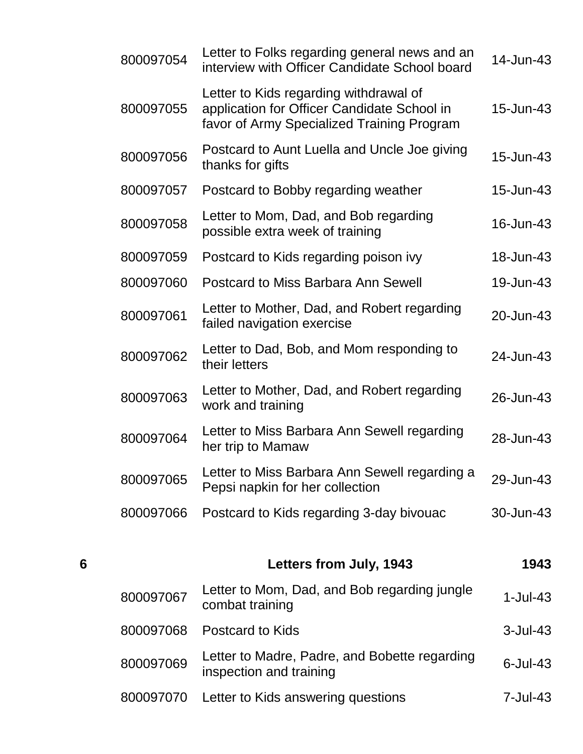| 800097054 | Letter to Folks regarding general news and an<br>interview with Officer Candidate School board                                      | 14-Jun-43 |
|-----------|-------------------------------------------------------------------------------------------------------------------------------------|-----------|
| 800097055 | Letter to Kids regarding withdrawal of<br>application for Officer Candidate School in<br>favor of Army Specialized Training Program | 15-Jun-43 |
| 800097056 | Postcard to Aunt Luella and Uncle Joe giving<br>thanks for gifts                                                                    | 15-Jun-43 |
| 800097057 | Postcard to Bobby regarding weather                                                                                                 | 15-Jun-43 |
| 800097058 | Letter to Mom, Dad, and Bob regarding<br>possible extra week of training                                                            | 16-Jun-43 |
| 800097059 | Postcard to Kids regarding poison ivy                                                                                               | 18-Jun-43 |
| 800097060 | <b>Postcard to Miss Barbara Ann Sewell</b>                                                                                          | 19-Jun-43 |
| 800097061 | Letter to Mother, Dad, and Robert regarding<br>failed navigation exercise                                                           | 20-Jun-43 |
| 800097062 | Letter to Dad, Bob, and Mom responding to<br>their letters                                                                          | 24-Jun-43 |
| 800097063 | Letter to Mother, Dad, and Robert regarding<br>work and training                                                                    | 26-Jun-43 |
| 800097064 | Letter to Miss Barbara Ann Sewell regarding<br>her trip to Mamaw                                                                    | 28-Jun-43 |
| 800097065 | Letter to Miss Barbara Ann Sewell regarding a<br>Pepsi napkin for her collection                                                    | 29-Jun-43 |
| 800097066 | Postcard to Kids regarding 3-day bivouac                                                                                            | 30-Jun-43 |
|           |                                                                                                                                     |           |

| 6 |           | Letters from July, 1943                                                  | 1943            |
|---|-----------|--------------------------------------------------------------------------|-----------------|
|   | 800097067 | Letter to Mom, Dad, and Bob regarding jungle<br>combat training          | $1$ -Jul-43     |
|   | 800097068 | Postcard to Kids                                                         | $3$ -Jul-43     |
|   | 800097069 | Letter to Madre, Padre, and Bobette regarding<br>inspection and training | $6$ -Jul-43     |
|   | 800097070 | Letter to Kids answering questions                                       | $7 -$ Jul $-43$ |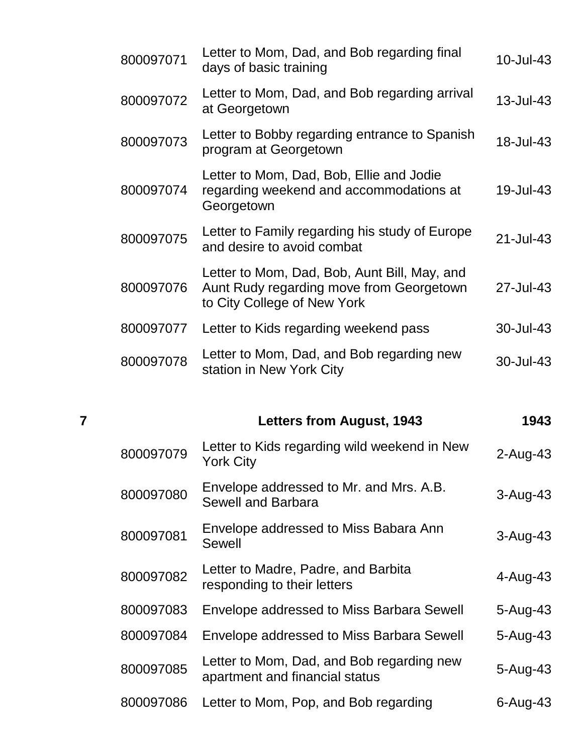| 7 |           | <b>Letters from August, 1943</b>                                                                                        | 1943      |
|---|-----------|-------------------------------------------------------------------------------------------------------------------------|-----------|
|   |           |                                                                                                                         |           |
|   | 800097078 | Letter to Mom, Dad, and Bob regarding new<br>station in New York City                                                   | 30-Jul-43 |
|   | 800097077 | Letter to Kids regarding weekend pass                                                                                   | 30-Jul-43 |
|   | 800097076 | Letter to Mom, Dad, Bob, Aunt Bill, May, and<br>Aunt Rudy regarding move from Georgetown<br>to City College of New York | 27-Jul-43 |
|   | 800097075 | Letter to Family regarding his study of Europe<br>and desire to avoid combat                                            | 21-Jul-43 |
|   | 800097074 | Letter to Mom, Dad, Bob, Ellie and Jodie<br>regarding weekend and accommodations at<br>Georgetown                       | 19-Jul-43 |
|   | 800097073 | Letter to Bobby regarding entrance to Spanish<br>program at Georgetown                                                  | 18-Jul-43 |
|   | 800097072 | Letter to Mom, Dad, and Bob regarding arrival<br>at Georgetown                                                          | 13-Jul-43 |
|   | 800097071 | Letter to Mom, Dad, and Bob regarding final<br>days of basic training                                                   | 10-Jul-43 |

| 800097079 | Letter to Kids regarding wild weekend in New<br><b>York City</b>            | $2$ -Aug-43  |
|-----------|-----------------------------------------------------------------------------|--------------|
| 800097080 | Envelope addressed to Mr. and Mrs. A.B.<br><b>Sewell and Barbara</b>        | $3 - Aug-43$ |
| 800097081 | Envelope addressed to Miss Babara Ann<br><b>Sewell</b>                      | $3-Auq-43$   |
| 800097082 | Letter to Madre, Padre, and Barbita<br>responding to their letters          | $4 - Aug-43$ |
| 800097083 | Envelope addressed to Miss Barbara Sewell                                   | $5 - Aug-43$ |
| 800097084 | Envelope addressed to Miss Barbara Sewell                                   | $5 - Aug-43$ |
| 800097085 | Letter to Mom, Dad, and Bob regarding new<br>apartment and financial status | 5-Aug-43     |
| 800097086 | Letter to Mom, Pop, and Bob regarding                                       | $6 - Aug-43$ |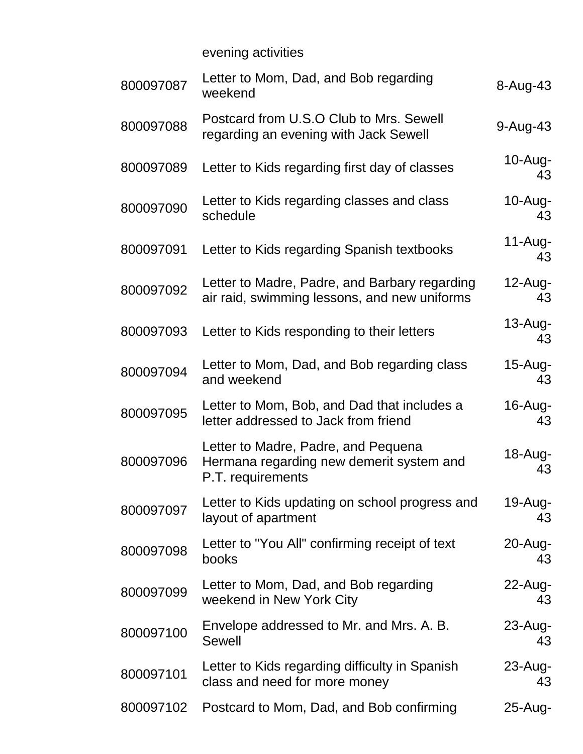evening activities

| 800097087 | Letter to Mom, Dad, and Bob regarding<br>weekend                                                     | $8 - Aug-43$      |
|-----------|------------------------------------------------------------------------------------------------------|-------------------|
| 800097088 | Postcard from U.S.O Club to Mrs. Sewell<br>regarding an evening with Jack Sewell                     | $9-Auq-43$        |
| 800097089 | Letter to Kids regarding first day of classes                                                        | $10$ -Aug-<br>43  |
| 800097090 | Letter to Kids regarding classes and class<br>schedule                                               | $10$ -Aug-<br>43  |
| 800097091 | Letter to Kids regarding Spanish textbooks                                                           | $11-Aug-$<br>43   |
| 800097092 | Letter to Madre, Padre, and Barbary regarding<br>air raid, swimming lessons, and new uniforms        | $12$ -Aug-<br>43  |
| 800097093 | Letter to Kids responding to their letters                                                           | $13$ -Aug-<br>43  |
| 800097094 | Letter to Mom, Dad, and Bob regarding class<br>and weekend                                           | $15$ -Aug-<br>43  |
| 800097095 | Letter to Mom, Bob, and Dad that includes a<br>letter addressed to Jack from friend                  | $16$ -Aug-<br>43  |
| 800097096 | Letter to Madre, Padre, and Pequena<br>Hermana regarding new demerit system and<br>P.T. requirements | 18-Aug-<br>43     |
| 800097097 | Letter to Kids updating on school progress and<br>layout of apartment                                | 19-Aug-<br>43     |
| 800097098 | Letter to "You All" confirming receipt of text<br>books                                              | $20 - Aug-$<br>43 |
| 800097099 | Letter to Mom, Dad, and Bob regarding<br>weekend in New York City                                    | $22$ -Aug-<br>43  |
| 800097100 | Envelope addressed to Mr. and Mrs. A. B.<br>Sewell                                                   | $23$ -Aug-<br>43  |
| 800097101 | Letter to Kids regarding difficulty in Spanish<br>class and need for more money                      | 23-Aug-<br>43     |
| 800097102 | Postcard to Mom, Dad, and Bob confirming                                                             | 25-Aug-           |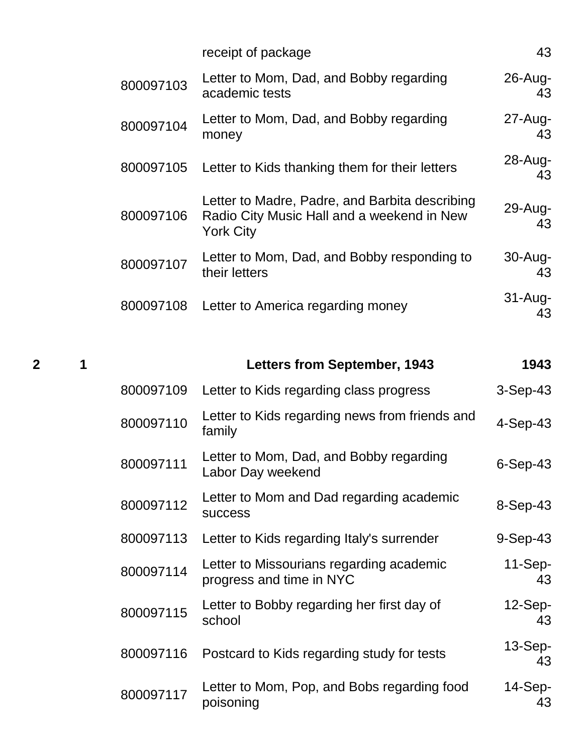|           | receipt of package                                                                                               | 43               |
|-----------|------------------------------------------------------------------------------------------------------------------|------------------|
| 800097103 | Letter to Mom, Dad, and Bobby regarding<br>academic tests                                                        | $26$ -Aug-<br>43 |
| 800097104 | Letter to Mom, Dad, and Bobby regarding<br>money                                                                 | 27-Aug-<br>43    |
| 800097105 | Letter to Kids thanking them for their letters                                                                   | $28$ -Aug-<br>43 |
| 800097106 | Letter to Madre, Padre, and Barbita describing<br>Radio City Music Hall and a weekend in New<br><b>York City</b> | $29$ -Aug-<br>43 |
| 800097107 | Letter to Mom, Dad, and Bobby responding to<br>their letters                                                     | 30-Aug-<br>43    |
| 800097108 | Letter to America regarding money                                                                                | $31-Aug-$<br>43  |

| $\mathbf{2}$ | 1 |           | <b>Letters from September, 1943</b>                                  | 1943            |
|--------------|---|-----------|----------------------------------------------------------------------|-----------------|
|              |   | 800097109 | Letter to Kids regarding class progress                              | $3-Sep-43$      |
|              |   | 800097110 | Letter to Kids regarding news from friends and<br>family             | $4-Sep-43$      |
|              |   | 800097111 | Letter to Mom, Dad, and Bobby regarding<br>Labor Day weekend         | $6-Sep-43$      |
|              |   | 800097112 | Letter to Mom and Dad regarding academic<br><b>SUCCESS</b>           | 8-Sep-43        |
|              |   | 800097113 | Letter to Kids regarding Italy's surrender                           | $9-Sep-43$      |
|              |   | 800097114 | Letter to Missourians regarding academic<br>progress and time in NYC | $11-Sep-$<br>43 |
|              |   | 800097115 | Letter to Bobby regarding her first day of<br>school                 | $12-Sep-$<br>43 |
|              |   | 800097116 | Postcard to Kids regarding study for tests                           | $13-Sep-$<br>43 |
|              |   | 800097117 | Letter to Mom, Pop, and Bobs regarding food<br>poisoning             | $14-Sep-$<br>43 |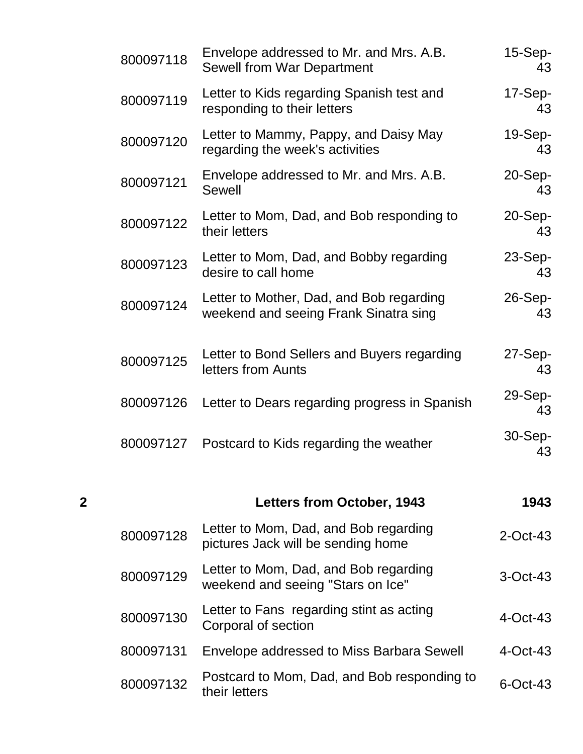| 800097118 | Envelope addressed to Mr. and Mrs. A.B.<br><b>Sewell from War Department</b>      | $15-Sep-$<br>43    |
|-----------|-----------------------------------------------------------------------------------|--------------------|
| 800097119 | Letter to Kids regarding Spanish test and<br>responding to their letters          | $17-Sep-$<br>43    |
| 800097120 | Letter to Mammy, Pappy, and Daisy May<br>regarding the week's activities          | $19-Sep-$<br>43    |
| 800097121 | Envelope addressed to Mr. and Mrs. A.B.<br>Sewell                                 | $20-Sep-$<br>43    |
| 800097122 | Letter to Mom, Dad, and Bob responding to<br>their letters                        | $20-Sep-$<br>43    |
| 800097123 | Letter to Mom, Dad, and Bobby regarding<br>desire to call home                    | $23-Sep-$<br>43    |
| 800097124 | Letter to Mother, Dad, and Bob regarding<br>weekend and seeing Frank Sinatra sing | $26-Sep-$<br>43    |
| 800097125 | Letter to Bond Sellers and Buyers regarding<br>letters from Aunts                 | $27-Sep-$<br>43    |
| 800097126 | Letter to Dears regarding progress in Spanish                                     | $29-Sep-$<br>43    |
| 800097127 | Postcard to Kids regarding the weather                                            | $30 - Sep -$<br>43 |

| $\mathbf 2$ |           | <b>Letters from October, 1943</b>                                           | 1943        |
|-------------|-----------|-----------------------------------------------------------------------------|-------------|
|             | 800097128 | Letter to Mom, Dad, and Bob regarding<br>pictures Jack will be sending home | $2$ -Oct-43 |
|             | 800097129 | Letter to Mom, Dad, and Bob regarding<br>weekend and seeing "Stars on Ice"  | $3-Oct-43$  |
|             | 800097130 | Letter to Fans regarding stint as acting<br>Corporal of section             | $4$ -Oct-43 |
|             | 800097131 | Envelope addressed to Miss Barbara Sewell                                   | $4$ -Oct-43 |
|             | 800097132 | Postcard to Mom, Dad, and Bob responding to<br>their letters                | $6$ -Oct-43 |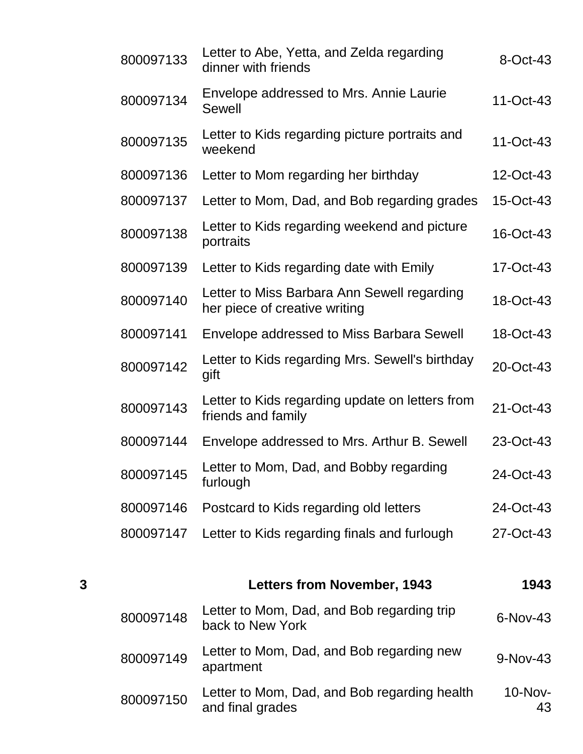|   | 800097133 | Letter to Abe, Yetta, and Zelda regarding<br>dinner with friends             | 8-Oct-43  |
|---|-----------|------------------------------------------------------------------------------|-----------|
|   | 800097134 | Envelope addressed to Mrs. Annie Laurie<br><b>Sewell</b>                     | 11-Oct-43 |
|   | 800097135 | Letter to Kids regarding picture portraits and<br>weekend                    | 11-Oct-43 |
|   | 800097136 | Letter to Mom regarding her birthday                                         | 12-Oct-43 |
|   | 800097137 | Letter to Mom, Dad, and Bob regarding grades                                 | 15-Oct-43 |
|   | 800097138 | Letter to Kids regarding weekend and picture<br>portraits                    | 16-Oct-43 |
|   | 800097139 | Letter to Kids regarding date with Emily                                     | 17-Oct-43 |
|   | 800097140 | Letter to Miss Barbara Ann Sewell regarding<br>her piece of creative writing | 18-Oct-43 |
|   | 800097141 | Envelope addressed to Miss Barbara Sewell                                    | 18-Oct-43 |
|   | 800097142 | Letter to Kids regarding Mrs. Sewell's birthday<br>gift                      | 20-Oct-43 |
|   | 800097143 | Letter to Kids regarding update on letters from<br>friends and family        | 21-Oct-43 |
|   | 800097144 | Envelope addressed to Mrs. Arthur B. Sewell                                  | 23-Oct-43 |
|   | 800097145 | Letter to Mom, Dad, and Bobby regarding<br>furlough                          | 24-Oct-43 |
|   | 800097146 | Postcard to Kids regarding old letters                                       | 24-Oct-43 |
|   | 800097147 | Letter to Kids regarding finals and furlough                                 | 27-Oct-43 |
|   |           |                                                                              |           |
| 3 |           | <b>Letters from November, 1943</b>                                           | 1943      |
|   | 800097148 | Letter to Mom, Dad, and Bob regarding trip<br>back to New York               | 6-Nov-43  |
|   |           |                                                                              |           |

<sup>800097149</sup> Letter to Mom, Dad, and Bob regarding new Letter to Monit, Dad, and Dob regarding new  $9-Nov-43$ <br>apartment 800097150 Letter to Mom, Dad, and Bob regarding health and final grades 10-Nov-43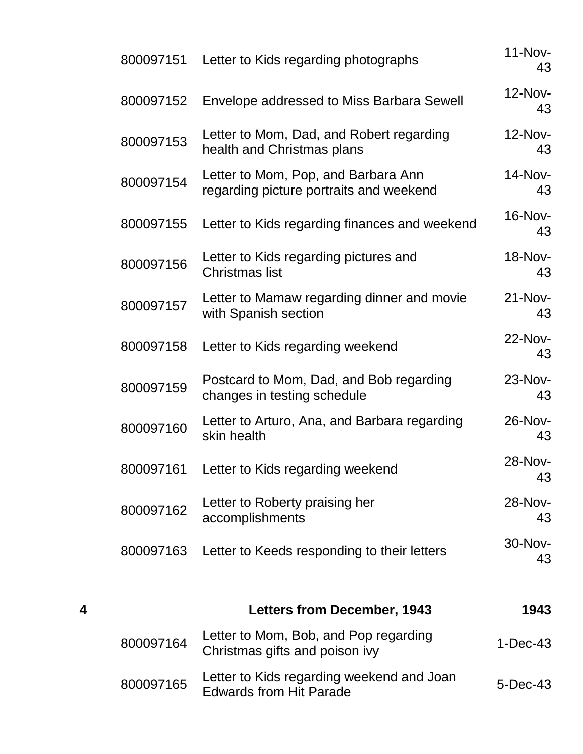| 4 |           | <b>Letters from December, 1943</b>                                             | 1943            |
|---|-----------|--------------------------------------------------------------------------------|-----------------|
|   | 800097163 | Letter to Keeds responding to their letters                                    | 30-Nov-<br>43   |
|   | 800097162 | Letter to Roberty praising her<br>accomplishments                              | 28-Nov-<br>43   |
|   |           | 800097161 Letter to Kids regarding weekend                                     | 28-Nov-<br>43   |
|   | 800097160 | Letter to Arturo, Ana, and Barbara regarding<br>skin health                    | 26-Nov-<br>43   |
|   | 800097159 | Postcard to Mom, Dad, and Bob regarding<br>changes in testing schedule         | 23-Nov-<br>43   |
|   | 800097158 | Letter to Kids regarding weekend                                               | 22-Nov-<br>43   |
|   | 800097157 | Letter to Mamaw regarding dinner and movie<br>with Spanish section             | 21-Nov-<br>43   |
|   | 800097156 | Letter to Kids regarding pictures and<br><b>Christmas list</b>                 | 18-Nov-<br>43   |
|   | 800097155 | Letter to Kids regarding finances and weekend                                  | 16-Nov-<br>43   |
|   | 800097154 | Letter to Mom, Pop, and Barbara Ann<br>regarding picture portraits and weekend | 14-Nov-<br>43   |
|   | 800097153 | Letter to Mom, Dad, and Robert regarding<br>health and Christmas plans         | $12-Nov-$<br>43 |
|   | 800097152 | Envelope addressed to Miss Barbara Sewell                                      | 12-Nov-<br>43   |
|   | 800097151 | Letter to Kids regarding photographs                                           | $11-Nov-$<br>43 |

| 800097164 | Letter to Mom, Bob, and Pop regarding<br>Christmas gifts and poison ivy     | $1-Dec-43$ |
|-----------|-----------------------------------------------------------------------------|------------|
| 800097165 | Letter to Kids regarding weekend and Joan<br><b>Edwards from Hit Parade</b> | 5-Dec-43   |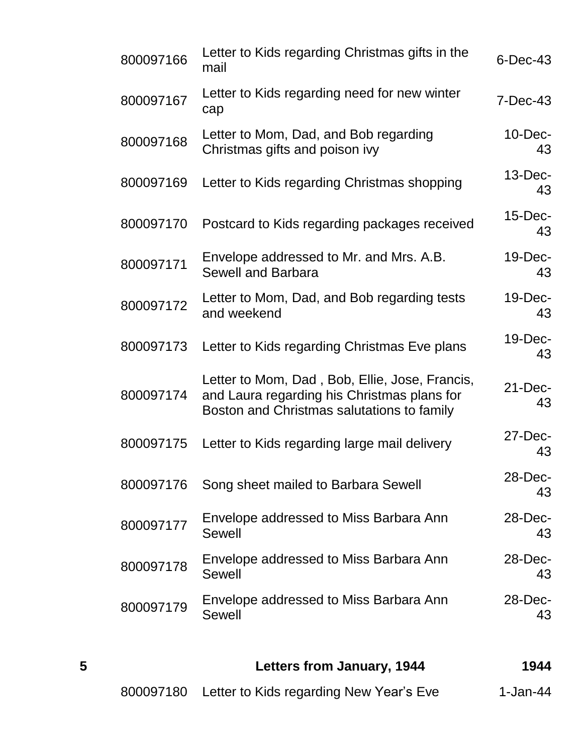| 5         | <b>Letters from January, 1944</b>                                                                                                           | 1944              |
|-----------|---------------------------------------------------------------------------------------------------------------------------------------------|-------------------|
| 800097179 | Envelope addressed to Miss Barbara Ann<br><b>Sewell</b>                                                                                     | 28-Dec-<br>43     |
| 800097178 | Envelope addressed to Miss Barbara Ann<br>Sewell                                                                                            | $28$ -Dec-<br>43  |
| 800097177 | Envelope addressed to Miss Barbara Ann<br>Sewell                                                                                            | $28$ -Dec-<br>43  |
| 800097176 | Song sheet mailed to Barbara Sewell                                                                                                         | 28-Dec-<br>43     |
| 800097175 | Letter to Kids regarding large mail delivery                                                                                                | $27$ -Dec-<br>43  |
| 800097174 | Letter to Mom, Dad, Bob, Ellie, Jose, Francis,<br>and Laura regarding his Christmas plans for<br>Boston and Christmas salutations to family | $21 - Dec-$<br>43 |
| 800097173 | Letter to Kids regarding Christmas Eve plans                                                                                                | $19$ -Dec-<br>43  |
| 800097172 | Letter to Mom, Dad, and Bob regarding tests<br>and weekend                                                                                  | $19$ -Dec-<br>43  |
| 800097171 | Envelope addressed to Mr. and Mrs. A.B.<br><b>Sewell and Barbara</b>                                                                        | 19-Dec-<br>43     |
| 800097170 | Postcard to Kids regarding packages received                                                                                                | $15$ -Dec-<br>43  |
| 800097169 | Letter to Kids regarding Christmas shopping                                                                                                 | $13$ -Dec-<br>43  |
| 800097168 | Letter to Mom, Dad, and Bob regarding<br>Christmas gifts and poison ivy                                                                     | $10$ -Dec-<br>43  |
| 800097167 | Letter to Kids regarding need for new winter<br>cap                                                                                         | $7-Dec-43$        |
| 800097166 | Letter to Kids regarding Christmas gifts in the<br>mail                                                                                     | $6$ -Dec-43       |

800097180 Letter to Kids regarding New Year's Eve 1-Jan-44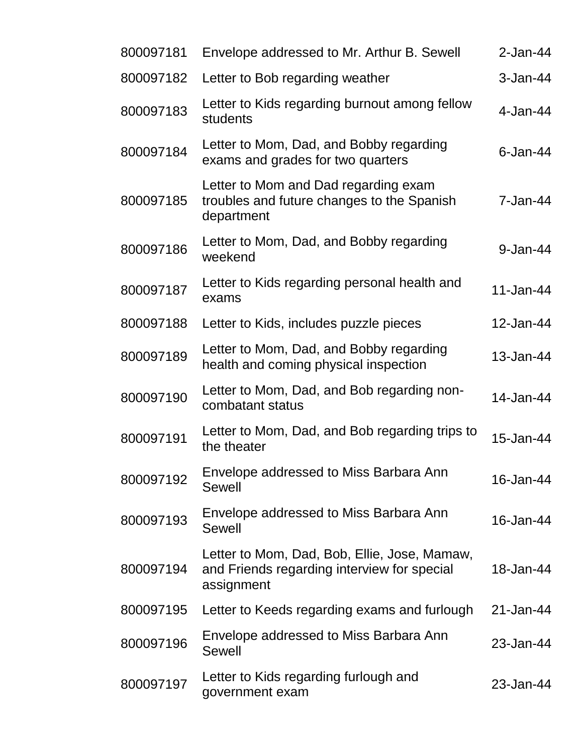| 800097181 | Envelope addressed to Mr. Arthur B. Sewell                                                                | $2$ -Jan-44 |
|-----------|-----------------------------------------------------------------------------------------------------------|-------------|
| 800097182 | Letter to Bob regarding weather                                                                           | $3-Jan-44$  |
| 800097183 | Letter to Kids regarding burnout among fellow<br>students                                                 | $4$ -Jan-44 |
| 800097184 | Letter to Mom, Dad, and Bobby regarding<br>exams and grades for two quarters                              | $6$ -Jan-44 |
| 800097185 | Letter to Mom and Dad regarding exam<br>troubles and future changes to the Spanish<br>department          | 7-Jan-44    |
| 800097186 | Letter to Mom, Dad, and Bobby regarding<br>weekend                                                        | 9-Jan-44    |
| 800097187 | Letter to Kids regarding personal health and<br>exams                                                     | 11-Jan-44   |
| 800097188 | Letter to Kids, includes puzzle pieces                                                                    | 12-Jan-44   |
| 800097189 | Letter to Mom, Dad, and Bobby regarding<br>health and coming physical inspection                          | 13-Jan-44   |
| 800097190 | Letter to Mom, Dad, and Bob regarding non-<br>combatant status                                            | 14-Jan-44   |
| 800097191 | Letter to Mom, Dad, and Bob regarding trips to<br>the theater                                             | 15-Jan-44   |
| 800097192 | Envelope addressed to Miss Barbara Ann<br>Sewell                                                          | 16-Jan-44   |
| 800097193 | Envelope addressed to Miss Barbara Ann<br>Sewell                                                          | 16-Jan-44   |
| 800097194 | Letter to Mom, Dad, Bob, Ellie, Jose, Mamaw,<br>and Friends regarding interview for special<br>assignment | 18-Jan-44   |
| 800097195 | Letter to Keeds regarding exams and furlough                                                              | 21-Jan-44   |
| 800097196 | Envelope addressed to Miss Barbara Ann<br>Sewell                                                          | 23-Jan-44   |
| 800097197 | Letter to Kids regarding furlough and<br>government exam                                                  | 23-Jan-44   |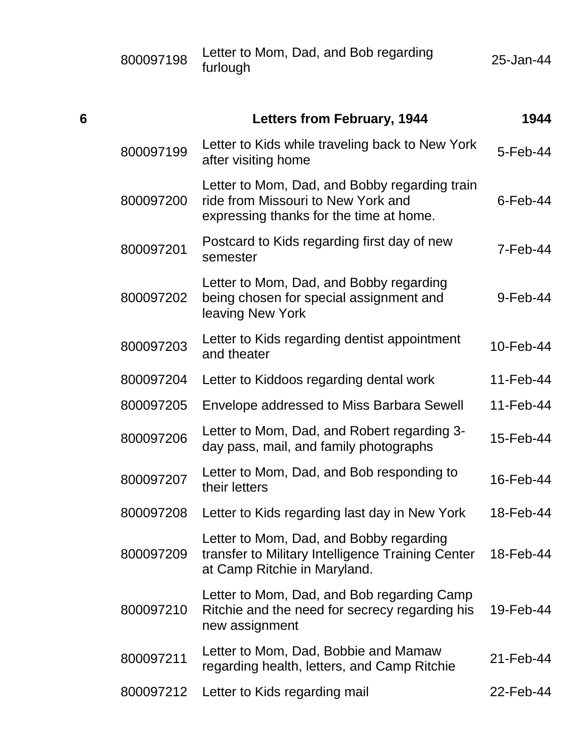| 800097198 | Letter to Mom, Dad, and Bob regarding | 25-Jan-44 |
|-----------|---------------------------------------|-----------|
|           | furlough                              |           |

| 6 |           | <b>Letters from February, 1944</b>                                                                                             | 1944           |
|---|-----------|--------------------------------------------------------------------------------------------------------------------------------|----------------|
|   | 800097199 | Letter to Kids while traveling back to New York<br>after visiting home                                                         | $5 - Feb - 44$ |
|   | 800097200 | Letter to Mom, Dad, and Bobby regarding train<br>ride from Missouri to New York and<br>expressing thanks for the time at home. | $6$ -Feb-44    |
|   | 800097201 | Postcard to Kids regarding first day of new<br>semester                                                                        | $7 - Feb - 44$ |
|   | 800097202 | Letter to Mom, Dad, and Bobby regarding<br>being chosen for special assignment and<br>leaving New York                         | $9$ -Feb-44    |
|   | 800097203 | Letter to Kids regarding dentist appointment<br>and theater                                                                    | 10-Feb-44      |
|   | 800097204 | Letter to Kiddoos regarding dental work                                                                                        | 11-Feb-44      |
|   | 800097205 | Envelope addressed to Miss Barbara Sewell                                                                                      | 11-Feb-44      |
|   | 800097206 | Letter to Mom, Dad, and Robert regarding 3-<br>day pass, mail, and family photographs                                          | 15-Feb-44      |
|   | 800097207 | Letter to Mom, Dad, and Bob responding to<br>their letters                                                                     | 16-Feb-44      |
|   | 800097208 | Letter to Kids regarding last day in New York                                                                                  | 18-Feb-44      |
|   | 800097209 | Letter to Mom, Dad, and Bobby regarding<br>transfer to Military Intelligence Training Center<br>at Camp Ritchie in Maryland.   | 18-Feb-44      |
|   | 800097210 | Letter to Mom, Dad, and Bob regarding Camp<br>Ritchie and the need for secrecy regarding his<br>new assignment                 | 19-Feb-44      |
|   | 800097211 | Letter to Mom, Dad, Bobbie and Mamaw<br>regarding health, letters, and Camp Ritchie                                            | 21-Feb-44      |
|   | 800097212 | Letter to Kids regarding mail                                                                                                  | 22-Feb-44      |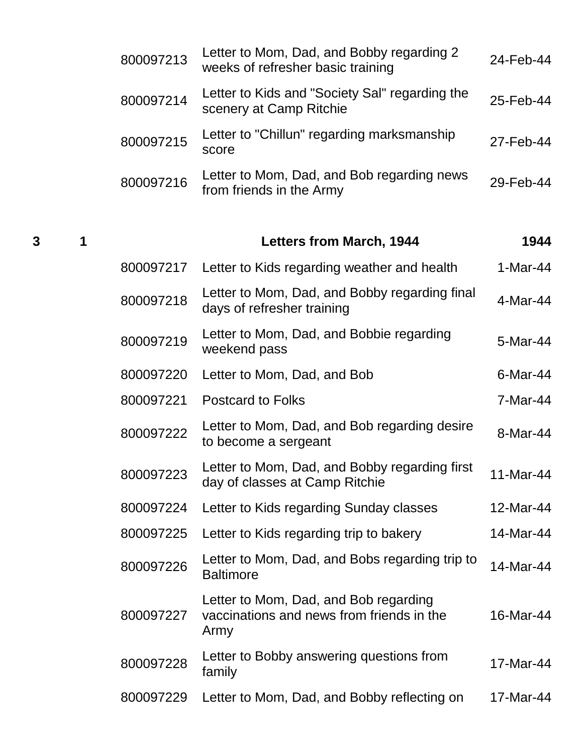| 800097213 | Letter to Mom, Dad, and Bobby regarding 2<br>weeks of refresher basic training | 24-Feb-44 |
|-----------|--------------------------------------------------------------------------------|-----------|
| 800097214 | Letter to Kids and "Society Sal" regarding the<br>scenery at Camp Ritchie      | 25-Feb-44 |
| 800097215 | Letter to "Chillun" regarding marksmanship<br>score                            | 27-Feb-44 |
| 800097216 | Letter to Mom, Dad, and Bob regarding news<br>from friends in the Army         | 29-Feb-44 |

**3 1 Letters from March, 1944 1944**

| 800097217 | Letter to Kids regarding weather and health                                                | $1-Mar-44$ |
|-----------|--------------------------------------------------------------------------------------------|------------|
| 800097218 | Letter to Mom, Dad, and Bobby regarding final<br>days of refresher training                | 4-Mar-44   |
| 800097219 | Letter to Mom, Dad, and Bobbie regarding<br>weekend pass                                   | 5-Mar-44   |
| 800097220 | Letter to Mom, Dad, and Bob                                                                | 6-Mar-44   |
| 800097221 | <b>Postcard to Folks</b>                                                                   | 7-Mar-44   |
| 800097222 | Letter to Mom, Dad, and Bob regarding desire<br>to become a sergeant                       | 8-Mar-44   |
| 800097223 | Letter to Mom, Dad, and Bobby regarding first<br>day of classes at Camp Ritchie            | 11-Mar-44  |
| 800097224 | Letter to Kids regarding Sunday classes                                                    | 12-Mar-44  |
| 800097225 | Letter to Kids regarding trip to bakery                                                    | 14-Mar-44  |
| 800097226 | Letter to Mom, Dad, and Bobs regarding trip to<br><b>Baltimore</b>                         | 14-Mar-44  |
| 800097227 | Letter to Mom, Dad, and Bob regarding<br>vaccinations and news from friends in the<br>Army | 16-Mar-44  |
| 800097228 | Letter to Bobby answering questions from<br>family                                         | 17-Mar-44  |
| 800097229 | Letter to Mom, Dad, and Bobby reflecting on                                                | 17-Mar-44  |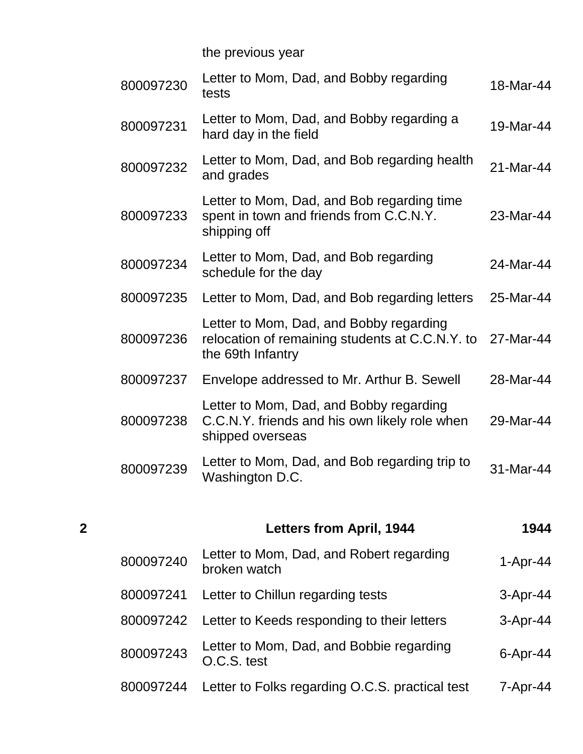the previous year

| 800097230 | Letter to Mom, Dad, and Bobby regarding<br>tests                                                                | 18-Mar-44 |
|-----------|-----------------------------------------------------------------------------------------------------------------|-----------|
| 800097231 | Letter to Mom, Dad, and Bobby regarding a<br>hard day in the field                                              | 19-Mar-44 |
| 800097232 | Letter to Mom, Dad, and Bob regarding health<br>and grades                                                      | 21-Mar-44 |
| 800097233 | Letter to Mom, Dad, and Bob regarding time<br>spent in town and friends from C.C.N.Y.<br>shipping off           | 23-Mar-44 |
| 800097234 | Letter to Mom, Dad, and Bob regarding<br>schedule for the day                                                   | 24-Mar-44 |
| 800097235 | Letter to Mom, Dad, and Bob regarding letters                                                                   | 25-Mar-44 |
| 800097236 | Letter to Mom, Dad, and Bobby regarding<br>relocation of remaining students at C.C.N.Y. to<br>the 69th Infantry | 27-Mar-44 |
| 800097237 | Envelope addressed to Mr. Arthur B. Sewell                                                                      | 28-Mar-44 |
| 800097238 | Letter to Mom, Dad, and Bobby regarding<br>C.C.N.Y. friends and his own likely role when<br>shipped overseas    | 29-Mar-44 |
| 800097239 | Letter to Mom, Dad, and Bob regarding trip to<br>Washington D.C.                                                | 31-Mar-44 |
|           |                                                                                                                 |           |

| $\overline{2}$ |           | <b>Letters from April, 1944</b>                          | 1944            |
|----------------|-----------|----------------------------------------------------------|-----------------|
|                | 800097240 | Letter to Mom, Dad, and Robert regarding<br>broken watch | $1-Apr-44$      |
|                | 800097241 | Letter to Chillun regarding tests                        | $3-Apr-44$      |
|                | 800097242 | Letter to Keeds responding to their letters              | $3-Apr-44$      |
|                | 800097243 | Letter to Mom, Dad, and Bobbie regarding<br>O.C.S. test  | $6 -$ Apr $-44$ |
|                | 800097244 | Letter to Folks regarding O.C.S. practical test          | $7 -$ Apr $-44$ |
|                |           |                                                          |                 |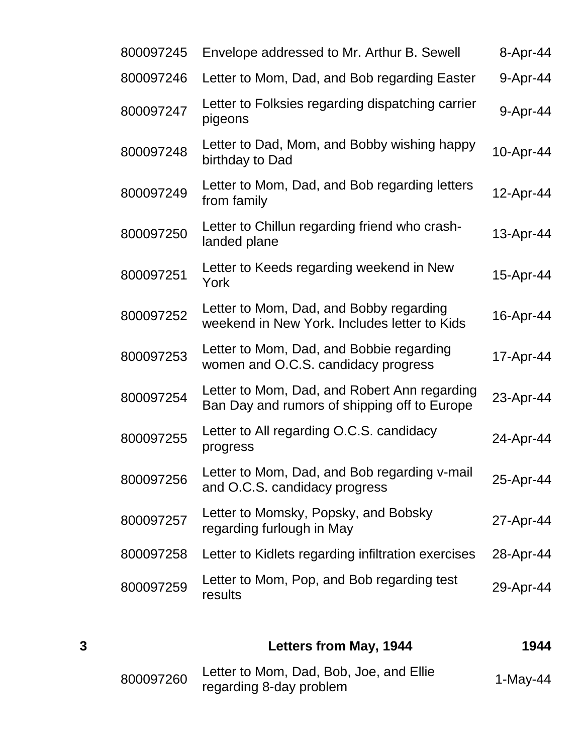| 800097245 | Envelope addressed to Mr. Arthur B. Sewell                                                   | 8-Apr-44  |
|-----------|----------------------------------------------------------------------------------------------|-----------|
| 800097246 | Letter to Mom, Dad, and Bob regarding Easter                                                 | 9-Apr-44  |
| 800097247 | Letter to Folksies regarding dispatching carrier<br>pigeons                                  | 9-Apr-44  |
| 800097248 | Letter to Dad, Mom, and Bobby wishing happy<br>birthday to Dad                               | 10-Apr-44 |
| 800097249 | Letter to Mom, Dad, and Bob regarding letters<br>from family                                 | 12-Apr-44 |
| 800097250 | Letter to Chillun regarding friend who crash-<br>landed plane                                | 13-Apr-44 |
| 800097251 | Letter to Keeds regarding weekend in New<br>York                                             | 15-Apr-44 |
| 800097252 | Letter to Mom, Dad, and Bobby regarding<br>weekend in New York. Includes letter to Kids      | 16-Apr-44 |
| 800097253 | Letter to Mom, Dad, and Bobbie regarding<br>women and O.C.S. candidacy progress              | 17-Apr-44 |
| 800097254 | Letter to Mom, Dad, and Robert Ann regarding<br>Ban Day and rumors of shipping off to Europe | 23-Apr-44 |
| 800097255 | Letter to All regarding O.C.S. candidacy<br>progress                                         | 24-Apr-44 |
| 800097256 | Letter to Mom, Dad, and Bob regarding v-mail<br>and O.C.S. candidacy progress                | 25-Apr-44 |
| 800097257 | Letter to Momsky, Popsky, and Bobsky<br>regarding furlough in May                            | 27-Apr-44 |
| 800097258 | Letter to Kidlets regarding infiltration exercises                                           | 28-Apr-44 |
| 800097259 | Letter to Mom, Pop, and Bob regarding test<br>results                                        | 29-Apr-44 |
|           |                                                                                              |           |

| 3 |           | Letters from May, 1944                                             | 1944       |
|---|-----------|--------------------------------------------------------------------|------------|
|   | 800097260 | Letter to Mom, Dad, Bob, Joe, and Ellie<br>regarding 8-day problem | $1-Mav-44$ |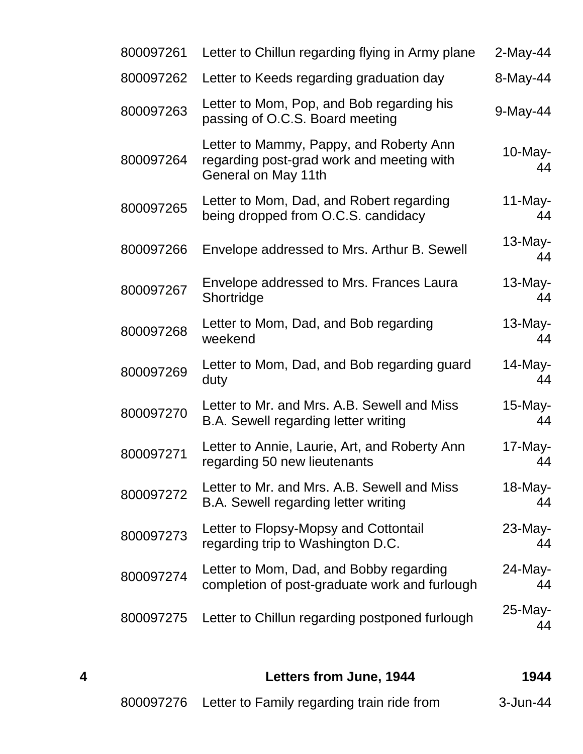| 800097261 | Letter to Chillun regarding flying in Army plane                                                            | $2$ -May-44      |
|-----------|-------------------------------------------------------------------------------------------------------------|------------------|
| 800097262 | Letter to Keeds regarding graduation day                                                                    | 8-May-44         |
| 800097263 | Letter to Mom, Pop, and Bob regarding his<br>passing of O.C.S. Board meeting                                | 9-May-44         |
| 800097264 | Letter to Mammy, Pappy, and Roberty Ann<br>regarding post-grad work and meeting with<br>General on May 11th | $10$ -May-<br>44 |
| 800097265 | Letter to Mom, Dad, and Robert regarding<br>being dropped from O.C.S. candidacy                             | $11$ -May-<br>44 |
| 800097266 | Envelope addressed to Mrs. Arthur B. Sewell                                                                 | $13$ -May-<br>44 |
| 800097267 | Envelope addressed to Mrs. Frances Laura<br>Shortridge                                                      | $13$ -May-<br>44 |
| 800097268 | Letter to Mom, Dad, and Bob regarding<br>weekend                                                            | $13$ -May-<br>44 |
| 800097269 | Letter to Mom, Dad, and Bob regarding guard<br>duty                                                         | $14$ -May-<br>44 |
| 800097270 | Letter to Mr. and Mrs. A.B. Sewell and Miss<br>B.A. Sewell regarding letter writing                         | $15$ -May-<br>44 |
| 800097271 | Letter to Annie, Laurie, Art, and Roberty Ann<br>regarding 50 new lieutenants                               | $17$ -May-<br>44 |
| 800097272 | Letter to Mr. and Mrs. A.B. Sewell and Miss<br>B.A. Sewell regarding letter writing                         | $18$ -May-<br>44 |
| 800097273 | Letter to Flopsy-Mopsy and Cottontail<br>regarding trip to Washington D.C.                                  | $23$ -May-<br>44 |
| 800097274 | Letter to Mom, Dad, and Bobby regarding<br>completion of post-graduate work and furlough                    | 24-May-<br>44    |
| 800097275 | Letter to Chillun regarding postponed furlough                                                              | $25$ -May-<br>44 |
|           |                                                                                                             |                  |

| 4 | Letters from June, 1944                              | 1944     |
|---|------------------------------------------------------|----------|
|   | 800097276 Letter to Family regarding train ride from | 3-Jun-44 |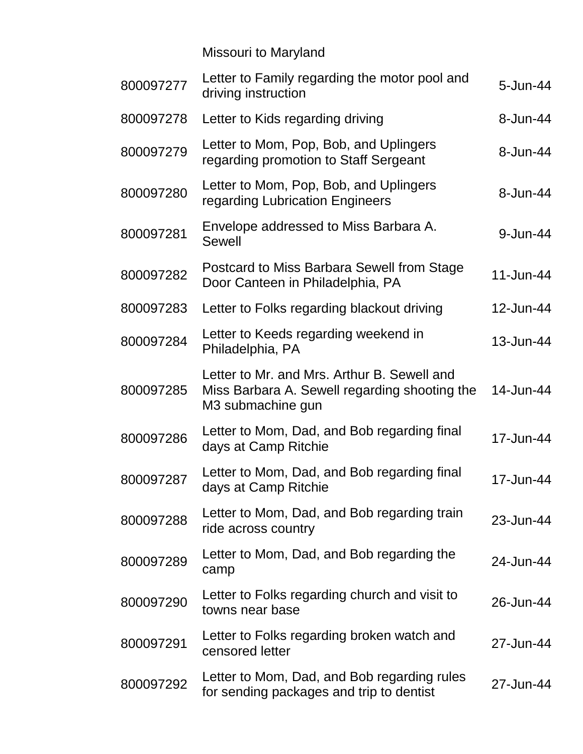Missouri to Maryland

| 800097277 | Letter to Family regarding the motor pool and<br>driving instruction                                              | $5 - Jun-44$ |
|-----------|-------------------------------------------------------------------------------------------------------------------|--------------|
| 800097278 | Letter to Kids regarding driving                                                                                  | 8-Jun-44     |
| 800097279 | Letter to Mom, Pop, Bob, and Uplingers<br>regarding promotion to Staff Sergeant                                   | 8-Jun-44     |
| 800097280 | Letter to Mom, Pop, Bob, and Uplingers<br>regarding Lubrication Engineers                                         | 8-Jun-44     |
| 800097281 | Envelope addressed to Miss Barbara A.<br>Sewell                                                                   | 9-Jun-44     |
| 800097282 | Postcard to Miss Barbara Sewell from Stage<br>Door Canteen in Philadelphia, PA                                    | 11-Jun-44    |
| 800097283 | Letter to Folks regarding blackout driving                                                                        | 12-Jun-44    |
| 800097284 | Letter to Keeds regarding weekend in<br>Philadelphia, PA                                                          | 13-Jun-44    |
| 800097285 | Letter to Mr. and Mrs. Arthur B. Sewell and<br>Miss Barbara A. Sewell regarding shooting the<br>M3 submachine gun | 14-Jun-44    |
| 800097286 | Letter to Mom, Dad, and Bob regarding final<br>days at Camp Ritchie                                               | 17-Jun-44    |
| 800097287 | Letter to Mom, Dad, and Bob regarding final<br>days at Camp Ritchie                                               | 17-Jun-44    |
| 800097288 | Letter to Mom, Dad, and Bob regarding train<br>ride across country                                                | 23-Jun-44    |
| 800097289 | Letter to Mom, Dad, and Bob regarding the<br>camp                                                                 | 24-Jun-44    |
| 800097290 | Letter to Folks regarding church and visit to<br>towns near base                                                  | 26-Jun-44    |
| 800097291 | Letter to Folks regarding broken watch and<br>censored letter                                                     | 27-Jun-44    |
| 800097292 | Letter to Mom, Dad, and Bob regarding rules<br>for sending packages and trip to dentist                           | 27-Jun-44    |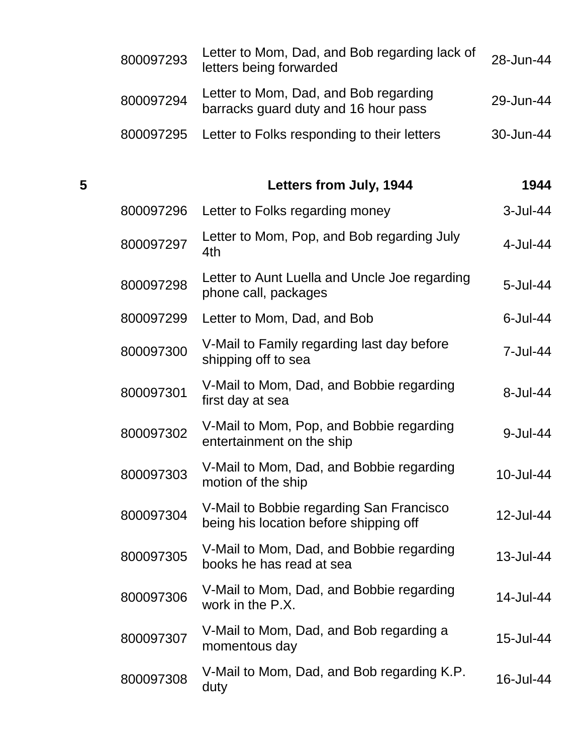|   | 800097293 | Letter to Mom, Dad, and Bob regarding lack of<br>letters being forwarded           | 28-Jun-44 |
|---|-----------|------------------------------------------------------------------------------------|-----------|
|   | 800097294 | Letter to Mom, Dad, and Bob regarding<br>barracks guard duty and 16 hour pass      | 29-Jun-44 |
|   | 800097295 | Letter to Folks responding to their letters                                        | 30-Jun-44 |
| 5 |           | Letters from July, 1944                                                            | 1944      |
|   | 800097296 | Letter to Folks regarding money                                                    | 3-Jul-44  |
|   | 800097297 | Letter to Mom, Pop, and Bob regarding July<br>4th                                  | 4-Jul-44  |
|   | 800097298 | Letter to Aunt Luella and Uncle Joe regarding<br>phone call, packages              | 5-Jul-44  |
|   | 800097299 | Letter to Mom, Dad, and Bob                                                        | 6-Jul-44  |
|   | 800097300 | V-Mail to Family regarding last day before<br>shipping off to sea                  | 7-Jul-44  |
|   | 800097301 | V-Mail to Mom, Dad, and Bobbie regarding<br>first day at sea                       | 8-Jul-44  |
|   | 800097302 | V-Mail to Mom, Pop, and Bobbie regarding<br>entertainment on the ship              | 9-Jul-44  |
|   | 800097303 | V-Mail to Mom, Dad, and Bobbie regarding<br>motion of the ship                     | 10-Jul-44 |
|   | 800097304 | V-Mail to Bobbie regarding San Francisco<br>being his location before shipping off | 12-Jul-44 |
|   | 800097305 | V-Mail to Mom, Dad, and Bobbie regarding<br>books he has read at sea               | 13-Jul-44 |
|   | 800097306 | V-Mail to Mom, Dad, and Bobbie regarding<br>work in the P.X.                       | 14-Jul-44 |
|   | 800097307 | V-Mail to Mom, Dad, and Bob regarding a<br>momentous day                           | 15-Jul-44 |
|   | 800097308 | V-Mail to Mom, Dad, and Bob regarding K.P.<br>duty                                 | 16-Jul-44 |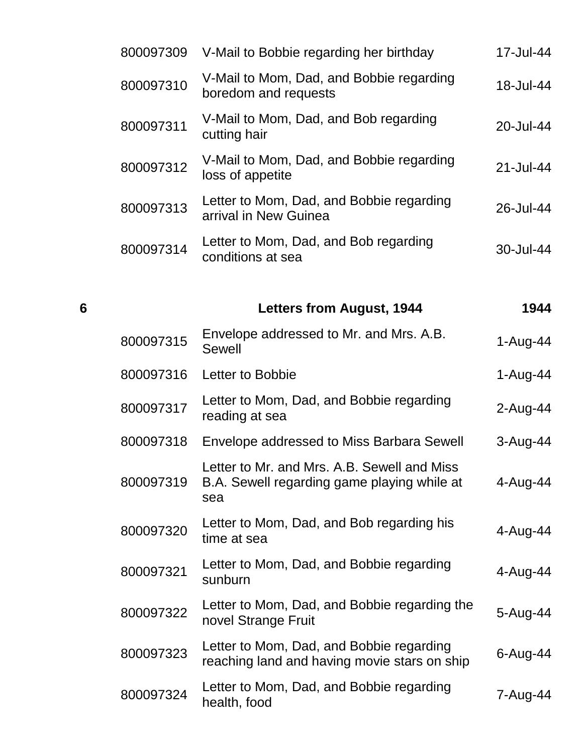|   | 800097309 | V-Mail to Bobbie regarding her birthday                                                           | 17-Jul-44   |
|---|-----------|---------------------------------------------------------------------------------------------------|-------------|
|   | 800097310 | V-Mail to Mom, Dad, and Bobbie regarding<br>boredom and requests                                  | 18-Jul-44   |
|   | 800097311 | V-Mail to Mom, Dad, and Bob regarding<br>cutting hair                                             | 20-Jul-44   |
|   | 800097312 | V-Mail to Mom, Dad, and Bobbie regarding<br>loss of appetite                                      | 21-Jul-44   |
|   | 800097313 | Letter to Mom, Dad, and Bobbie regarding<br>arrival in New Guinea                                 | 26-Jul-44   |
|   | 800097314 | Letter to Mom, Dad, and Bob regarding<br>conditions at sea                                        | 30-Jul-44   |
|   |           |                                                                                                   |             |
| 6 |           | Letters from August, 1944                                                                         | 1944        |
|   | 800097315 | Envelope addressed to Mr. and Mrs. A.B.<br><b>Sewell</b>                                          | $1-Auq-44$  |
|   | 800097316 | Letter to Bobbie                                                                                  | $1-Auq-44$  |
|   | 800097317 | Letter to Mom, Dad, and Bobbie regarding<br>reading at sea                                        | $2$ -Aug-44 |
|   | 800097318 | Envelope addressed to Miss Barbara Sewell                                                         | $3-Au$ g-44 |
|   | 800097319 | Letter to Mr. and Mrs. A.B. Sewell and Miss<br>B.A. Sewell regarding game playing while at<br>sea | 4-Aug-44    |
|   | 800097320 | Letter to Mom, Dad, and Bob regarding his<br>time at sea                                          | 4-Aug-44    |
|   | 800097321 | Letter to Mom, Dad, and Bobbie regarding<br>sunburn                                               | 4-Aug-44    |
|   | 800097322 | Letter to Mom, Dad, and Bobbie regarding the<br>novel Strange Fruit                               | 5-Aug-44    |
|   | 800097323 | Letter to Mom, Dad, and Bobbie regarding<br>reaching land and having movie stars on ship          | $6$ -Aug-44 |
|   | 800097324 | Letter to Mom, Dad, and Bobbie regarding<br>health, food                                          | 7-Aug-44    |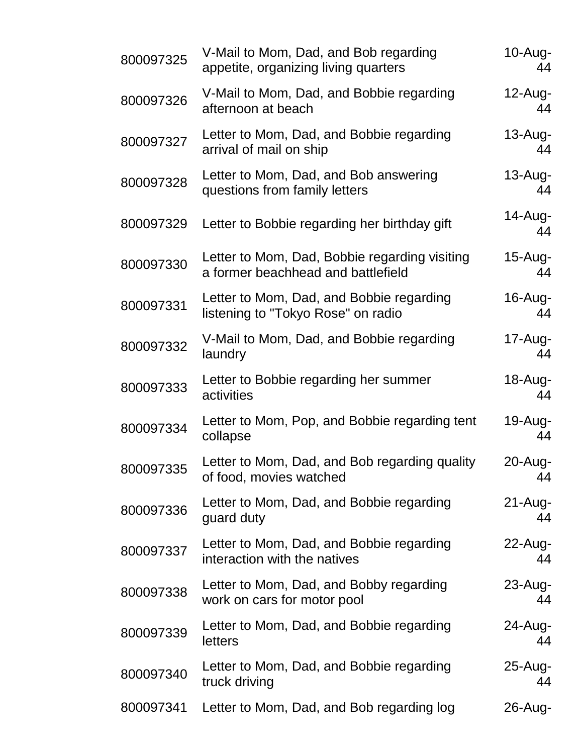| 800097325 | V-Mail to Mom, Dad, and Bob regarding<br>appetite, organizing living quarters       | $10-Au$ g-<br>44  |
|-----------|-------------------------------------------------------------------------------------|-------------------|
| 800097326 | V-Mail to Mom, Dad, and Bobbie regarding<br>afternoon at beach                      | $12$ -Aug-<br>44  |
| 800097327 | Letter to Mom, Dad, and Bobbie regarding<br>arrival of mail on ship                 | $13$ -Aug-<br>44  |
| 800097328 | Letter to Mom, Dad, and Bob answering<br>questions from family letters              | $13$ -Aug-<br>44  |
| 800097329 | Letter to Bobbie regarding her birthday gift                                        | 14-Aug-<br>44     |
| 800097330 | Letter to Mom, Dad, Bobbie regarding visiting<br>a former beachhead and battlefield | $15$ -Aug-<br>44  |
| 800097331 | Letter to Mom, Dad, and Bobbie regarding<br>listening to "Tokyo Rose" on radio      | $16$ -Aug-<br>44  |
| 800097332 | V-Mail to Mom, Dad, and Bobbie regarding<br>laundry                                 | $17$ -Aug-<br>44  |
| 800097333 | Letter to Bobbie regarding her summer<br>activities                                 | 18-Aug-<br>44     |
| 800097334 | Letter to Mom, Pop, and Bobbie regarding tent<br>collapse                           | 19-Aug-<br>44     |
| 800097335 | Letter to Mom, Dad, and Bob regarding quality<br>of food, movies watched            | 20-Aug-<br>44     |
| 800097336 | Letter to Mom, Dad, and Bobbie regarding<br>guard duty                              | $21 - Aug-$<br>44 |
| 800097337 | Letter to Mom, Dad, and Bobbie regarding<br>interaction with the natives            | $22$ -Aug-<br>44  |
| 800097338 | Letter to Mom, Dad, and Bobby regarding<br>work on cars for motor pool              | $23$ -Aug-<br>44  |
| 800097339 | Letter to Mom, Dad, and Bobbie regarding<br>letters                                 | 24-Aug-<br>44     |
| 800097340 | Letter to Mom, Dad, and Bobbie regarding<br>truck driving                           | $25 - Aug-$<br>44 |
| 800097341 | Letter to Mom, Dad, and Bob regarding log                                           | $26$ -Aug-        |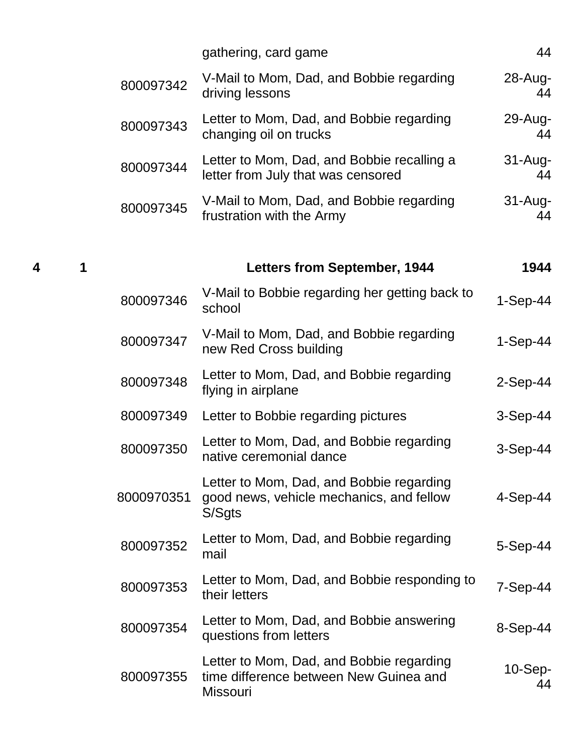|            | gathering, card game                                                                                  | 44                |
|------------|-------------------------------------------------------------------------------------------------------|-------------------|
| 800097342  | V-Mail to Mom, Dad, and Bobbie regarding<br>driving lessons                                           | $28 - Aug-$<br>44 |
| 800097343  | Letter to Mom, Dad, and Bobbie regarding<br>changing oil on trucks                                    | $29$ -Aug-<br>44  |
| 800097344  | Letter to Mom, Dad, and Bobbie recalling a<br>letter from July that was censored                      | $31 - Aug-$<br>44 |
| 800097345  | V-Mail to Mom, Dad, and Bobbie regarding<br>frustration with the Army                                 | $31 - Aug-$<br>44 |
|            | <b>Letters from September, 1944</b>                                                                   | 1944              |
| 800097346  | V-Mail to Bobbie regarding her getting back to<br>school                                              | $1-Sep-44$        |
| 800097347  | V-Mail to Mom, Dad, and Bobbie regarding<br>new Red Cross building                                    | $1-Sep-44$        |
| 800097348  | Letter to Mom, Dad, and Bobbie regarding<br>flying in airplane                                        | $2-Sep-44$        |
| 800097349  | Letter to Bobbie regarding pictures                                                                   | $3-Sep-44$        |
| 800097350  | Letter to Mom, Dad, and Bobbie regarding<br>native ceremonial dance                                   | $3-Sep-44$        |
| 8000970351 | Letter to Mom, Dad, and Bobbie regarding<br>good news, vehicle mechanics, and fellow<br>S/Sgts        | $4-Sep-44$        |
| 800097352  | Letter to Mom, Dad, and Bobbie regarding<br>mail                                                      | $5-Sep-44$        |
| 800097353  | Letter to Mom, Dad, and Bobbie responding to<br>their letters                                         | $7-Sep-44$        |
| 800097354  | Letter to Mom, Dad, and Bobbie answering<br>questions from letters                                    | $8-Sep-44$        |
| 800097355  | Letter to Mom, Dad, and Bobbie regarding<br>time difference between New Guinea and<br><b>Missouri</b> | $10-Sep-$<br>44   |

**4 1 Letters from September, 1944 1944**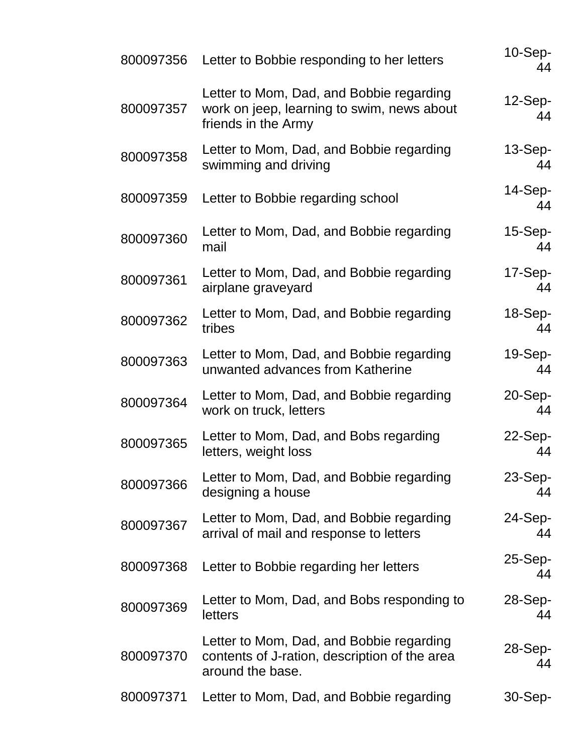| 800097356 | Letter to Bobbie responding to her letters                                                                    | $10-Sep-$<br>44    |
|-----------|---------------------------------------------------------------------------------------------------------------|--------------------|
| 800097357 | Letter to Mom, Dad, and Bobbie regarding<br>work on jeep, learning to swim, news about<br>friends in the Army | $12-Sep-$<br>44    |
| 800097358 | Letter to Mom, Dad, and Bobbie regarding<br>swimming and driving                                              | $13-Sep-$<br>44    |
| 800097359 | Letter to Bobbie regarding school                                                                             | 14-Sep-<br>44      |
| 800097360 | Letter to Mom, Dad, and Bobbie regarding<br>mail                                                              | $15-Sep-$<br>44    |
| 800097361 | Letter to Mom, Dad, and Bobbie regarding<br>airplane graveyard                                                | 17-Sep-<br>44      |
| 800097362 | Letter to Mom, Dad, and Bobbie regarding<br>tribes                                                            | $18-Sep-$<br>44    |
| 800097363 | Letter to Mom, Dad, and Bobbie regarding<br>unwanted advances from Katherine                                  | 19-Sep-<br>44      |
| 800097364 | Letter to Mom, Dad, and Bobbie regarding<br>work on truck, letters                                            | $20 - Sep -$<br>44 |
| 800097365 | Letter to Mom, Dad, and Bobs regarding<br>letters, weight loss                                                | 22-Sep-<br>44      |
| 800097366 | Letter to Mom, Dad, and Bobbie regarding<br>designing a house                                                 | 23-Sep-<br>44      |
| 800097367 | Letter to Mom, Dad, and Bobbie regarding<br>arrival of mail and response to letters                           | 24-Sep-<br>44      |
| 800097368 | Letter to Bobbie regarding her letters                                                                        | $25-Sep-$<br>44    |
| 800097369 | Letter to Mom, Dad, and Bobs responding to<br>letters                                                         | 28-Sep-<br>44      |
| 800097370 | Letter to Mom, Dad, and Bobbie regarding<br>contents of J-ration, description of the area<br>around the base. | 28-Sep-<br>44      |
| 800097371 | Letter to Mom, Dad, and Bobbie regarding                                                                      | 30-Sep-            |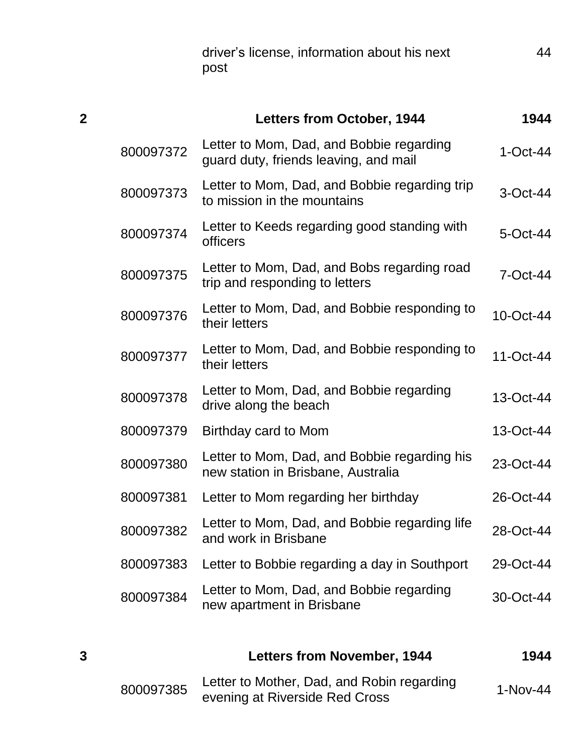driver's license, information about his next post

| $\overline{2}$ |           | <b>Letters from October, 1944</b>                                                  | 1944        |
|----------------|-----------|------------------------------------------------------------------------------------|-------------|
|                | 800097372 | Letter to Mom, Dad, and Bobbie regarding<br>guard duty, friends leaving, and mail  | $1-Oct-44$  |
|                | 800097373 | Letter to Mom, Dad, and Bobbie regarding trip<br>to mission in the mountains       | 3-Oct-44    |
|                | 800097374 | Letter to Keeds regarding good standing with<br>officers                           | 5-Oct-44    |
|                | 800097375 | Letter to Mom, Dad, and Bobs regarding road<br>trip and responding to letters      | $7$ -Oct-44 |
|                | 800097376 | Letter to Mom, Dad, and Bobbie responding to<br>their letters                      | 10-Oct-44   |
|                | 800097377 | Letter to Mom, Dad, and Bobbie responding to<br>their letters                      | 11-Oct-44   |
|                | 800097378 | Letter to Mom, Dad, and Bobbie regarding<br>drive along the beach                  | 13-Oct-44   |
|                | 800097379 | Birthday card to Mom                                                               | 13-Oct-44   |
|                | 800097380 | Letter to Mom, Dad, and Bobbie regarding his<br>new station in Brisbane, Australia | 23-Oct-44   |
|                | 800097381 | Letter to Mom regarding her birthday                                               | 26-Oct-44   |
|                | 800097382 | Letter to Mom, Dad, and Bobbie regarding life<br>and work in Brisbane              | 28-Oct-44   |
|                | 800097383 | Letter to Bobbie regarding a day in Southport                                      | 29-Oct-44   |
|                | 800097384 | Letter to Mom, Dad, and Bobbie regarding<br>new apartment in Brisbane              | 30-Oct-44   |
| 3              |           | <b>Letters from November, 1944</b>                                                 | 1944        |

| 800097385 | Letter to Mother, Dad, and Robin regarding | $1-Nov-44$ |
|-----------|--------------------------------------------|------------|
|           | evening at Riverside Red Cross             |            |

44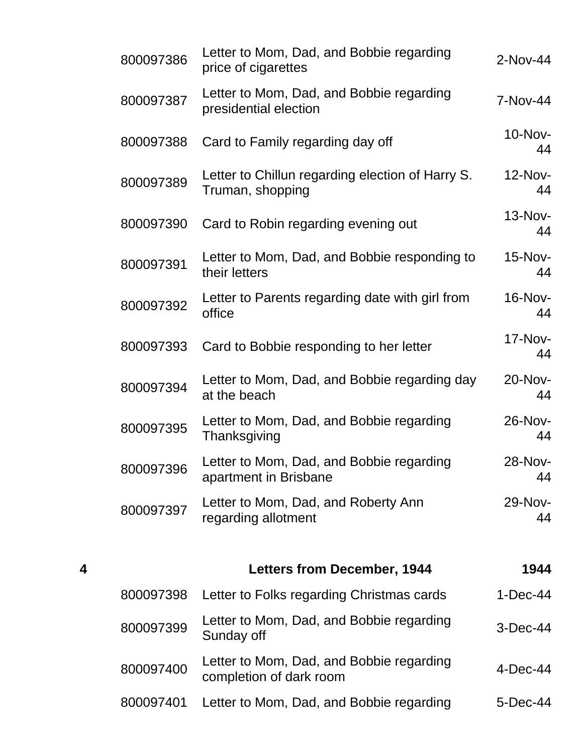|   | 800097386 | Letter to Mom, Dad, and Bobbie regarding<br>price of cigarettes      | 2-Nov-44      |
|---|-----------|----------------------------------------------------------------------|---------------|
|   | 800097387 | Letter to Mom, Dad, and Bobbie regarding<br>presidential election    | 7-Nov-44      |
|   | 800097388 | Card to Family regarding day off                                     | 10-Nov-<br>44 |
|   | 800097389 | Letter to Chillun regarding election of Harry S.<br>Truman, shopping | 12-Nov-<br>44 |
|   | 800097390 | Card to Robin regarding evening out                                  | 13-Nov-<br>44 |
|   | 800097391 | Letter to Mom, Dad, and Bobbie responding to<br>their letters        | 15-Nov-<br>44 |
|   | 800097392 | Letter to Parents regarding date with girl from<br>office            | 16-Nov-<br>44 |
|   | 800097393 | Card to Bobbie responding to her letter                              | 17-Nov-<br>44 |
|   | 800097394 | Letter to Mom, Dad, and Bobbie regarding day<br>at the beach         | 20-Nov-<br>44 |
|   | 800097395 | Letter to Mom, Dad, and Bobbie regarding<br>Thanksgiving             | 26-Nov-<br>44 |
|   | 800097396 | Letter to Mom, Dad, and Bobbie regarding<br>apartment in Brisbane    | 28-Nov-<br>44 |
|   | 800097397 | Letter to Mom, Dad, and Roberty Ann<br>regarding allotment           | 29-Nov-<br>44 |
| 4 |           | <b>Letters from December, 1944</b>                                   | 1944          |
|   | 800097398 | Letter to Folks regarding Christmas cards                            | $1-Dec-44$    |
|   | 800097399 | Letter to Mom, Dad, and Bobbie regarding<br>Sunday off               | 3-Dec-44      |
|   | 800097400 | Letter to Mom, Dad, and Bobbie regarding<br>completion of dark room  | $4$ -Dec-44   |
|   | 800097401 | Letter to Mom, Dad, and Bobbie regarding                             | 5-Dec-44      |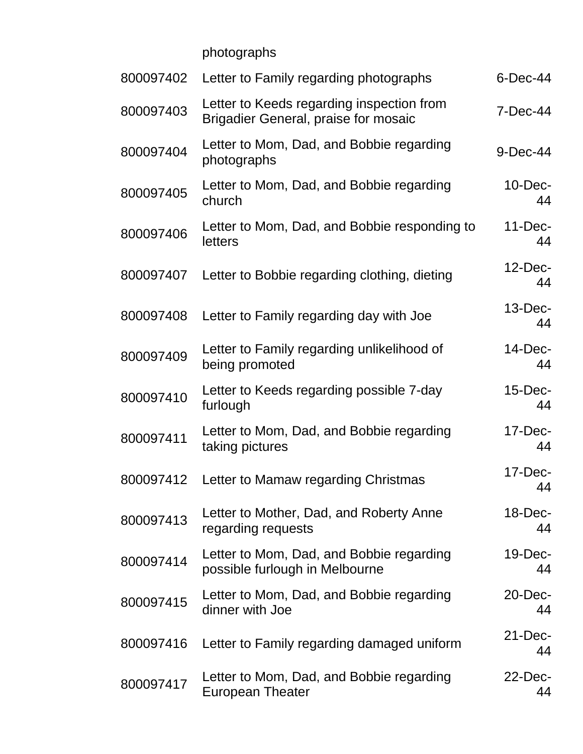photographs

| 800097402 | Letter to Family regarding photographs                                            | 6-Dec-44         |
|-----------|-----------------------------------------------------------------------------------|------------------|
| 800097403 | Letter to Keeds regarding inspection from<br>Brigadier General, praise for mosaic | 7-Dec-44         |
| 800097404 | Letter to Mom, Dad, and Bobbie regarding<br>photographs                           | 9-Dec-44         |
| 800097405 | Letter to Mom, Dad, and Bobbie regarding<br>church                                | $10$ -Dec-<br>44 |
| 800097406 | Letter to Mom, Dad, and Bobbie responding to<br>letters                           | $11-Dec-$<br>44  |
| 800097407 | Letter to Bobbie regarding clothing, dieting                                      | $12$ -Dec-<br>44 |
| 800097408 | Letter to Family regarding day with Joe                                           | $13$ -Dec-<br>44 |
| 800097409 | Letter to Family regarding unlikelihood of<br>being promoted                      | $14$ -Dec-<br>44 |
| 800097410 | Letter to Keeds regarding possible 7-day<br>furlough                              | $15$ -Dec-<br>44 |
| 800097411 | Letter to Mom, Dad, and Bobbie regarding<br>taking pictures                       | $17$ -Dec-<br>44 |
| 800097412 | Letter to Mamaw regarding Christmas                                               | $17$ -Dec-<br>44 |
| 800097413 | Letter to Mother, Dad, and Roberty Anne<br>regarding requests                     | $18$ -Dec-<br>44 |
| 800097414 | Letter to Mom, Dad, and Bobbie regarding<br>possible furlough in Melbourne        | 19-Dec-<br>44    |
| 800097415 | Letter to Mom, Dad, and Bobbie regarding<br>dinner with Joe                       | $20$ -Dec-<br>44 |
| 800097416 | Letter to Family regarding damaged uniform                                        | $21$ -Dec-<br>44 |
| 800097417 | Letter to Mom, Dad, and Bobbie regarding<br><b>European Theater</b>               | $22$ -Dec-<br>44 |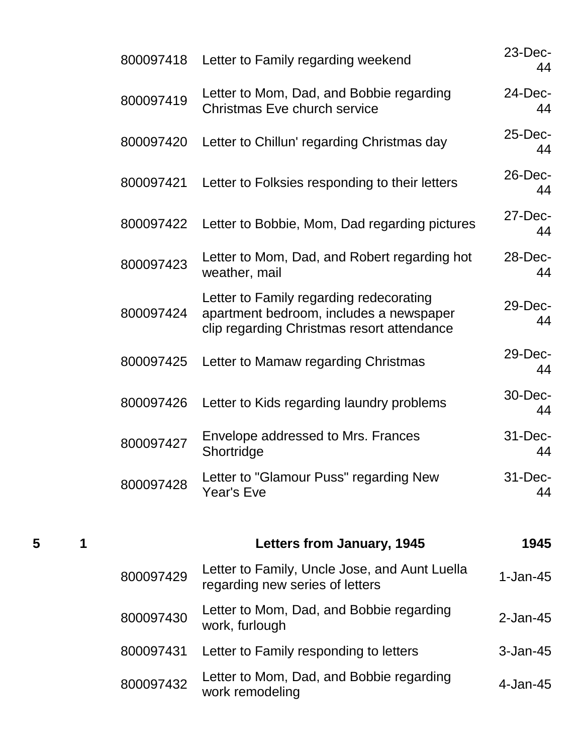| 800097418 | Letter to Family regarding weekend                                                                                               | $23$ -Dec-<br>44  |
|-----------|----------------------------------------------------------------------------------------------------------------------------------|-------------------|
| 800097419 | Letter to Mom, Dad, and Bobbie regarding<br><b>Christmas Eve church service</b>                                                  | 24-Dec-<br>44     |
| 800097420 | Letter to Chillun' regarding Christmas day                                                                                       | 25-Dec-<br>44     |
| 800097421 | Letter to Folksies responding to their letters                                                                                   | 26-Dec-<br>44     |
| 800097422 | Letter to Bobbie, Mom, Dad regarding pictures                                                                                    | $27$ -Dec-<br>44  |
| 800097423 | Letter to Mom, Dad, and Robert regarding hot<br>weather, mail                                                                    | 28-Dec-<br>44     |
| 800097424 | Letter to Family regarding redecorating<br>apartment bedroom, includes a newspaper<br>clip regarding Christmas resort attendance | 29-Dec-<br>44     |
| 800097425 | Letter to Mamaw regarding Christmas                                                                                              | 29-Dec-<br>44     |
| 800097426 | Letter to Kids regarding laundry problems                                                                                        | 30-Dec-<br>44     |
| 800097427 | Envelope addressed to Mrs. Frances<br>Shortridge                                                                                 | $31 - Dec-$<br>44 |
| 800097428 | Letter to "Glamour Puss" regarding New<br>Year's Eve                                                                             | 31-Dec-<br>44     |
|           | <b>Letters from January, 1945</b>                                                                                                | 1945              |
| 800097429 | Letter to Family, Uncle Jose, and Aunt Luella<br>regarding new series of letters                                                 | $1-Jan-45$        |
| 800097430 | Letter to Mom, Dad, and Bobbie regarding<br>work, furlough                                                                       | $2$ -Jan-45       |
| 800097431 | Letter to Family responding to letters                                                                                           | $3$ -Jan-45       |
| 800097432 | Letter to Mom, Dad, and Bobbie regarding<br>work remodeling                                                                      | 4-Jan-45          |

**5 1 Letters from January, 1945 1945**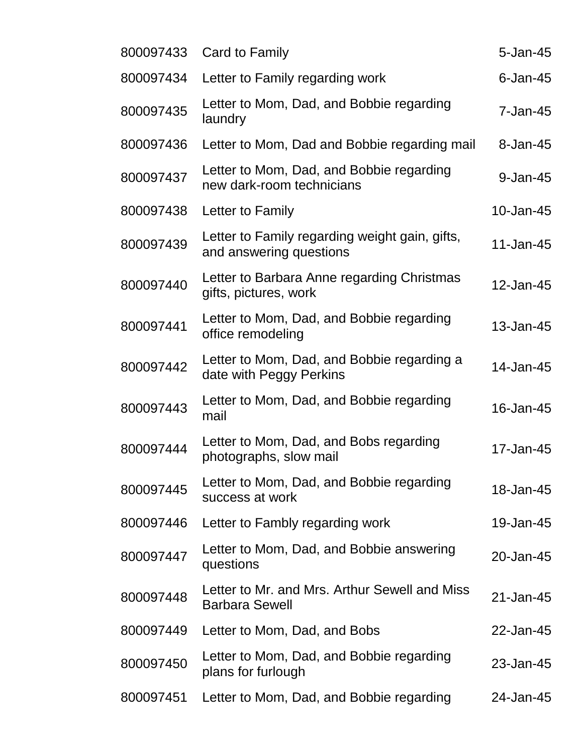| 800097433 | Card to Family                                                            | $5 - Jan-45$ |
|-----------|---------------------------------------------------------------------------|--------------|
| 800097434 | Letter to Family regarding work                                           | $6$ -Jan-45  |
| 800097435 | Letter to Mom, Dad, and Bobbie regarding<br>laundry                       | $7 - Jan-45$ |
| 800097436 | Letter to Mom, Dad and Bobbie regarding mail                              | 8-Jan-45     |
| 800097437 | Letter to Mom, Dad, and Bobbie regarding<br>new dark-room technicians     | 9-Jan-45     |
| 800097438 | Letter to Family                                                          | 10-Jan-45    |
| 800097439 | Letter to Family regarding weight gain, gifts,<br>and answering questions | 11-Jan-45    |
| 800097440 | Letter to Barbara Anne regarding Christmas<br>gifts, pictures, work       | 12-Jan-45    |
| 800097441 | Letter to Mom, Dad, and Bobbie regarding<br>office remodeling             | 13-Jan-45    |
| 800097442 | Letter to Mom, Dad, and Bobbie regarding a<br>date with Peggy Perkins     | 14-Jan-45    |
| 800097443 | Letter to Mom, Dad, and Bobbie regarding<br>mail                          | 16-Jan-45    |
| 800097444 | Letter to Mom, Dad, and Bobs regarding<br>photographs, slow mail          | 17-Jan-45    |
| 800097445 | Letter to Mom, Dad, and Bobbie regarding<br>success at work               | 18-Jan-45    |
| 800097446 | Letter to Fambly regarding work                                           | 19-Jan-45    |
| 800097447 | Letter to Mom, Dad, and Bobbie answering<br>questions                     | 20-Jan-45    |
| 800097448 | Letter to Mr. and Mrs. Arthur Sewell and Miss<br><b>Barbara Sewell</b>    | 21-Jan-45    |
| 800097449 | Letter to Mom, Dad, and Bobs                                              | 22-Jan-45    |
| 800097450 | Letter to Mom, Dad, and Bobbie regarding<br>plans for furlough            | 23-Jan-45    |
| 800097451 | Letter to Mom, Dad, and Bobbie regarding                                  | 24-Jan-45    |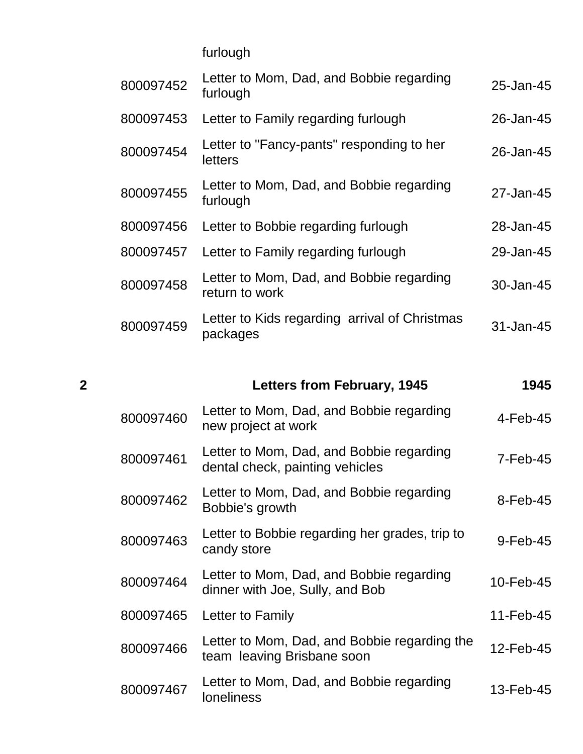furlough

| 800097452 | Letter to Mom, Dad, and Bobbie regarding<br>furlough       | 25-Jan-45 |
|-----------|------------------------------------------------------------|-----------|
| 800097453 | Letter to Family regarding furlough                        | 26-Jan-45 |
| 800097454 | Letter to "Fancy-pants" responding to her<br>letters       | 26-Jan-45 |
| 800097455 | Letter to Mom, Dad, and Bobbie regarding<br>furlough       | 27-Jan-45 |
| 800097456 | Letter to Bobbie regarding furlough                        | 28-Jan-45 |
| 800097457 | Letter to Family regarding furlough                        | 29-Jan-45 |
| 800097458 | Letter to Mom, Dad, and Bobbie regarding<br>return to work | 30-Jan-45 |
| 800097459 | Letter to Kids regarding arrival of Christmas<br>packages  | 31-Jan-45 |

| $\overline{2}$ |           | <b>Letters from February, 1945</b>                                          | 1945        |
|----------------|-----------|-----------------------------------------------------------------------------|-------------|
|                | 800097460 | Letter to Mom, Dad, and Bobbie regarding<br>new project at work             | $4$ -Feb-45 |
|                | 800097461 | Letter to Mom, Dad, and Bobbie regarding<br>dental check, painting vehicles | $7-Feb-45$  |
|                | 800097462 | Letter to Mom, Dad, and Bobbie regarding<br>Bobbie's growth                 | 8-Feb-45    |
|                | 800097463 | Letter to Bobbie regarding her grades, trip to<br>candy store               | 9-Feb-45    |
|                | 800097464 | Letter to Mom, Dad, and Bobbie regarding<br>dinner with Joe, Sully, and Bob | 10-Feb-45   |
|                | 800097465 | Letter to Family                                                            | 11-Feb-45   |
|                | 800097466 | Letter to Mom, Dad, and Bobbie regarding the<br>team leaving Brisbane soon  | 12-Feb-45   |
|                | 800097467 | Letter to Mom, Dad, and Bobbie regarding<br><b>loneliness</b>               | 13-Feb-45   |
|                |           |                                                                             |             |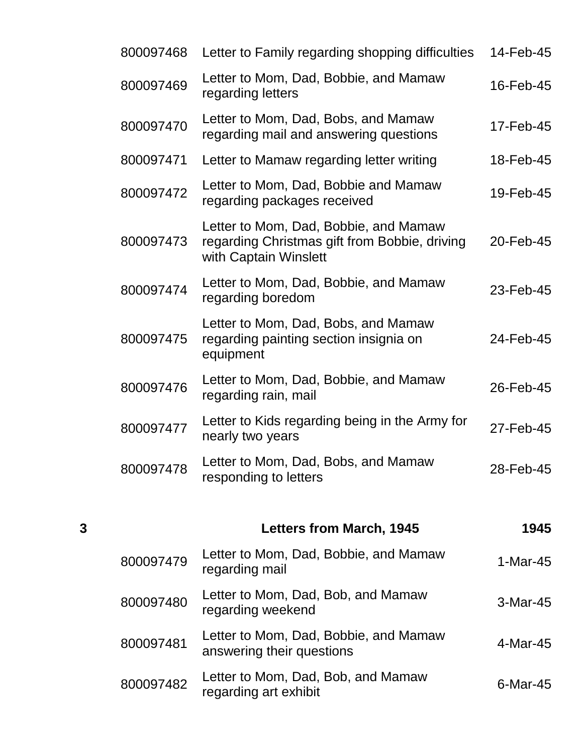|   | 800097468 | Letter to Family regarding shopping difficulties                                                                | 14-Feb-45 |
|---|-----------|-----------------------------------------------------------------------------------------------------------------|-----------|
|   | 800097469 | Letter to Mom, Dad, Bobbie, and Mamaw<br>regarding letters                                                      | 16-Feb-45 |
|   | 800097470 | Letter to Mom, Dad, Bobs, and Mamaw<br>regarding mail and answering questions                                   | 17-Feb-45 |
|   | 800097471 | Letter to Mamaw regarding letter writing                                                                        | 18-Feb-45 |
|   | 800097472 | Letter to Mom, Dad, Bobbie and Mamaw<br>regarding packages received                                             | 19-Feb-45 |
|   | 800097473 | Letter to Mom, Dad, Bobbie, and Mamaw<br>regarding Christmas gift from Bobbie, driving<br>with Captain Winslett | 20-Feb-45 |
|   | 800097474 | Letter to Mom, Dad, Bobbie, and Mamaw<br>regarding boredom                                                      | 23-Feb-45 |
|   | 800097475 | Letter to Mom, Dad, Bobs, and Mamaw<br>regarding painting section insignia on<br>equipment                      | 24-Feb-45 |
|   | 800097476 | Letter to Mom, Dad, Bobbie, and Mamaw<br>regarding rain, mail                                                   | 26-Feb-45 |
|   | 800097477 | Letter to Kids regarding being in the Army for<br>nearly two years                                              | 27-Feb-45 |
|   | 800097478 | Letter to Mom, Dad, Bobs, and Mamaw<br>responding to letters                                                    | 28-Feb-45 |
|   |           |                                                                                                                 |           |
| 3 |           | <b>Letters from March, 1945</b>                                                                                 | 1945      |
|   | 800097479 | Letter to Mom, Dad, Bobbie, and Mamaw<br>regarding mail                                                         | 1-Mar-45  |
|   | 800097480 | Letter to Mom, Dad, Bob, and Mamaw<br>regarding weekend                                                         | 3-Mar-45  |
|   | 800097481 | Letter to Mom, Dad, Bobbie, and Mamaw<br>answering their questions                                              | 4-Mar-45  |
|   | 800097482 | Letter to Mom, Dad, Bob, and Mamaw<br>regarding art exhibit                                                     | 6-Mar-45  |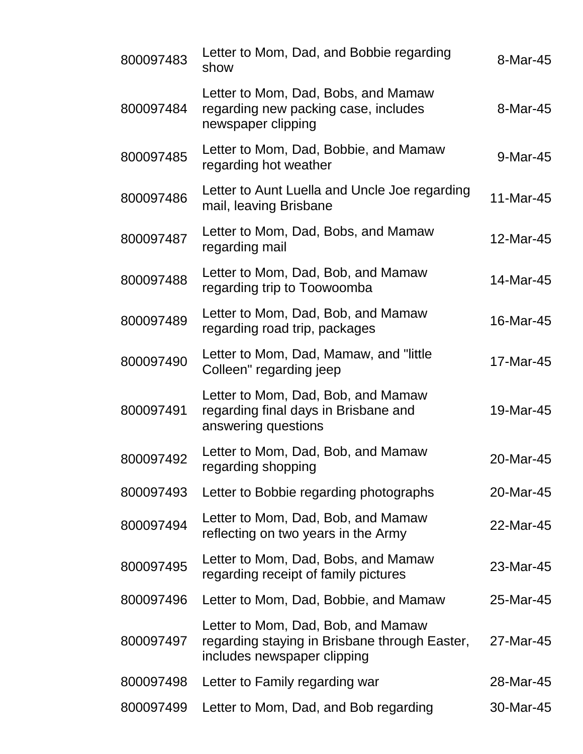| 800097483 | Letter to Mom, Dad, and Bobbie regarding<br>show                                                                   | 8-Mar-45  |
|-----------|--------------------------------------------------------------------------------------------------------------------|-----------|
| 800097484 | Letter to Mom, Dad, Bobs, and Mamaw<br>regarding new packing case, includes<br>newspaper clipping                  | 8-Mar-45  |
| 800097485 | Letter to Mom, Dad, Bobbie, and Mamaw<br>regarding hot weather                                                     | 9-Mar-45  |
| 800097486 | Letter to Aunt Luella and Uncle Joe regarding<br>mail, leaving Brisbane                                            | 11-Mar-45 |
| 800097487 | Letter to Mom, Dad, Bobs, and Mamaw<br>regarding mail                                                              | 12-Mar-45 |
| 800097488 | Letter to Mom, Dad, Bob, and Mamaw<br>regarding trip to Toowoomba                                                  | 14-Mar-45 |
| 800097489 | Letter to Mom, Dad, Bob, and Mamaw<br>regarding road trip, packages                                                | 16-Mar-45 |
| 800097490 | Letter to Mom, Dad, Mamaw, and "little<br>Colleen" regarding jeep                                                  | 17-Mar-45 |
| 800097491 | Letter to Mom, Dad, Bob, and Mamaw<br>regarding final days in Brisbane and<br>answering questions                  | 19-Mar-45 |
| 800097492 | Letter to Mom, Dad, Bob, and Mamaw<br>regarding shopping                                                           | 20-Mar-45 |
| 800097493 | Letter to Bobbie regarding photographs                                                                             | 20-Mar-45 |
| 800097494 | Letter to Mom, Dad, Bob, and Mamaw<br>reflecting on two years in the Army                                          | 22-Mar-45 |
| 800097495 | Letter to Mom, Dad, Bobs, and Mamaw<br>regarding receipt of family pictures                                        | 23-Mar-45 |
| 800097496 | Letter to Mom, Dad, Bobbie, and Mamaw                                                                              | 25-Mar-45 |
| 800097497 | Letter to Mom, Dad, Bob, and Mamaw<br>regarding staying in Brisbane through Easter,<br>includes newspaper clipping | 27-Mar-45 |
| 800097498 | Letter to Family regarding war                                                                                     | 28-Mar-45 |
| 800097499 | Letter to Mom, Dad, and Bob regarding                                                                              | 30-Mar-45 |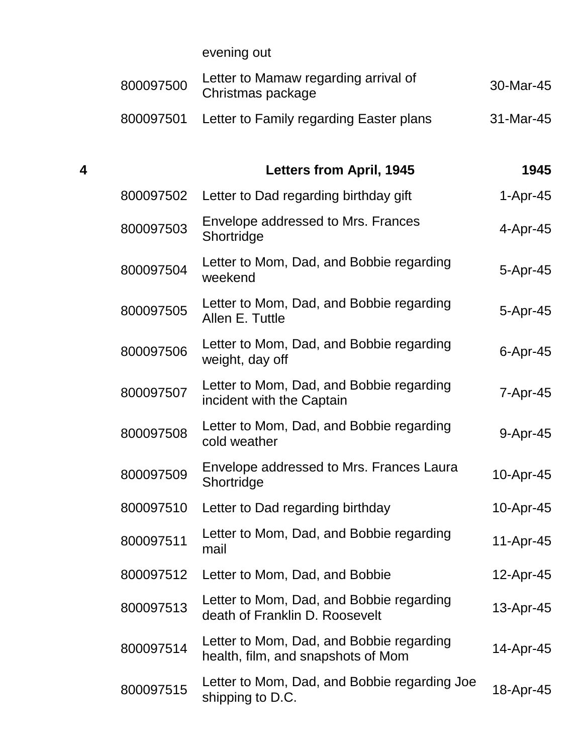evening out

|   | 800097500 | Letter to Mamaw regarding arrival of<br>Christmas package                      | 30-Mar-45      |
|---|-----------|--------------------------------------------------------------------------------|----------------|
|   | 800097501 | Letter to Family regarding Easter plans                                        | 31-Mar-45      |
| 4 |           | <b>Letters from April, 1945</b>                                                | 1945           |
|   | 800097502 | Letter to Dad regarding birthday gift                                          | $1-Apr-45$     |
|   | 800097503 | Envelope addressed to Mrs. Frances<br>Shortridge                               | 4-Apr-45       |
|   | 800097504 | Letter to Mom, Dad, and Bobbie regarding<br>weekend                            | $5-Apr-45$     |
|   | 800097505 | Letter to Mom, Dad, and Bobbie regarding<br>Allen E. Tuttle                    | $5-Apr-45$     |
|   | 800097506 | Letter to Mom, Dad, and Bobbie regarding<br>weight, day off                    | $6$ -Apr-45    |
|   | 800097507 | Letter to Mom, Dad, and Bobbie regarding<br>incident with the Captain          | $7 - Apr - 45$ |
|   | 800097508 | Letter to Mom, Dad, and Bobbie regarding<br>cold weather                       | 9-Apr-45       |
|   | 800097509 | Envelope addressed to Mrs. Frances Laura<br>Shortridge                         | 10-Apr-45      |
|   | 800097510 | Letter to Dad regarding birthday                                               | 10-Apr-45      |
|   | 800097511 | Letter to Mom, Dad, and Bobbie regarding<br>mail                               | 11-Apr-45      |
|   | 800097512 | Letter to Mom, Dad, and Bobbie                                                 | 12-Apr-45      |
|   | 800097513 | Letter to Mom, Dad, and Bobbie regarding<br>death of Franklin D. Roosevelt     | 13-Apr-45      |
|   | 800097514 | Letter to Mom, Dad, and Bobbie regarding<br>health, film, and snapshots of Mom | 14-Apr-45      |
|   | 800097515 | Letter to Mom, Dad, and Bobbie regarding Joe<br>shipping to D.C.               | 18-Apr-45      |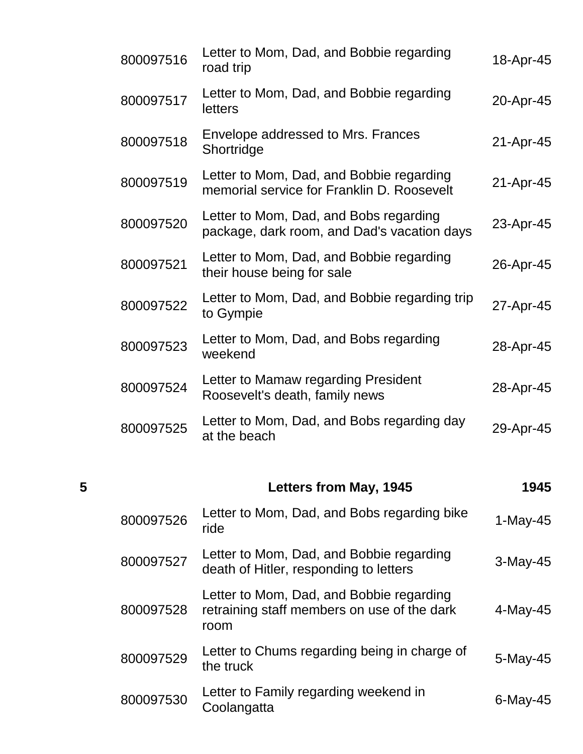| 800097516 | Letter to Mom, Dad, and Bobbie regarding<br>road trip                                  | 18-Apr-45 |
|-----------|----------------------------------------------------------------------------------------|-----------|
| 800097517 | Letter to Mom, Dad, and Bobbie regarding<br>letters                                    | 20-Apr-45 |
| 800097518 | Envelope addressed to Mrs. Frances<br>Shortridge                                       | 21-Apr-45 |
| 800097519 | Letter to Mom, Dad, and Bobbie regarding<br>memorial service for Franklin D. Roosevelt | 21-Apr-45 |
| 800097520 | Letter to Mom, Dad, and Bobs regarding<br>package, dark room, and Dad's vacation days  | 23-Apr-45 |
| 800097521 | Letter to Mom, Dad, and Bobbie regarding<br>their house being for sale                 | 26-Apr-45 |
| 800097522 | Letter to Mom, Dad, and Bobbie regarding trip<br>to Gympie                             | 27-Apr-45 |
| 800097523 | Letter to Mom, Dad, and Bobs regarding<br>weekend                                      | 28-Apr-45 |
| 800097524 | Letter to Mamaw regarding President<br>Roosevelt's death, family news                  | 28-Apr-45 |
| 800097525 | Letter to Mom, Dad, and Bobs regarding day<br>at the beach                             | 29-Apr-45 |
|           |                                                                                        |           |

| 5 |           | Letters from May, 1945                                                                          | 1945        |
|---|-----------|-------------------------------------------------------------------------------------------------|-------------|
|   | 800097526 | Letter to Mom, Dad, and Bobs regarding bike<br>ride                                             | $1-May-45$  |
|   | 800097527 | Letter to Mom, Dad, and Bobbie regarding<br>death of Hitler, responding to letters              | $3-May-45$  |
|   | 800097528 | Letter to Mom, Dad, and Bobbie regarding<br>retraining staff members on use of the dark<br>room | $4$ -May-45 |
|   | 800097529 | Letter to Chums regarding being in charge of<br>the truck                                       | $5-May-45$  |
|   | 800097530 | Letter to Family regarding weekend in<br>Coolangatta                                            | $6$ -May-45 |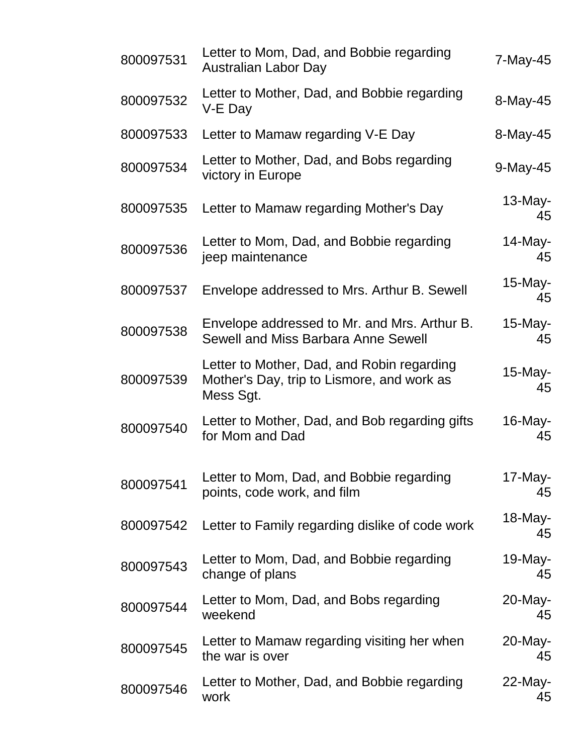| 800097531 | Letter to Mom, Dad, and Bobbie regarding<br><b>Australian Labor Day</b>                               | 7-May-45         |
|-----------|-------------------------------------------------------------------------------------------------------|------------------|
| 800097532 | Letter to Mother, Dad, and Bobbie regarding<br>V-E Day                                                | 8-May-45         |
| 800097533 | Letter to Mamaw regarding V-E Day                                                                     | 8-May-45         |
| 800097534 | Letter to Mother, Dad, and Bobs regarding<br>victory in Europe                                        | 9-May-45         |
| 800097535 | Letter to Mamaw regarding Mother's Day                                                                | $13$ -May-<br>45 |
| 800097536 | Letter to Mom, Dad, and Bobbie regarding<br>jeep maintenance                                          | $14$ -May-<br>45 |
| 800097537 | Envelope addressed to Mrs. Arthur B. Sewell                                                           | $15$ -May-<br>45 |
| 800097538 | Envelope addressed to Mr. and Mrs. Arthur B.<br>Sewell and Miss Barbara Anne Sewell                   | $15$ -May-<br>45 |
| 800097539 | Letter to Mother, Dad, and Robin regarding<br>Mother's Day, trip to Lismore, and work as<br>Mess Sgt. | $15$ -May-<br>45 |
| 800097540 | Letter to Mother, Dad, and Bob regarding gifts<br>for Mom and Dad                                     | 16-May-<br>45    |
| 800097541 | Letter to Mom, Dad, and Bobbie regarding<br>points, code work, and film                               | 17-May-<br>45    |
| 800097542 | Letter to Family regarding dislike of code work                                                       | $18$ -May-<br>45 |
| 800097543 | Letter to Mom, Dad, and Bobbie regarding<br>change of plans                                           | $19$ -May-<br>45 |
| 800097544 | Letter to Mom, Dad, and Bobs regarding<br>weekend                                                     | 20-May-<br>45    |
| 800097545 | Letter to Mamaw regarding visiting her when<br>the war is over                                        | 20-May-<br>45    |
| 800097546 | Letter to Mother, Dad, and Bobbie regarding<br>work                                                   | 22-May-<br>45    |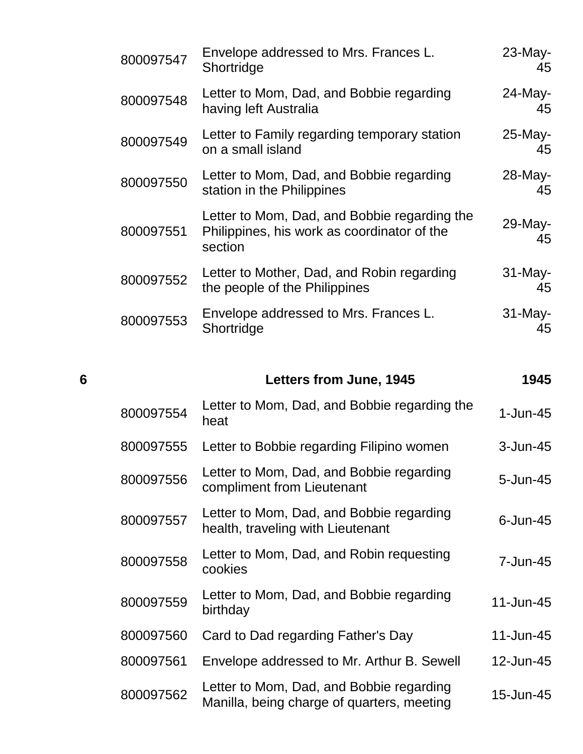| 800097547 | Envelope addressed to Mrs. Frances L.<br>Shortridge                                                    | $23$ -May-<br>45 |
|-----------|--------------------------------------------------------------------------------------------------------|------------------|
| 800097548 | Letter to Mom, Dad, and Bobbie regarding<br>having left Australia                                      | 24-May-<br>45    |
| 800097549 | Letter to Family regarding temporary station<br>on a small island                                      | 25-May-<br>45    |
| 800097550 | Letter to Mom, Dad, and Bobbie regarding<br>station in the Philippines                                 | 28-May-<br>45    |
| 800097551 | Letter to Mom, Dad, and Bobbie regarding the<br>Philippines, his work as coordinator of the<br>section | 29-May-<br>45    |
| 800097552 | Letter to Mother, Dad, and Robin regarding<br>the people of the Philippines                            | 31-May-<br>45    |
| 800097553 | Envelope addressed to Mrs. Frances L.<br>Shortridge                                                    | $31$ -May-<br>45 |

| 6         |           | <b>Letters from June, 1945</b>                                         | 1945         |  |
|-----------|-----------|------------------------------------------------------------------------|--------------|--|
| 800097554 |           | Letter to Mom, Dad, and Bobbie regarding the<br>heat                   | $1$ -Jun-45  |  |
|           | 800097555 | Letter to Bobbie regarding Filipino women                              | 3-Jun-45     |  |
| 800097556 |           | Letter to Mom, Dad, and Bobbie regarding<br>compliment from Lieutenant | $5 - Jun-45$ |  |
|           |           | Lotter to Mam Dad, and Robbio regarding                                |              |  |

| 800097557 | Letter to Mom, Dad, and Bobbie regarding<br>health, traveling with Lieutenant | 6-Jun-45 |
|-----------|-------------------------------------------------------------------------------|----------|
| 800097558 | Letter to Mom, Dad, and Robin requesting<br>cookies                           | 7-Jun-45 |

| 800097559 | Letter to Mom, Dad, and Bobbie regarding<br>birthday                                   | 11-Jun-45 |
|-----------|----------------------------------------------------------------------------------------|-----------|
|           | 800097560 Card to Dad regarding Father's Day                                           | 11-Jun-45 |
| 800097561 | Envelope addressed to Mr. Arthur B. Sewell                                             | 12-Jun-45 |
| 800097562 | Letter to Mom, Dad, and Bobbie regarding<br>Manilla, being charge of quarters, meeting | 15-Jun-45 |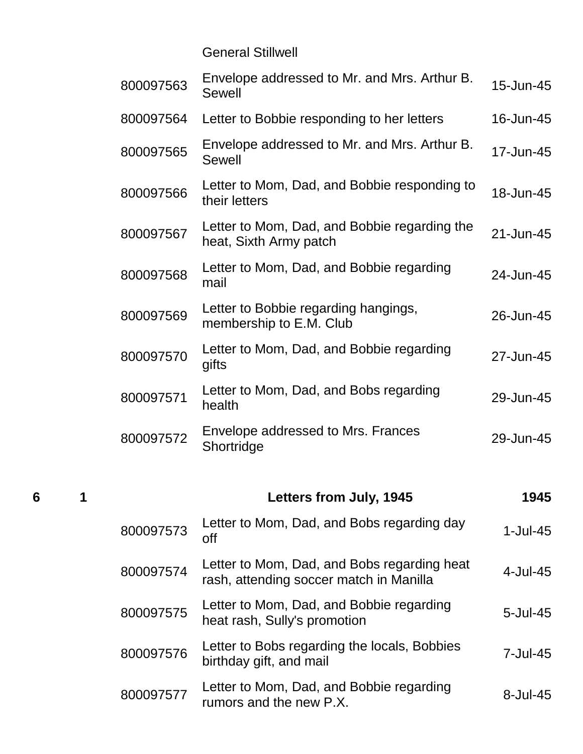General Stillwell

| 800097563 | Envelope addressed to Mr. and Mrs. Arthur B.<br>Sewell                 | 15-Jun-45 |
|-----------|------------------------------------------------------------------------|-----------|
| 800097564 | Letter to Bobbie responding to her letters                             | 16-Jun-45 |
| 800097565 | Envelope addressed to Mr. and Mrs. Arthur B.<br><b>Sewell</b>          | 17-Jun-45 |
| 800097566 | Letter to Mom, Dad, and Bobbie responding to<br>their letters          | 18-Jun-45 |
| 800097567 | Letter to Mom, Dad, and Bobbie regarding the<br>heat, Sixth Army patch | 21-Jun-45 |
| 800097568 | Letter to Mom, Dad, and Bobbie regarding<br>mail                       | 24-Jun-45 |
| 800097569 | Letter to Bobbie regarding hangings,<br>membership to E.M. Club        | 26-Jun-45 |
| 800097570 | Letter to Mom, Dad, and Bobbie regarding<br>gifts                      | 27-Jun-45 |
| 800097571 | Letter to Mom, Dad, and Bobs regarding<br>health                       | 29-Jun-45 |
| 800097572 | Envelope addressed to Mrs. Frances<br>Shortridge                       | 29-Jun-45 |

| 6 |           | Letters from July, 1945                                                                | 1945            |
|---|-----------|----------------------------------------------------------------------------------------|-----------------|
|   | 800097573 | Letter to Mom, Dad, and Bobs regarding day<br>off                                      | 1-Jul-45        |
|   | 800097574 | Letter to Mom, Dad, and Bobs regarding heat<br>rash, attending soccer match in Manilla | 4-Jul-45        |
|   | 800097575 | Letter to Mom, Dad, and Bobbie regarding<br>heat rash, Sully's promotion               | $5 -$ Jul $-45$ |
|   | 800097576 | Letter to Bobs regarding the locals, Bobbies<br>birthday gift, and mail                | 7-Jul-45        |
|   | 800097577 | Letter to Mom, Dad, and Bobbie regarding<br>rumors and the new P.X.                    | 8-Jul-45        |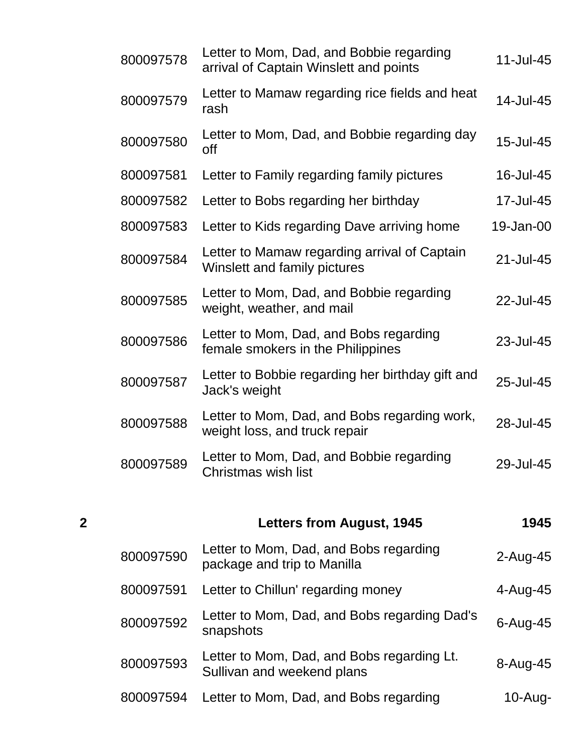| $\overline{2}$ | <b>Letters from August, 1945</b>                                                   | 1945      |
|----------------|------------------------------------------------------------------------------------|-----------|
| 800097589      | Letter to Mom, Dad, and Bobbie regarding<br>Christmas wish list                    | 29-Jul-45 |
| 800097588      | Letter to Mom, Dad, and Bobs regarding work,<br>weight loss, and truck repair      | 28-Jul-45 |
| 800097587      | Letter to Bobbie regarding her birthday gift and<br>Jack's weight                  | 25-Jul-45 |
| 800097586      | Letter to Mom, Dad, and Bobs regarding<br>female smokers in the Philippines        | 23-Jul-45 |
| 800097585      | Letter to Mom, Dad, and Bobbie regarding<br>weight, weather, and mail              | 22-Jul-45 |
| 800097584      | Letter to Mamaw regarding arrival of Captain<br>Winslett and family pictures       | 21-Jul-45 |
| 800097583      | Letter to Kids regarding Dave arriving home                                        | 19-Jan-00 |
| 800097582      | Letter to Bobs regarding her birthday                                              | 17-Jul-45 |
| 800097581      | Letter to Family regarding family pictures                                         | 16-Jul-45 |
| 800097580      | Letter to Mom, Dad, and Bobbie regarding day<br>off                                | 15-Jul-45 |
| 800097579      | Letter to Mamaw regarding rice fields and heat<br>rash                             | 14-Jul-45 |
| 800097578      | Letter to Mom, Dad, and Bobbie regarding<br>arrival of Captain Winslett and points | 11-Jul-45 |

| 800097590 | Letter to Mom, Dad, and Bobs regarding<br>package and trip to Manilla    | $2$ -Aug-45  |
|-----------|--------------------------------------------------------------------------|--------------|
| 800097591 | Letter to Chillun' regarding money                                       | 4-Aug-45     |
| 800097592 | Letter to Mom, Dad, and Bobs regarding Dad's<br>snapshots                | $6 - Aug-45$ |
| 800097593 | Letter to Mom, Dad, and Bobs regarding Lt.<br>Sullivan and weekend plans | 8-Aug-45     |
| 800097594 | Letter to Mom, Dad, and Bobs regarding                                   | $10 - Aug -$ |
|           |                                                                          |              |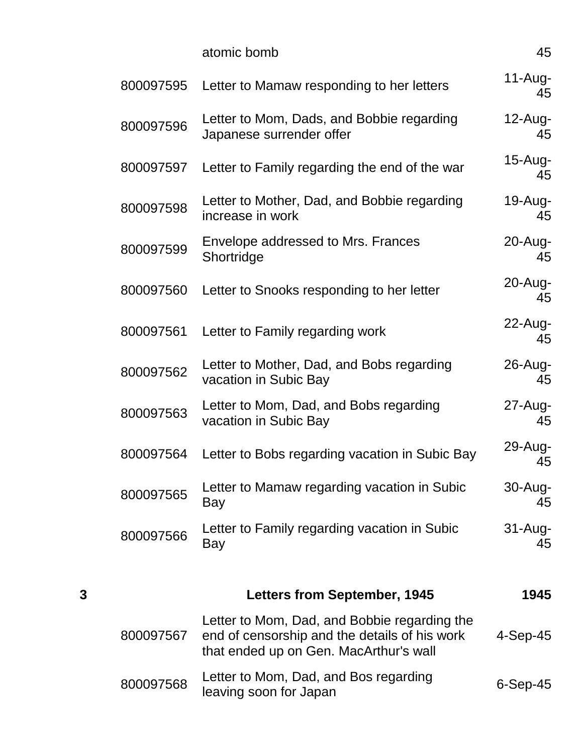|   |           | atomic bomb                                                                                                                             | 45                |
|---|-----------|-----------------------------------------------------------------------------------------------------------------------------------------|-------------------|
|   | 800097595 | Letter to Mamaw responding to her letters                                                                                               | $11-Aug-$<br>45   |
|   | 800097596 | Letter to Mom, Dads, and Bobbie regarding<br>Japanese surrender offer                                                                   | $12$ -Aug-<br>45  |
|   | 800097597 | Letter to Family regarding the end of the war                                                                                           | $15 - Aug-$<br>45 |
|   | 800097598 | Letter to Mother, Dad, and Bobbie regarding<br>increase in work                                                                         | 19-Aug-<br>45     |
|   | 800097599 | Envelope addressed to Mrs. Frances<br>Shortridge                                                                                        | $20 - Aug-$<br>45 |
|   | 800097560 | Letter to Snooks responding to her letter                                                                                               | 20-Aug-<br>45     |
|   | 800097561 | Letter to Family regarding work                                                                                                         | $22$ -Aug-<br>45  |
|   | 800097562 | Letter to Mother, Dad, and Bobs regarding<br>vacation in Subic Bay                                                                      | 26-Aug-<br>45     |
|   | 800097563 | Letter to Mom, Dad, and Bobs regarding<br>vacation in Subic Bay                                                                         | 27-Aug-<br>45     |
|   | 800097564 | Letter to Bobs regarding vacation in Subic Bay                                                                                          | 29-Aug-<br>45     |
|   | 800097565 | Letter to Mamaw regarding vacation in Subic<br>Bay                                                                                      | 30-Aug-<br>45     |
|   | 800097566 | Letter to Family regarding vacation in Subic<br>Bay                                                                                     | $31 - Aug-$<br>45 |
| 3 |           | <b>Letters from September, 1945</b>                                                                                                     | 1945              |
|   | 800097567 | Letter to Mom, Dad, and Bobbie regarding the<br>end of censorship and the details of his work<br>that ended up on Gen. MacArthur's wall | $4-Sep-45$        |
|   | 800097568 | Letter to Mom, Dad, and Bos regarding<br>oving coop for longs                                                                           | $6-Sep-45$        |

Letter to Moni, Dad, and Dos regarding<br>leaving soon for Japan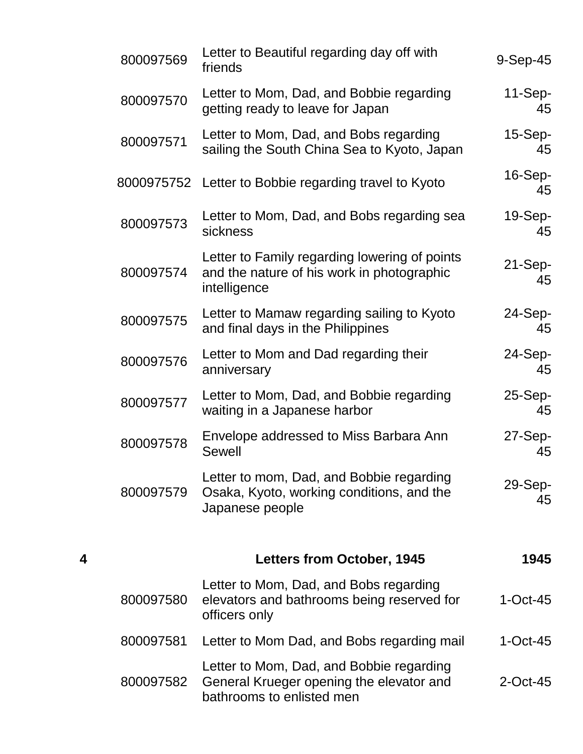|   | 800097569 | Letter to Beautiful regarding day off with<br>friends                                                             | $9-Sep-45$      |
|---|-----------|-------------------------------------------------------------------------------------------------------------------|-----------------|
|   | 800097570 | Letter to Mom, Dad, and Bobbie regarding<br>getting ready to leave for Japan                                      | $11-Sep-$<br>45 |
|   | 800097571 | Letter to Mom, Dad, and Bobs regarding<br>sailing the South China Sea to Kyoto, Japan                             | $15-Sep-$<br>45 |
|   |           | 8000975752 Letter to Bobbie regarding travel to Kyoto                                                             | 16-Sep-<br>45   |
|   | 800097573 | Letter to Mom, Dad, and Bobs regarding sea<br>sickness                                                            | 19-Sep-<br>45   |
|   | 800097574 | Letter to Family regarding lowering of points<br>and the nature of his work in photographic<br>intelligence       | $21-Sep-$<br>45 |
|   | 800097575 | Letter to Mamaw regarding sailing to Kyoto<br>and final days in the Philippines                                   | 24-Sep-<br>45   |
|   | 800097576 | Letter to Mom and Dad regarding their<br>anniversary                                                              | 24-Sep-<br>45   |
|   | 800097577 | Letter to Mom, Dad, and Bobbie regarding<br>waiting in a Japanese harbor                                          | 25-Sep-<br>45   |
|   | 800097578 | Envelope addressed to Miss Barbara Ann<br><b>Sewell</b>                                                           | 27-Sep-<br>45   |
|   | 800097579 | Letter to mom, Dad, and Bobbie regarding<br>Osaka, Kyoto, working conditions, and the<br>Japanese people          | 29-Sep-<br>45   |
| 4 |           | Letters from October, 1945                                                                                        | 1945            |
|   | 800097580 | Letter to Mom, Dad, and Bobs regarding<br>elevators and bathrooms being reserved for<br>officers only             | $1-Oct-45$      |
|   | 800097581 | Letter to Mom Dad, and Bobs regarding mail                                                                        | $1-Oct-45$      |
|   | 800097582 | Letter to Mom, Dad, and Bobbie regarding<br>General Krueger opening the elevator and<br>bathrooms to enlisted men | $2$ -Oct-45     |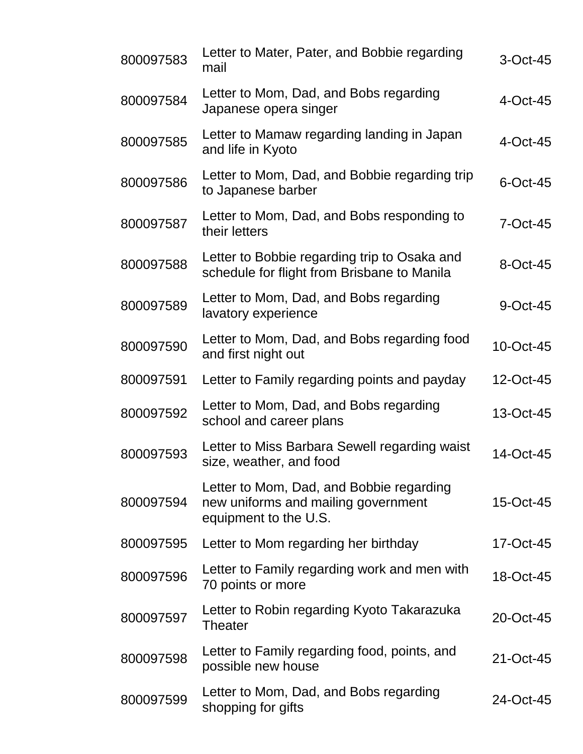| 800097583 | Letter to Mater, Pater, and Bobbie regarding<br>mail                                                     | $3$ -Oct-45  |
|-----------|----------------------------------------------------------------------------------------------------------|--------------|
| 800097584 | Letter to Mom, Dad, and Bobs regarding<br>Japanese opera singer                                          | $4$ -Oct-45  |
| 800097585 | Letter to Mamaw regarding landing in Japan<br>and life in Kyoto                                          | $4$ -Oct-45  |
| 800097586 | Letter to Mom, Dad, and Bobbie regarding trip<br>to Japanese barber                                      | $6$ -Oct-45  |
| 800097587 | Letter to Mom, Dad, and Bobs responding to<br>their letters                                              | $7 - Oct-45$ |
| 800097588 | Letter to Bobbie regarding trip to Osaka and<br>schedule for flight from Brisbane to Manila              | 8-Oct-45     |
| 800097589 | Letter to Mom, Dad, and Bobs regarding<br>lavatory experience                                            | 9-Oct-45     |
| 800097590 | Letter to Mom, Dad, and Bobs regarding food<br>and first night out                                       | 10-Oct-45    |
| 800097591 | Letter to Family regarding points and payday                                                             | 12-Oct-45    |
| 800097592 | Letter to Mom, Dad, and Bobs regarding<br>school and career plans                                        | 13-Oct-45    |
| 800097593 | Letter to Miss Barbara Sewell regarding waist<br>size, weather, and food                                 | 14-Oct-45    |
| 800097594 | Letter to Mom, Dad, and Bobbie regarding<br>new uniforms and mailing government<br>equipment to the U.S. | 15-Oct-45    |
| 800097595 | Letter to Mom regarding her birthday                                                                     | 17-Oct-45    |
| 800097596 | Letter to Family regarding work and men with<br>70 points or more                                        | 18-Oct-45    |
| 800097597 | Letter to Robin regarding Kyoto Takarazuka<br>Theater                                                    | 20-Oct-45    |
| 800097598 | Letter to Family regarding food, points, and<br>possible new house                                       | 21-Oct-45    |
| 800097599 | Letter to Mom, Dad, and Bobs regarding<br>shopping for gifts                                             | 24-Oct-45    |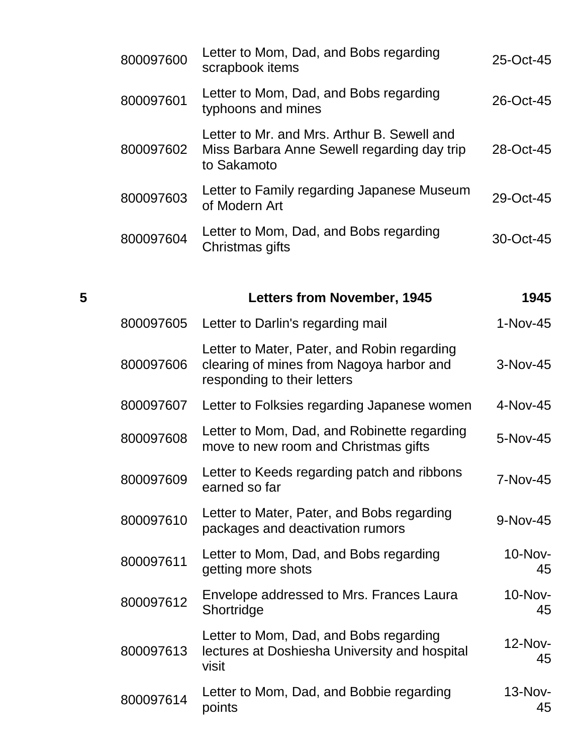| 25-Oct-45     | Letter to Mom, Dad, and Bobs regarding<br>scrapbook items                                                              | 800097600 |
|---------------|------------------------------------------------------------------------------------------------------------------------|-----------|
| 26-Oct-45     | Letter to Mom, Dad, and Bobs regarding<br>typhoons and mines                                                           | 800097601 |
| 28-Oct-45     | Letter to Mr. and Mrs. Arthur B. Sewell and<br>Miss Barbara Anne Sewell regarding day trip<br>to Sakamoto              | 800097602 |
| 29-Oct-45     | Letter to Family regarding Japanese Museum<br>of Modern Art                                                            | 800097603 |
| 30-Oct-45     | Letter to Mom, Dad, and Bobs regarding<br>Christmas gifts                                                              | 800097604 |
| 1945          | <b>Letters from November, 1945</b>                                                                                     | 5         |
| $1-Nov-45$    | Letter to Darlin's regarding mail                                                                                      | 800097605 |
| 3-Nov-45      | Letter to Mater, Pater, and Robin regarding<br>clearing of mines from Nagoya harbor and<br>responding to their letters | 800097606 |
| 4-Nov-45      | Letter to Folksies regarding Japanese women                                                                            | 800097607 |
| 5-Nov-45      | Letter to Mom, Dad, and Robinette regarding<br>move to new room and Christmas gifts                                    | 800097608 |
| 7-Nov-45      | Letter to Keeds regarding patch and ribbons<br>earned so far                                                           | 800097609 |
| 9-Nov-45      | Letter to Mater, Pater, and Bobs regarding<br>packages and deactivation rumors                                         | 800097610 |
| 10-Nov-<br>45 | Letter to Mom, Dad, and Bobs regarding<br>getting more shots                                                           | 800097611 |
| 10-Nov-<br>45 | Envelope addressed to Mrs. Frances Laura<br>Shortridge                                                                 | 800097612 |
| 12-Nov-<br>45 | Letter to Mom, Dad, and Bobs regarding<br>lectures at Doshiesha University and hospital<br>visit                       | 800097613 |

<sup>800097614</sup> Letter to Mom, Dad, and Bobbie regarding points 13-Nov-45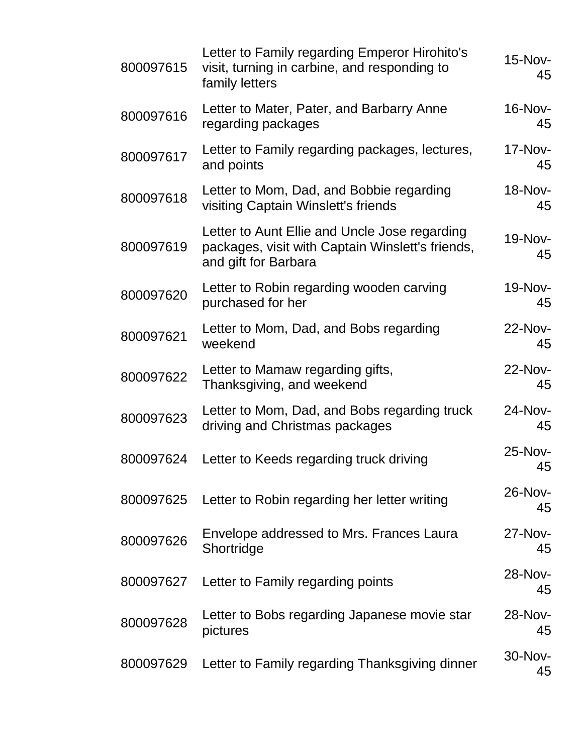| 800097615 | Letter to Family regarding Emperor Hirohito's<br>visit, turning in carbine, and responding to<br>family letters           | 15-Nov-<br>45        |
|-----------|---------------------------------------------------------------------------------------------------------------------------|----------------------|
| 800097616 | Letter to Mater, Pater, and Barbarry Anne<br>regarding packages                                                           | <b>16-Nov-</b><br>45 |
| 800097617 | Letter to Family regarding packages, lectures,<br>and points                                                              | 17-Nov-<br>45        |
| 800097618 | Letter to Mom, Dad, and Bobbie regarding<br>visiting Captain Winslett's friends                                           | <b>18-Nov-</b><br>45 |
| 800097619 | Letter to Aunt Ellie and Uncle Jose regarding<br>packages, visit with Captain Winslett's friends,<br>and gift for Barbara | 19-Nov-<br>45        |
| 800097620 | Letter to Robin regarding wooden carving<br>purchased for her                                                             | <b>19-Nov-</b><br>45 |
| 800097621 | Letter to Mom, Dad, and Bobs regarding<br>weekend                                                                         | 22-Nov-<br>45        |
| 800097622 | Letter to Mamaw regarding gifts,<br>Thanksgiving, and weekend                                                             | 22-Nov-<br>45        |
| 800097623 | Letter to Mom, Dad, and Bobs regarding truck<br>driving and Christmas packages                                            | 24-Nov-<br>45        |
| 800097624 | Letter to Keeds regarding truck driving                                                                                   | 25-Nov-<br>45        |
| 800097625 | Letter to Robin regarding her letter writing                                                                              | 26-Nov-<br>45        |
| 800097626 | Envelope addressed to Mrs. Frances Laura<br>Shortridge                                                                    | 27-Nov-<br>45        |
| 800097627 | Letter to Family regarding points                                                                                         | 28-Nov-<br>45        |
| 800097628 | Letter to Bobs regarding Japanese movie star<br>pictures                                                                  | 28-Nov-<br>45        |
| 800097629 | Letter to Family regarding Thanksgiving dinner                                                                            | 30-Nov-<br>45        |
|           |                                                                                                                           |                      |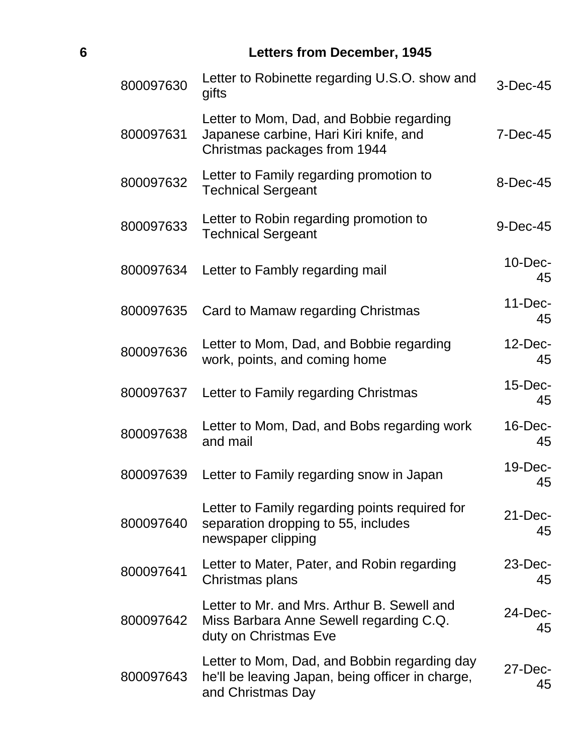## **6 Letters from December, 1945**

| 800097630 | Letter to Robinette regarding U.S.O. show and<br>gifts                                                                | 3-Dec-45         |
|-----------|-----------------------------------------------------------------------------------------------------------------------|------------------|
| 800097631 | Letter to Mom, Dad, and Bobbie regarding<br>Japanese carbine, Hari Kiri knife, and<br>Christmas packages from 1944    | $7-Dec-45$       |
| 800097632 | Letter to Family regarding promotion to<br><b>Technical Sergeant</b>                                                  | 8-Dec-45         |
| 800097633 | Letter to Robin regarding promotion to<br><b>Technical Sergeant</b>                                                   | 9-Dec-45         |
| 800097634 | Letter to Fambly regarding mail                                                                                       | $10$ -Dec-<br>45 |
| 800097635 | Card to Mamaw regarding Christmas                                                                                     | $11-Dec-$<br>45  |
| 800097636 | Letter to Mom, Dad, and Bobbie regarding<br>work, points, and coming home                                             | $12$ -Dec-<br>45 |
| 800097637 | Letter to Family regarding Christmas                                                                                  | $15$ -Dec-<br>45 |
| 800097638 | Letter to Mom, Dad, and Bobs regarding work<br>and mail                                                               | $16$ -Dec-<br>45 |
| 800097639 | Letter to Family regarding snow in Japan                                                                              | $19$ -Dec-<br>45 |
| 800097640 | Letter to Family regarding points required for<br>separation dropping to 55, includes<br>newspaper clipping           | $21$ -Dec-<br>45 |
| 800097641 | Letter to Mater, Pater, and Robin regarding<br>Christmas plans                                                        | $23$ -Dec-<br>45 |
| 800097642 | Letter to Mr. and Mrs. Arthur B. Sewell and<br>Miss Barbara Anne Sewell regarding C.Q.<br>duty on Christmas Eve       | 24-Dec-<br>45    |
| 800097643 | Letter to Mom, Dad, and Bobbin regarding day<br>he'll be leaving Japan, being officer in charge,<br>and Christmas Day | 27-Dec-<br>45    |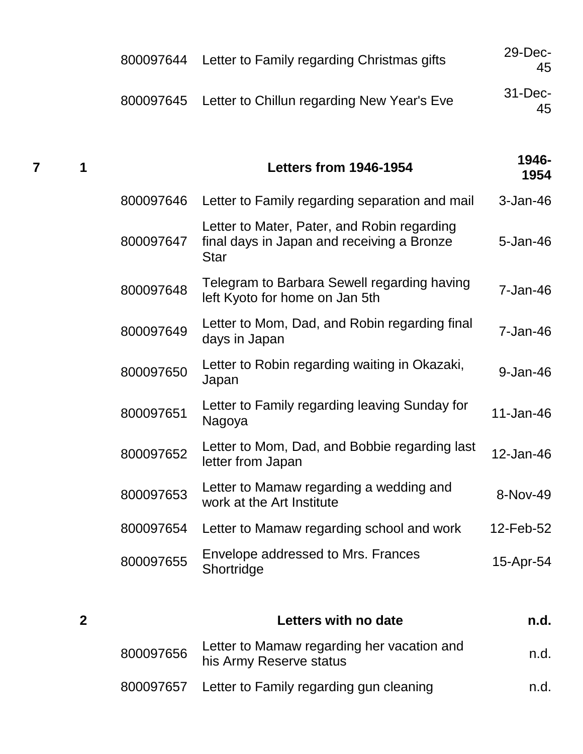| 800097644 Letter to Family regarding Christmas gifts | $29$ -Dec-<br>45  |
|------------------------------------------------------|-------------------|
| 800097645 Letter to Chillun regarding New Year's Eve | $31 - Dec-$<br>45 |
|                                                      |                   |

#### **<sup>7</sup> <sup>1</sup> Letters from 1946-1954 1946- 1954**

| 800097646 | Letter to Family regarding separation and mail                                                           | $3 - Jan-46$ |
|-----------|----------------------------------------------------------------------------------------------------------|--------------|
| 800097647 | Letter to Mater, Pater, and Robin regarding<br>final days in Japan and receiving a Bronze<br><b>Star</b> | 5-Jan-46     |
| 800097648 | Telegram to Barbara Sewell regarding having<br>left Kyoto for home on Jan 5th                            | $7 - Jan-46$ |
| 800097649 | Letter to Mom, Dad, and Robin regarding final<br>days in Japan                                           | $7 - Jan-46$ |
| 800097650 | Letter to Robin regarding waiting in Okazaki,<br>Japan                                                   | 9-Jan-46     |
| 800097651 | Letter to Family regarding leaving Sunday for<br>Nagoya                                                  | 11-Jan-46    |
| 800097652 | Letter to Mom, Dad, and Bobbie regarding last<br>letter from Japan                                       | 12-Jan-46    |
| 800097653 | Letter to Mamaw regarding a wedding and<br>work at the Art Institute                                     | 8-Nov-49     |
| 800097654 | Letter to Mamaw regarding school and work                                                                | 12-Feb-52    |
| 800097655 | Envelope addressed to Mrs. Frances<br>Shortridge                                                         | 15-Apr-54    |
|           |                                                                                                          |              |

| 2 |           | Letters with no date                                                  | n.d. |
|---|-----------|-----------------------------------------------------------------------|------|
|   | 800097656 | Letter to Mamaw regarding her vacation and<br>his Army Reserve status | n.d. |
|   |           | 800097657 Letter to Family regarding gun cleaning                     | n.d. |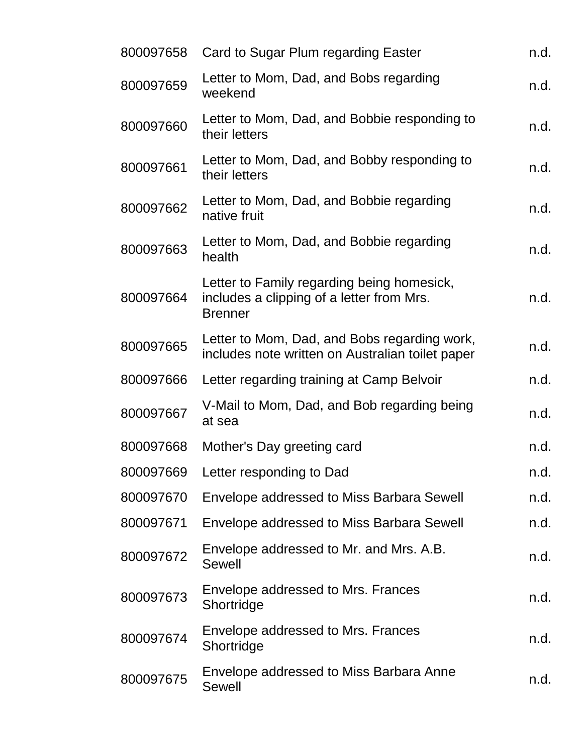| 800097658 | Card to Sugar Plum regarding Easter                                                                       | n.d. |
|-----------|-----------------------------------------------------------------------------------------------------------|------|
| 800097659 | Letter to Mom, Dad, and Bobs regarding<br>weekend                                                         | n.d. |
| 800097660 | Letter to Mom, Dad, and Bobbie responding to<br>their letters                                             | n.d. |
| 800097661 | Letter to Mom, Dad, and Bobby responding to<br>their letters                                              | n.d. |
| 800097662 | Letter to Mom, Dad, and Bobbie regarding<br>native fruit                                                  | n.d. |
| 800097663 | Letter to Mom, Dad, and Bobbie regarding<br>health                                                        | n.d. |
| 800097664 | Letter to Family regarding being homesick,<br>includes a clipping of a letter from Mrs.<br><b>Brenner</b> | n.d. |
| 800097665 | Letter to Mom, Dad, and Bobs regarding work,<br>includes note written on Australian toilet paper          | n.d. |
| 800097666 | Letter regarding training at Camp Belvoir                                                                 | n.d. |
| 800097667 | V-Mail to Mom, Dad, and Bob regarding being<br>at sea                                                     | n.d. |
| 800097668 | Mother's Day greeting card                                                                                | n.d. |
|           | 800097669 Letter responding to Dad                                                                        | n.d. |
| 800097670 | Envelope addressed to Miss Barbara Sewell                                                                 | n.d. |
| 800097671 | Envelope addressed to Miss Barbara Sewell                                                                 | n.d. |
| 800097672 | Envelope addressed to Mr. and Mrs. A.B.<br>Sewell                                                         | n.d. |
| 800097673 | Envelope addressed to Mrs. Frances<br>Shortridge                                                          | n.d. |
| 800097674 | Envelope addressed to Mrs. Frances<br>Shortridge                                                          | n.d. |
| 800097675 | Envelope addressed to Miss Barbara Anne<br>Sewell                                                         | n.d. |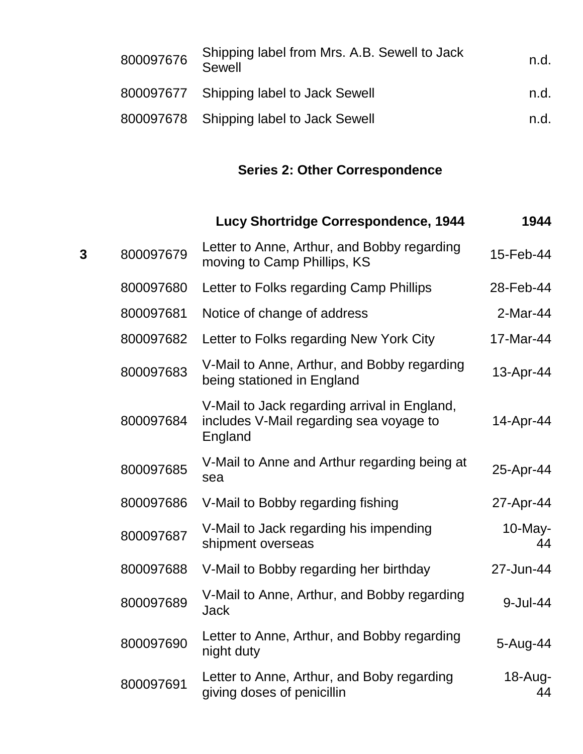| 800097676 | Shipping label from Mrs. A.B. Sewell to Jack<br><b>Sewell</b> | n.d. |
|-----------|---------------------------------------------------------------|------|
|           | 800097677 Shipping label to Jack Sewell                       | n.d. |
|           | 800097678 Shipping label to Jack Sewell                       | n.d. |

# **Series 2: Other Correspondence**

| 1944             | Lucy Shortridge Correspondence, 1944                                                               |           |   |
|------------------|----------------------------------------------------------------------------------------------------|-----------|---|
| 15-Feb-44        | Letter to Anne, Arthur, and Bobby regarding<br>moving to Camp Phillips, KS                         | 800097679 | 3 |
| 28-Feb-44        | Letter to Folks regarding Camp Phillips                                                            | 800097680 |   |
| 2-Mar-44         | Notice of change of address                                                                        | 800097681 |   |
| 17-Mar-44        | Letter to Folks regarding New York City                                                            | 800097682 |   |
| 13-Apr-44        | V-Mail to Anne, Arthur, and Bobby regarding<br>being stationed in England                          | 800097683 |   |
| 14-Apr-44        | V-Mail to Jack regarding arrival in England,<br>includes V-Mail regarding sea voyage to<br>England | 800097684 |   |
| 25-Apr-44        | V-Mail to Anne and Arthur regarding being at<br>sea                                                | 800097685 |   |
| 27-Apr-44        | V-Mail to Bobby regarding fishing                                                                  | 800097686 |   |
| $10$ -May-<br>44 | V-Mail to Jack regarding his impending<br>shipment overseas                                        | 800097687 |   |
| 27-Jun-44        | V-Mail to Bobby regarding her birthday                                                             | 800097688 |   |
| 9-Jul-44         | V-Mail to Anne, Arthur, and Bobby regarding<br><b>Jack</b>                                         | 800097689 |   |
| 5-Aug-44         | Letter to Anne, Arthur, and Bobby regarding<br>night duty                                          | 800097690 |   |
| 18-Aug-<br>44    | Letter to Anne, Arthur, and Boby regarding<br>giving doses of penicillin                           | 800097691 |   |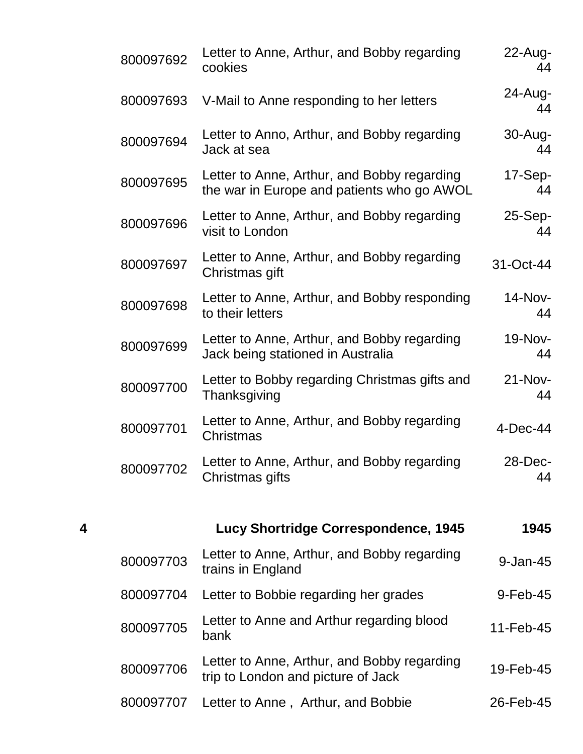|   | 800097692 | Letter to Anne, Arthur, and Bobby regarding<br>cookies                                    | $22$ -Aug-<br>44 |
|---|-----------|-------------------------------------------------------------------------------------------|------------------|
|   | 800097693 | V-Mail to Anne responding to her letters                                                  | $24$ -Aug-<br>44 |
|   | 800097694 | Letter to Anno, Arthur, and Bobby regarding<br>Jack at sea                                | 30-Aug-<br>44    |
|   | 800097695 | Letter to Anne, Arthur, and Bobby regarding<br>the war in Europe and patients who go AWOL | $17-Sep-$<br>44  |
|   | 800097696 | Letter to Anne, Arthur, and Bobby regarding<br>visit to London                            | $25-Sep-$<br>44  |
|   | 800097697 | Letter to Anne, Arthur, and Bobby regarding<br>Christmas gift                             | 31-Oct-44        |
|   | 800097698 | Letter to Anne, Arthur, and Bobby responding<br>to their letters                          | 14-Nov-<br>44    |
|   | 800097699 | Letter to Anne, Arthur, and Bobby regarding<br>Jack being stationed in Australia          | 19-Nov-<br>44    |
|   | 800097700 | Letter to Bobby regarding Christmas gifts and<br>Thanksgiving                             | $21-Nov-$<br>44  |
|   | 800097701 | Letter to Anne, Arthur, and Bobby regarding<br>Christmas                                  | 4-Dec-44         |
|   | 800097702 | Letter to Anne, Arthur, and Bobby regarding<br>Christmas gifts                            | 28-Dec-<br>44    |
| 4 |           | <b>Lucy Shortridge Correspondence, 1945</b>                                               | 1945             |
|   | 800097703 | Letter to Anne, Arthur, and Bobby regarding<br>trains in England                          | 9-Jan-45         |
|   | 800097704 | Letter to Bobbie regarding her grades                                                     | 9-Feb-45         |
|   | 800097705 | Letter to Anne and Arthur regarding blood<br>bank                                         | 11-Feb-45        |
|   | 800097706 | Letter to Anne, Arthur, and Bobby regarding<br>trip to London and picture of Jack         | 19-Feb-45        |
|   | 800097707 | Letter to Anne, Arthur, and Bobbie                                                        | 26-Feb-45        |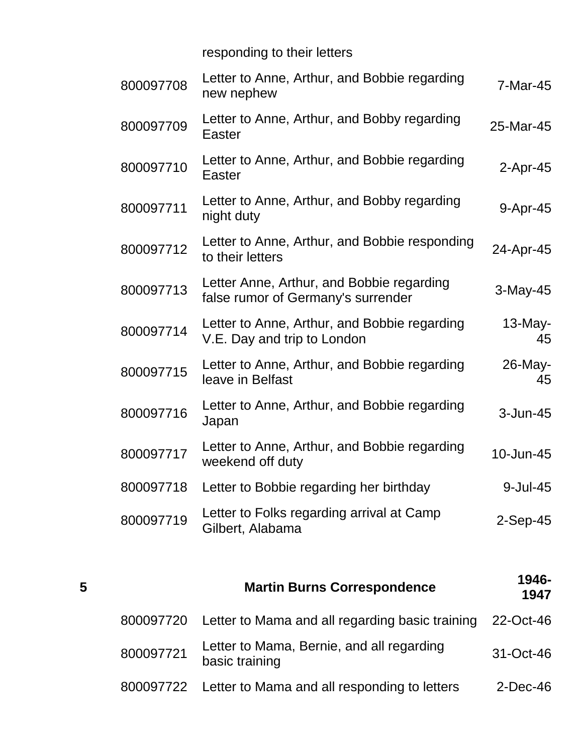responding to their letters

| 800097708 | Letter to Anne, Arthur, and Bobbie regarding<br>new nephew                      | 7-Mar-45         |
|-----------|---------------------------------------------------------------------------------|------------------|
| 800097709 | Letter to Anne, Arthur, and Bobby regarding<br>Easter                           | 25-Mar-45        |
| 800097710 | Letter to Anne, Arthur, and Bobbie regarding<br>Easter                          | $2$ -Apr-45      |
| 800097711 | Letter to Anne, Arthur, and Bobby regarding<br>night duty                       | 9-Apr-45         |
| 800097712 | Letter to Anne, Arthur, and Bobbie responding<br>to their letters               | 24-Apr-45        |
| 800097713 | Letter Anne, Arthur, and Bobbie regarding<br>false rumor of Germany's surrender | $3-May-45$       |
| 800097714 | Letter to Anne, Arthur, and Bobbie regarding<br>V.E. Day and trip to London     | $13$ -May-<br>45 |
| 800097715 | Letter to Anne, Arthur, and Bobbie regarding<br>leave in Belfast                | 26-May-<br>45    |
| 800097716 | Letter to Anne, Arthur, and Bobbie regarding<br>Japan                           | 3-Jun-45         |
| 800097717 | Letter to Anne, Arthur, and Bobbie regarding<br>weekend off duty                | 10-Jun-45        |
| 800097718 | Letter to Bobbie regarding her birthday                                         | 9-Jul-45         |
| 800097719 | Letter to Folks regarding arrival at Camp<br>Gilbert, Alabama                   | $2-Sep-45$       |
|           |                                                                                 |                  |

| 5 |           | <b>Martin Burns Correspondence</b>                          | 1946-<br>1947 |
|---|-----------|-------------------------------------------------------------|---------------|
|   | 800097720 | Letter to Mama and all regarding basic training             | 22-Oct-46     |
|   | 800097721 | Letter to Mama, Bernie, and all regarding<br>basic training | $31-Oct-46$   |
|   |           | 800097722 Letter to Mama and all responding to letters      | $2$ -Dec-46   |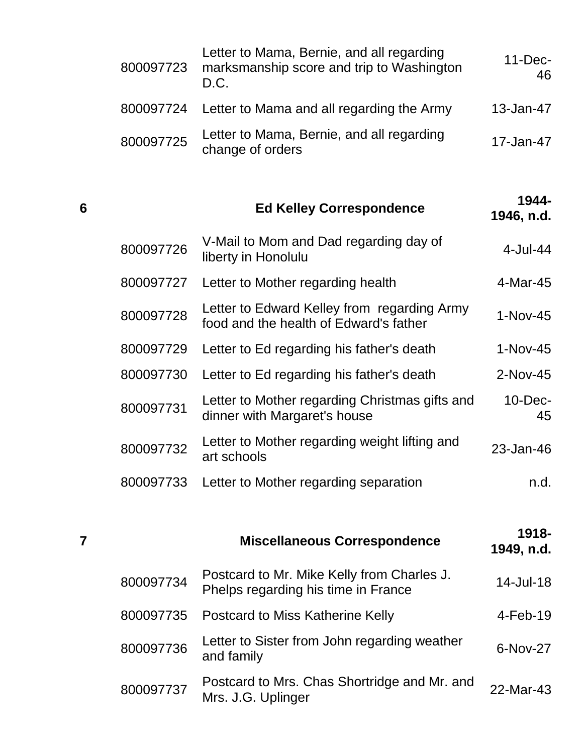| 800097723 | Letter to Mama, Bernie, and all regarding<br>marksmanship score and trip to Washington<br>D.C. | $11$ -Dec-<br>46 |
|-----------|------------------------------------------------------------------------------------------------|------------------|
|           | 800097724 Letter to Mama and all regarding the Army                                            | 13-Jan-47        |
| 800097725 | Letter to Mama, Bernie, and all regarding<br>change of orders                                  | 17-Jan-47        |

## **<sup>6</sup> Ed Kelley Correspondence 1944- 1946, n.d.**

| 800097726 | V-Mail to Mom and Dad regarding day of<br>liberty in Honolulu                         | $4$ -Jul-44      |
|-----------|---------------------------------------------------------------------------------------|------------------|
| 800097727 | Letter to Mother regarding health                                                     | 4-Mar-45         |
| 800097728 | Letter to Edward Kelley from regarding Army<br>food and the health of Edward's father | $1-Nov-45$       |
| 800097729 | Letter to Ed regarding his father's death                                             | $1-Nov-45$       |
| 800097730 | Letter to Ed regarding his father's death                                             | 2-Nov-45         |
| 800097731 | Letter to Mother regarding Christmas gifts and<br>dinner with Margaret's house        | $10$ -Dec-<br>45 |
| 800097732 | Letter to Mother regarding weight lifting and<br>art schools                          | 23-Jan-46        |
| 800097733 | Letter to Mother regarding separation                                                 | n.d.             |

| 7 |           | <b>Miscellaneous Correspondence</b>                                               | 1918-<br>1949, n.d. |
|---|-----------|-----------------------------------------------------------------------------------|---------------------|
|   | 800097734 | Postcard to Mr. Mike Kelly from Charles J.<br>Phelps regarding his time in France | 14-Jul-18           |
|   | 800097735 | Postcard to Miss Katherine Kelly                                                  | $4$ -Feb-19         |
|   | 800097736 | Letter to Sister from John regarding weather<br>and family                        | $6-Nov-27$          |
|   | 800097737 | Postcard to Mrs. Chas Shortridge and Mr. and<br>Mrs. J.G. Uplinger                | 22-Mar-43           |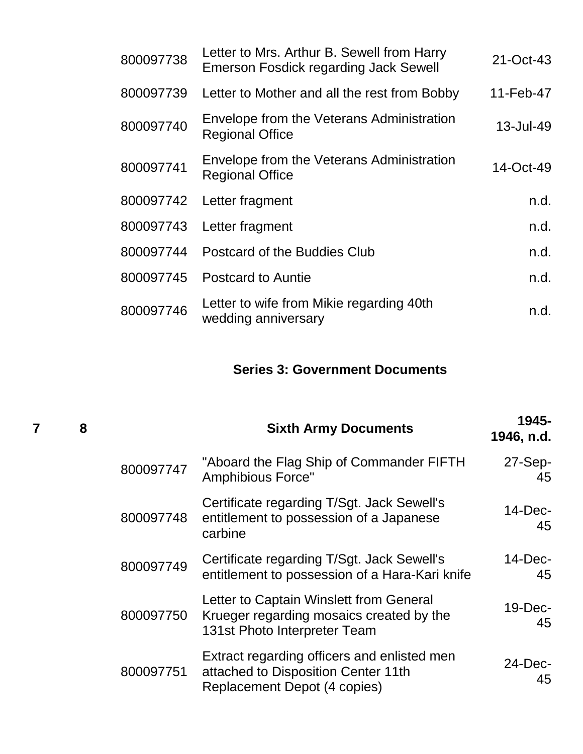| 800097738 | Letter to Mrs. Arthur B. Sewell from Harry<br>Emerson Fosdick regarding Jack Sewell | 21-Oct-43    |
|-----------|-------------------------------------------------------------------------------------|--------------|
| 800097739 | Letter to Mother and all the rest from Bobby                                        | 11-Feb-47    |
| 800097740 | Envelope from the Veterans Administration<br><b>Regional Office</b>                 | 13-Jul-49    |
| 800097741 | Envelope from the Veterans Administration<br><b>Regional Office</b>                 | $14$ -Oct-49 |
| 800097742 | Letter fragment                                                                     | n.d.         |
| 800097743 | Letter fragment                                                                     | n.d.         |
| 800097744 | Postcard of the Buddies Club                                                        | n.d.         |
| 800097745 | <b>Postcard to Auntie</b>                                                           | n.d.         |
| 800097746 | Letter to wife from Mikie regarding 40th<br>wedding anniversary                     | n.d.         |

### **Series 3: Government Documents**

| 8 |           | <b>Sixth Army Documents</b>                                                                                         | 1945-<br>1946, n.d. |
|---|-----------|---------------------------------------------------------------------------------------------------------------------|---------------------|
|   | 800097747 | "Aboard the Flag Ship of Commander FIFTH<br><b>Amphibious Force"</b>                                                | 27-Sep-<br>45       |
|   | 800097748 | Certificate regarding T/Sgt. Jack Sewell's<br>entitlement to possession of a Japanese<br>carbine                    | $14$ -Dec-<br>45    |
|   | 800097749 | Certificate regarding T/Sgt. Jack Sewell's<br>entitlement to possession of a Hara-Kari knife                        | $14$ -Dec-<br>45    |
|   | 800097750 | Letter to Captain Winslett from General<br>Krueger regarding mosaics created by the<br>131st Photo Interpreter Team | 19-Dec-<br>45       |
|   | 800097751 | Extract regarding officers and enlisted men<br>attached to Disposition Center 11th<br>Replacement Depot (4 copies)  | $24$ -Dec-<br>45    |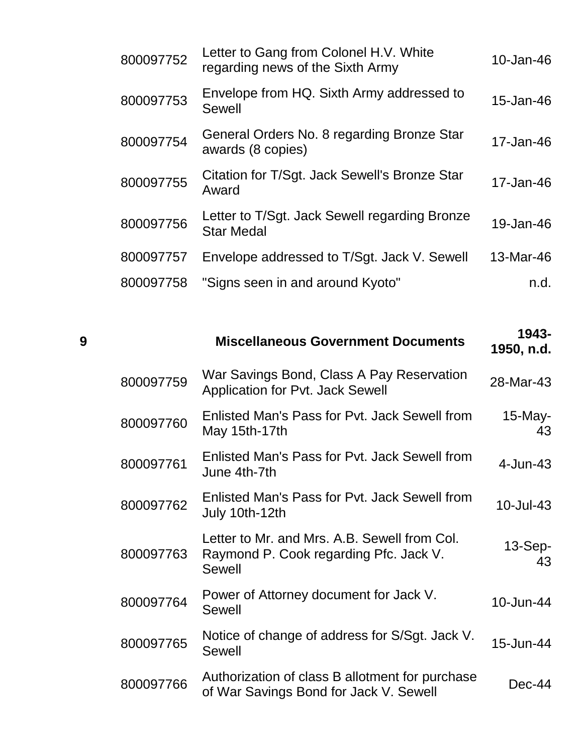| 800097752 | Letter to Gang from Colonel H.V. White<br>regarding news of the Sixth Army | 10-Jan-46 |
|-----------|----------------------------------------------------------------------------|-----------|
| 800097753 | Envelope from HQ. Sixth Army addressed to<br><b>Sewell</b>                 | 15-Jan-46 |
| 800097754 | General Orders No. 8 regarding Bronze Star<br>awards (8 copies)            | 17-Jan-46 |
| 800097755 | Citation for T/Sgt. Jack Sewell's Bronze Star<br>Award                     | 17-Jan-46 |
| 800097756 | Letter to T/Sgt. Jack Sewell regarding Bronze<br><b>Star Medal</b>         | 19-Jan-46 |
| 800097757 | Envelope addressed to T/Sgt. Jack V. Sewell                                | 13-Mar-46 |
| 800097758 | "Signs seen in and around Kyoto"                                           | n.d.      |
|           |                                                                            |           |

| 1943-<br>1950, n.d. | <b>Miscellaneous Government Documents</b>                                                               | 9         |
|---------------------|---------------------------------------------------------------------------------------------------------|-----------|
| 28-Mar-43           | War Savings Bond, Class A Pay Reservation<br><b>Application for Pvt. Jack Sewell</b>                    | 800097759 |
| $15$ -May-<br>43    | Enlisted Man's Pass for Pyt. Jack Sewell from<br>May 15th-17th                                          | 800097760 |
| 4-Jun-43            | Enlisted Man's Pass for Pyt. Jack Sewell from<br>June 4th-7th                                           | 800097761 |
| 10-Jul-43           | Enlisted Man's Pass for Pyt. Jack Sewell from<br>July 10th-12th                                         | 800097762 |
| $13-Sep-$<br>43     | Letter to Mr. and Mrs. A.B. Sewell from Col.<br>Raymond P. Cook regarding Pfc. Jack V.<br><b>Sewell</b> | 800097763 |
| 10-Jun-44           | Power of Attorney document for Jack V.<br><b>Sewell</b>                                                 | 800097764 |
| 15-Jun-44           | Notice of change of address for S/Sgt. Jack V.<br><b>Sewell</b>                                         | 800097765 |
| $Dec-44$            | Authorization of class B allotment for purchase<br>of War Savings Bond for Jack V. Sewell               | 800097766 |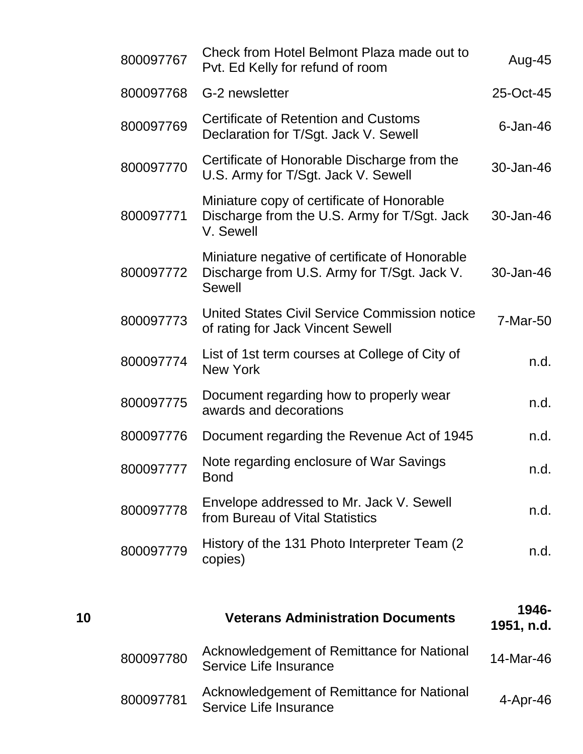| 800097767 | Check from Hotel Belmont Plaza made out to<br>Pvt. Ed Kelly for refund of room                                 | Aug-45      |
|-----------|----------------------------------------------------------------------------------------------------------------|-------------|
| 800097768 | G-2 newsletter                                                                                                 | 25-Oct-45   |
| 800097769 | Certificate of Retention and Customs<br>Declaration for T/Sgt. Jack V. Sewell                                  | $6$ -Jan-46 |
| 800097770 | Certificate of Honorable Discharge from the<br>U.S. Army for T/Sgt. Jack V. Sewell                             | 30-Jan-46   |
| 800097771 | Miniature copy of certificate of Honorable<br>Discharge from the U.S. Army for T/Sgt. Jack<br>V. Sewell        | 30-Jan-46   |
| 800097772 | Miniature negative of certificate of Honorable<br>Discharge from U.S. Army for T/Sgt. Jack V.<br><b>Sewell</b> | 30-Jan-46   |
| 800097773 | United States Civil Service Commission notice<br>of rating for Jack Vincent Sewell                             | 7-Mar-50    |
| 800097774 | List of 1st term courses at College of City of<br><b>New York</b>                                              | n.d.        |
| 800097775 | Document regarding how to properly wear<br>awards and decorations                                              | n.d.        |
| 800097776 | Document regarding the Revenue Act of 1945                                                                     | n.d.        |
| 800097777 | Note regarding enclosure of War Savings<br><b>Bond</b>                                                         | n.d.        |
| 800097778 | Envelope addressed to Mr. Jack V. Sewell<br>from Bureau of Vital Statistics                                    | n.d.        |
| 800097779 | History of the 131 Photo Interpreter Team (2)<br>copies)                                                       | n.d.        |
|           |                                                                                                                |             |

| 10 |           | <b>Veterans Administration Documents</b>                             | 1946-<br>1951, n.d. |
|----|-----------|----------------------------------------------------------------------|---------------------|
|    | 800097780 | Acknowledgement of Remittance for National<br>Service Life Insurance | 14-Mar-46           |
|    | 800097781 | Acknowledgement of Remittance for National<br>Service Life Insurance | $4-Apr-46$          |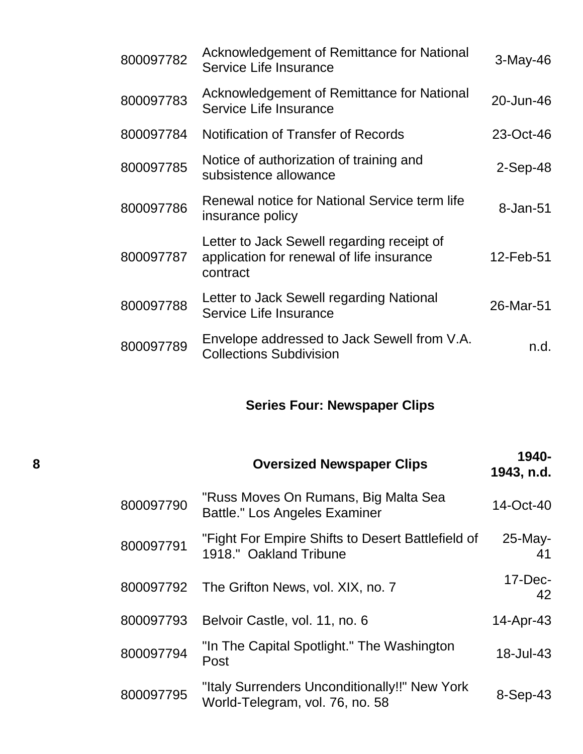| 800097782 | Acknowledgement of Remittance for National<br>Service Life Insurance                                | 3-May-46   |
|-----------|-----------------------------------------------------------------------------------------------------|------------|
| 800097783 | Acknowledgement of Remittance for National<br>Service Life Insurance                                | 20-Jun-46  |
| 800097784 | Notification of Transfer of Records                                                                 | 23-Oct-46  |
| 800097785 | Notice of authorization of training and<br>subsistence allowance                                    | $2-Sep-48$ |
| 800097786 | Renewal notice for National Service term life<br>insurance policy                                   | 8-Jan-51   |
| 800097787 | Letter to Jack Sewell regarding receipt of<br>application for renewal of life insurance<br>contract | 12-Feb-51  |
| 800097788 | Letter to Jack Sewell regarding National<br>Service Life Insurance                                  | 26-Mar-51  |
| 800097789 | Envelope addressed to Jack Sewell from V.A.<br><b>Collections Subdivision</b>                       | n.d.       |

# **Series Four: Newspaper Clips**

| 8 |           | <b>Oversized Newspaper Clips</b>                                                 | 1940-<br>1943, n.d. |
|---|-----------|----------------------------------------------------------------------------------|---------------------|
|   | 800097790 | "Russ Moves On Rumans, Big Malta Sea<br>Battle." Los Angeles Examiner            | 14-Oct-40           |
|   | 800097791 | "Fight For Empire Shifts to Desert Battlefield of<br>1918." Oakland Tribune      | $25$ -May-<br>41    |
|   | 800097792 | The Grifton News, vol. XIX, no. 7                                                | $17$ -Dec-<br>42    |
|   | 800097793 | Belvoir Castle, vol. 11, no. 6                                                   | 14-Apr-43           |
|   | 800097794 | "In The Capital Spotlight." The Washington<br>Post                               | 18-Jul-43           |
|   | 800097795 | "Italy Surrenders Unconditionally!!" New York<br>World-Telegram, vol. 76, no. 58 | $8-Sep-43$          |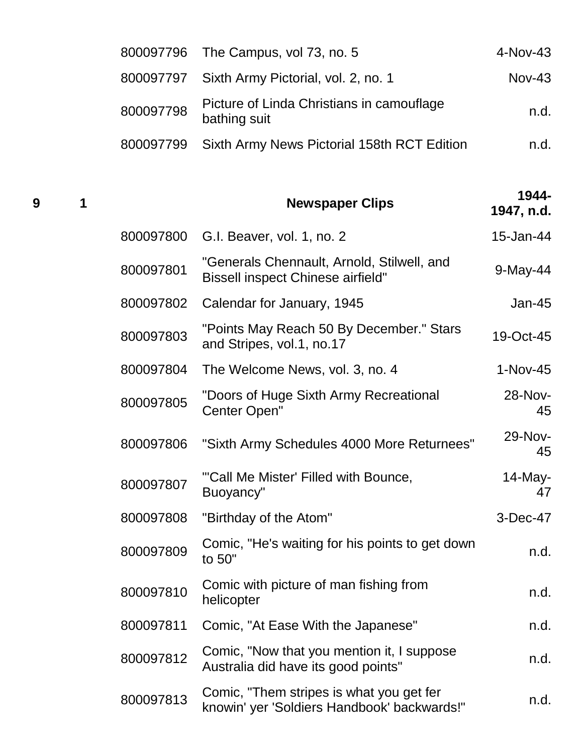|           | 800097796 The Campus, vol 73, no. 5                       | $4-Nov-43$ |
|-----------|-----------------------------------------------------------|------------|
|           | 800097797 Sixth Army Pictorial, vol. 2, no. 1             | $Nov-43$   |
| 800097798 | Picture of Linda Christians in camouflage<br>bathing suit | n.d.       |
|           | 800097799 Sixth Army News Pictorial 158th RCT Edition     | n.d.       |

| 9 | 1 |           | <b>Newspaper Clips</b>                                                                  | 1944-<br>1947, n.d. |
|---|---|-----------|-----------------------------------------------------------------------------------------|---------------------|
|   |   | 800097800 | G.I. Beaver, vol. 1, no. 2                                                              | 15-Jan-44           |
|   |   | 800097801 | "Generals Chennault, Arnold, Stilwell, and<br><b>Bissell inspect Chinese airfield"</b>  | 9-May-44            |
|   |   | 800097802 | Calendar for January, 1945                                                              | $Jan-45$            |
|   |   | 800097803 | "Points May Reach 50 By December." Stars<br>and Stripes, vol.1, no.17                   | 19-Oct-45           |
|   |   | 800097804 | The Welcome News, vol. 3, no. 4                                                         | $1-Nov-45$          |
|   |   | 800097805 | "Doors of Huge Sixth Army Recreational<br>Center Open"                                  | 28-Nov-<br>45       |
|   |   | 800097806 | "Sixth Army Schedules 4000 More Returnees"                                              | 29-Nov-<br>45       |
|   |   | 800097807 | "Call Me Mister' Filled with Bounce,<br>Buoyancy"                                       | $14$ -May-<br>47    |
|   |   | 800097808 | "Birthday of the Atom"                                                                  | 3-Dec-47            |
|   |   | 800097809 | Comic, "He's waiting for his points to get down<br>to 50"                               | n.d.                |
|   |   | 800097810 | Comic with picture of man fishing from<br>helicopter                                    | n.d.                |
|   |   | 800097811 | Comic, "At Ease With the Japanese"                                                      | n.d.                |
|   |   | 800097812 | Comic, "Now that you mention it, I suppose<br>Australia did have its good points"       | n.d.                |
|   |   | 800097813 | Comic, "Them stripes is what you get fer<br>knowin' yer 'Soldiers Handbook' backwards!" | n.d.                |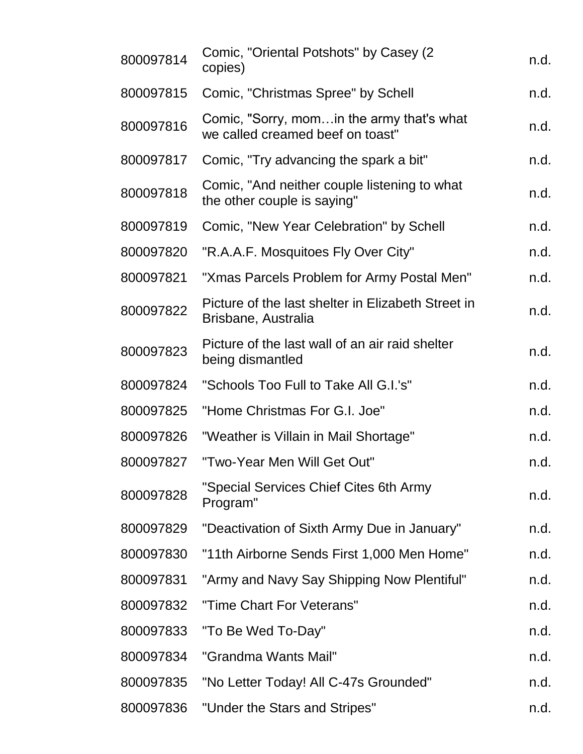| 800097814 | Comic, "Oriental Potshots" by Casey (2)<br>copies)                             | n.d. |
|-----------|--------------------------------------------------------------------------------|------|
| 800097815 | Comic, "Christmas Spree" by Schell                                             | n.d. |
| 800097816 | Comic, "Sorry, mom in the army that's what<br>we called creamed beef on toast" | n.d. |
| 800097817 | Comic, "Try advancing the spark a bit"                                         | n.d. |
| 800097818 | Comic, "And neither couple listening to what<br>the other couple is saying"    | n.d. |
| 800097819 | Comic, "New Year Celebration" by Schell                                        | n.d. |
| 800097820 | "R.A.A.F. Mosquitoes Fly Over City"                                            | n.d. |
| 800097821 | "Xmas Parcels Problem for Army Postal Men"                                     | n.d. |
| 800097822 | Picture of the last shelter in Elizabeth Street in<br>Brisbane, Australia      | n.d. |
| 800097823 | Picture of the last wall of an air raid shelter<br>being dismantled            | n.d. |
| 800097824 | "Schools Too Full to Take All G.I.'s"                                          | n.d. |
| 800097825 | "Home Christmas For G.I. Joe"                                                  | n.d. |
| 800097826 | "Weather is Villain in Mail Shortage"                                          | n.d. |
| 800097827 | "Two-Year Men Will Get Out"                                                    | n.d. |
| 800097828 | "Special Services Chief Cites 6th Army<br>Program"                             | n.d. |
| 800097829 | "Deactivation of Sixth Army Due in January"                                    | n.d. |
| 800097830 | "11th Airborne Sends First 1,000 Men Home"                                     | n.d. |
| 800097831 | "Army and Navy Say Shipping Now Plentiful"                                     | n.d. |
| 800097832 | "Time Chart For Veterans"                                                      | n.d. |
| 800097833 | "To Be Wed To-Day"                                                             | n.d. |
| 800097834 | "Grandma Wants Mail"                                                           | n.d. |
| 800097835 | "No Letter Today! All C-47s Grounded"                                          | n.d. |
| 800097836 | "Under the Stars and Stripes"                                                  | n.d. |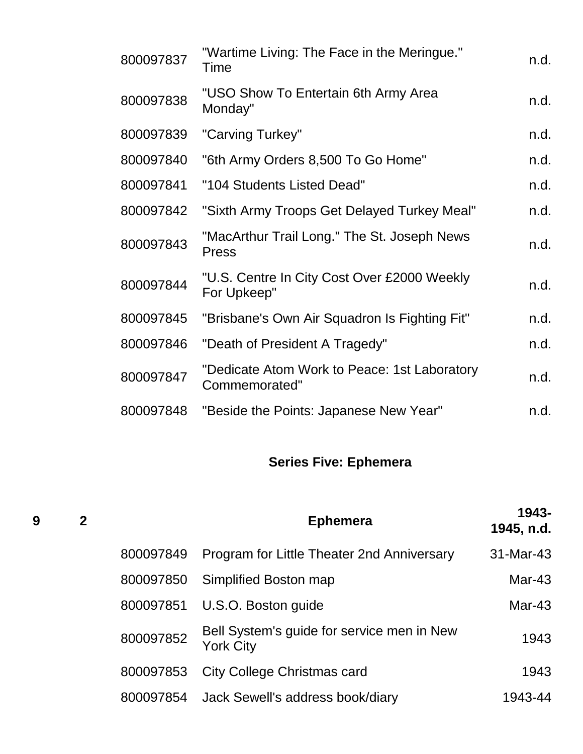| 800097837 | "Wartime Living: The Face in the Meringue."<br>Time           | n.d. |
|-----------|---------------------------------------------------------------|------|
| 800097838 | "USO Show To Entertain 6th Army Area<br>Monday"               | n.d. |
| 800097839 | "Carving Turkey"                                              | n.d. |
| 800097840 | "6th Army Orders 8,500 To Go Home"                            | n.d. |
| 800097841 | "104 Students Listed Dead"                                    | n.d. |
| 800097842 | "Sixth Army Troops Get Delayed Turkey Meal"                   | n.d. |
| 800097843 | "MacArthur Trail Long." The St. Joseph News<br><b>Press</b>   | n.d. |
| 800097844 | "U.S. Centre In City Cost Over £2000 Weekly<br>For Upkeep"    | n.d. |
| 800097845 | "Brisbane's Own Air Squadron Is Fighting Fit"                 | n.d. |
| 800097846 | "Death of President A Tragedy"                                | n.d. |
| 800097847 | "Dedicate Atom Work to Peace: 1st Laboratory<br>Commemorated" | n.d. |
| 800097848 | "Beside the Points: Japanese New Year"                        | n.d. |
|           |                                                               |      |

# **Series Five: Ephemera**

| 9 | $\mathbf{2}$ |           | <b>Ephemera</b>                                                | 1943-<br>1945, n.d. |
|---|--------------|-----------|----------------------------------------------------------------|---------------------|
|   |              | 800097849 | Program for Little Theater 2nd Anniversary                     | 31-Mar-43           |
|   |              | 800097850 | Simplified Boston map                                          | $Mar-43$            |
|   |              | 800097851 | U.S.O. Boston guide                                            | Mar-43              |
|   |              | 800097852 | Bell System's guide for service men in New<br><b>York City</b> | 1943                |
|   |              | 800097853 | <b>City College Christmas card</b>                             | 1943                |
|   |              | 800097854 | Jack Sewell's address book/diary                               | 1943-44             |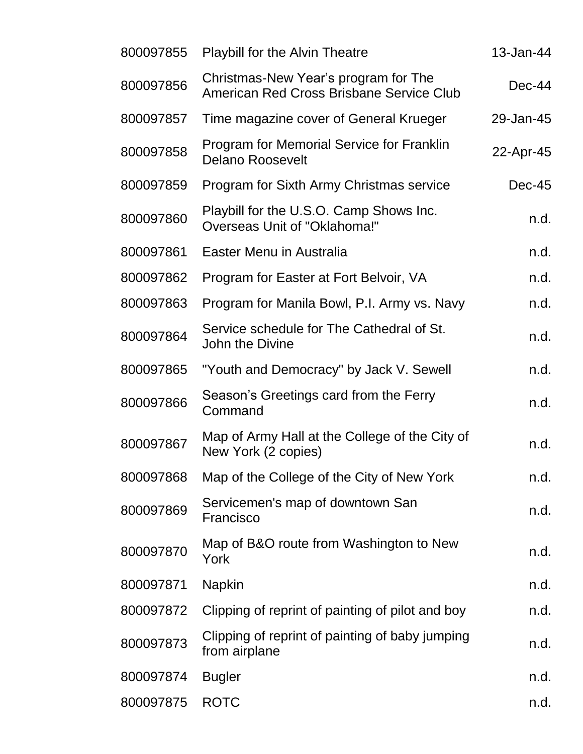| 800097855 | <b>Playbill for the Alvin Theatre</b>                                            | 13-Jan-44 |
|-----------|----------------------------------------------------------------------------------|-----------|
| 800097856 | Christmas-New Year's program for The<br>American Red Cross Brisbane Service Club | $Dec-44$  |
| 800097857 | Time magazine cover of General Krueger                                           | 29-Jan-45 |
| 800097858 | <b>Program for Memorial Service for Franklin</b><br><b>Delano Roosevelt</b>      | 22-Apr-45 |
| 800097859 | Program for Sixth Army Christmas service                                         | $Dec-45$  |
| 800097860 | Playbill for the U.S.O. Camp Shows Inc.<br>Overseas Unit of "Oklahoma!"          | n.d.      |
| 800097861 | Easter Menu in Australia                                                         | n.d.      |
| 800097862 | Program for Easter at Fort Belvoir, VA                                           | n.d.      |
| 800097863 | Program for Manila Bowl, P.I. Army vs. Navy                                      | n.d.      |
| 800097864 | Service schedule for The Cathedral of St.<br>John the Divine                     | n.d.      |
| 800097865 | "Youth and Democracy" by Jack V. Sewell                                          | n.d.      |
| 800097866 | Season's Greetings card from the Ferry<br>Command                                | n.d.      |
| 800097867 | Map of Army Hall at the College of the City of<br>New York (2 copies)            | n.d.      |
| 800097868 | Map of the College of the City of New York                                       | n.d.      |
| 800097869 | Servicemen's map of downtown San<br>Francisco                                    | n.d.      |
| 800097870 | Map of B&O route from Washington to New<br>York                                  | n.d.      |
| 800097871 | <b>Napkin</b>                                                                    | n.d.      |
| 800097872 | Clipping of reprint of painting of pilot and boy                                 | n.d.      |
| 800097873 | Clipping of reprint of painting of baby jumping<br>from airplane                 | n.d.      |
| 800097874 | <b>Bugler</b>                                                                    | n.d.      |
| 800097875 | <b>ROTC</b>                                                                      | n.d.      |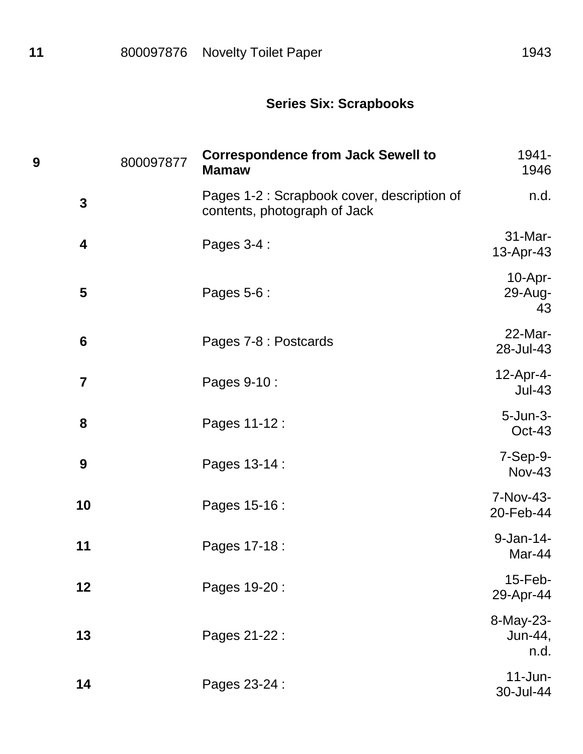## **Series Six: Scrapbooks**

| 9                       | 800097877 | <b>Correspondence from Jack Sewell to</b><br><b>Mamaw</b>                   | 1941-<br>1946                |
|-------------------------|-----------|-----------------------------------------------------------------------------|------------------------------|
| $\mathbf{3}$            |           | Pages 1-2 : Scrapbook cover, description of<br>contents, photograph of Jack | n.d.                         |
| $\overline{\mathbf{4}}$ |           | Pages 3-4 :                                                                 | 31-Mar-<br>13-Apr-43         |
| 5                       |           | Pages 5-6 :                                                                 | $10-Apr-$<br>29-Aug-<br>43   |
| $6\phantom{1}6$         |           | Pages 7-8 : Postcards                                                       | 22-Mar-<br>28-Jul-43         |
| $\overline{7}$          |           | Pages 9-10 :                                                                | 12-Apr-4-<br>$Jul-43$        |
| 8                       |           | Pages 11-12 :                                                               | $5 - Jun-3-$<br>$Oct-43$     |
| 9                       |           | Pages 13-14 :                                                               | 7-Sep-9-<br><b>Nov-43</b>    |
| 10                      |           | Pages 15-16 :                                                               | 7-Nov-43-<br>20-Feb-44       |
| 11                      |           | Pages 17-18 :                                                               | 9-Jan-14-<br>Mar-44          |
| 12                      |           | Pages 19-20:                                                                | 15-Feb-<br>29-Apr-44         |
| 13                      |           | Pages 21-22 :                                                               | 8-May-23-<br>Jun-44,<br>n.d. |
| 14                      |           | Pages 23-24 :                                                               | $11$ -Jun-<br>30-Jul-44      |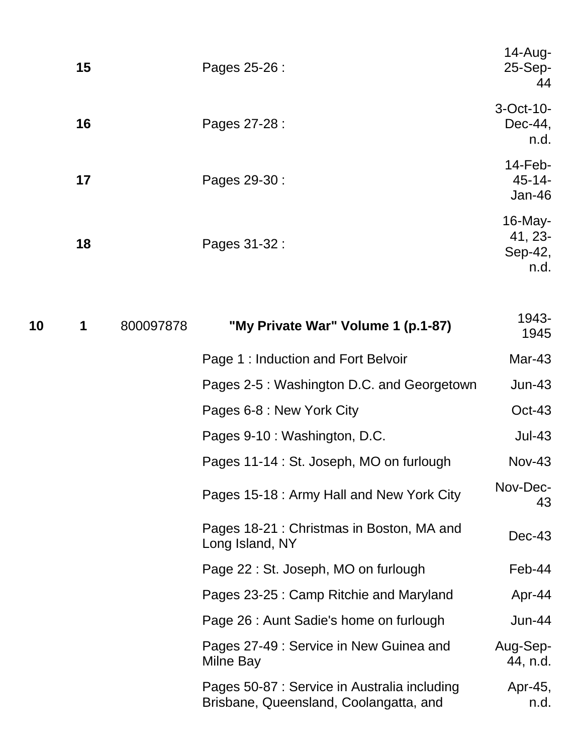| 15 | Pages 25-26 : | $14$ -Aug-<br>25-Sep-<br>44              |
|----|---------------|------------------------------------------|
| 16 | Pages 27-28 : | 3-Oct-10-<br>$Dec-44$ ,<br>n.d.          |
| 17 | Pages 29-30 : | $14$ -Feb-<br>$45 - 14$<br>$Jan-46$      |
| 18 | Pages 31-32 : | $16$ -May-<br>41, 23-<br>Sep-42,<br>n.d. |

| 10 | 1 | 800097878 | "My Private War" Volume 1 (p.1-87)                                                     | 1943-<br>1945        |
|----|---|-----------|----------------------------------------------------------------------------------------|----------------------|
|    |   |           | Page 1: Induction and Fort Belvoir                                                     | Mar-43               |
|    |   |           | Pages 2-5 : Washington D.C. and Georgetown                                             | $Jun-43$             |
|    |   |           | Pages 6-8 : New York City                                                              | $Oct-43$             |
|    |   |           | Pages 9-10 : Washington, D.C.                                                          | $Jul-43$             |
|    |   |           | Pages 11-14 : St. Joseph, MO on furlough                                               | $Nov-43$             |
|    |   |           | Pages 15-18: Army Hall and New York City                                               | Nov-Dec-<br>43       |
|    |   |           | Pages 18-21 : Christmas in Boston, MA and<br>Long Island, NY                           | $Dec-43$             |
|    |   |           | Page 22 : St. Joseph, MO on furlough                                                   | Feb-44               |
|    |   |           | Pages 23-25 : Camp Ritchie and Maryland                                                | Apr-44               |
|    |   |           | Page 26 : Aunt Sadie's home on furlough                                                | <b>Jun-44</b>        |
|    |   |           | Pages 27-49 : Service in New Guinea and<br>Milne Bay                                   | Aug-Sep-<br>44, n.d. |
|    |   |           | Pages 50-87 : Service in Australia including<br>Brisbane, Queensland, Coolangatta, and | Apr-45,<br>n.d.      |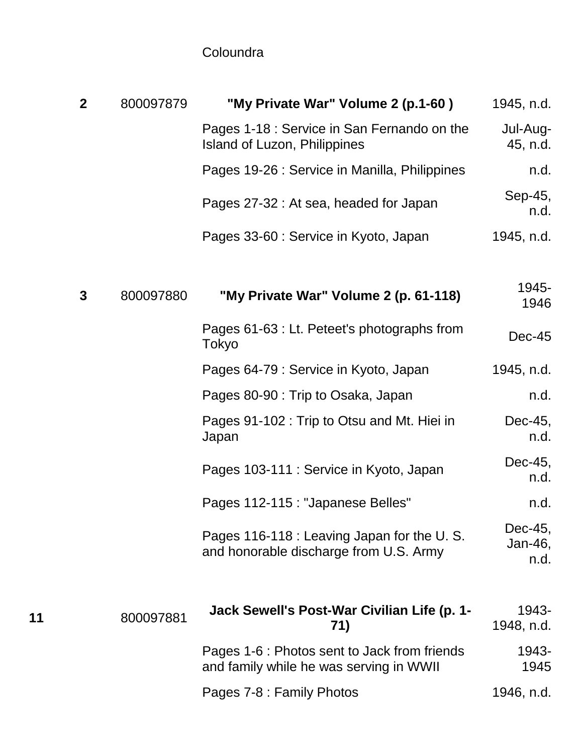## **Coloundra**

|    | $\mathbf{2}$ | 800097879 | "My Private War" Volume 2 (p.1-60)                                                      | 1945, n.d.                 |
|----|--------------|-----------|-----------------------------------------------------------------------------------------|----------------------------|
|    |              |           | Pages 1-18 : Service in San Fernando on the<br>Island of Luzon, Philippines             | Jul-Aug-<br>45, n.d.       |
|    |              |           | Pages 19-26 : Service in Manilla, Philippines                                           | n.d.                       |
|    |              |           | Pages 27-32 : At sea, headed for Japan                                                  | Sep-45,<br>n.d.            |
|    |              |           | Pages 33-60 : Service in Kyoto, Japan                                                   | 1945, n.d.                 |
|    |              |           |                                                                                         |                            |
|    | $\mathbf{3}$ | 800097880 | "My Private War" Volume 2 (p. 61-118)                                                   | 1945-<br>1946              |
|    |              |           | Pages 61-63 : Lt. Peteet's photographs from<br>Tokyo                                    | $Dec-45$                   |
|    |              |           | Pages 64-79 : Service in Kyoto, Japan                                                   | 1945, n.d.                 |
|    |              |           | Pages 80-90 : Trip to Osaka, Japan                                                      | n.d.                       |
|    |              |           | Pages 91-102 : Trip to Otsu and Mt. Hiei in<br>Japan                                    | Dec-45,<br>n.d.            |
|    |              |           | Pages 103-111 : Service in Kyoto, Japan                                                 | Dec-45,<br>n.d.            |
|    |              |           | Pages 112-115 : "Japanese Belles"                                                       | n.d.                       |
|    |              |           | Pages 116-118 : Leaving Japan for the U.S.<br>and honorable discharge from U.S. Army    | Dec-45,<br>Jan-46,<br>n.d. |
| 11 |              | 800097881 | Jack Sewell's Post-War Civilian Life (p. 1-<br>71)                                      | 1943-<br>1948, n.d.        |
|    |              |           | Pages 1-6 : Photos sent to Jack from friends<br>and family while he was serving in WWII | 1943-<br>1945              |
|    |              |           | Pages 7-8 : Family Photos                                                               | 1946, n.d.                 |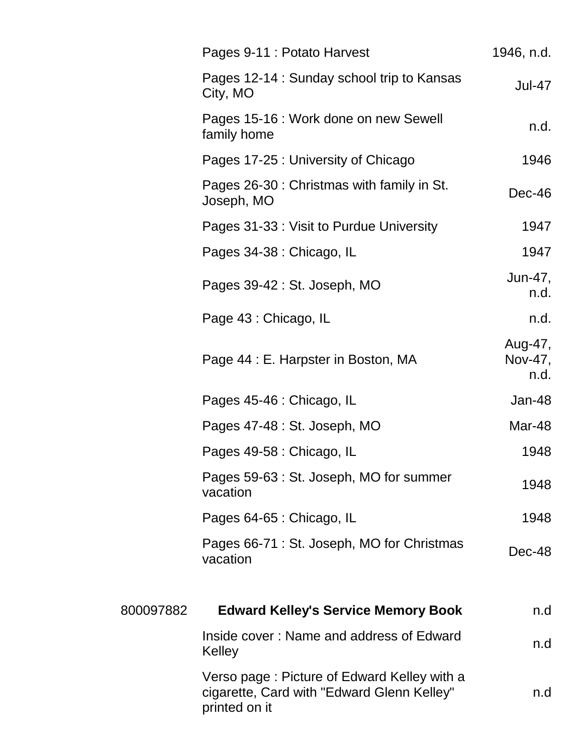|           | Pages 9-11 : Potato Harvest                                                                                | 1946, n.d.                 |
|-----------|------------------------------------------------------------------------------------------------------------|----------------------------|
|           | Pages 12-14 : Sunday school trip to Kansas<br>City, MO                                                     | <b>Jul-47</b>              |
|           | Pages 15-16 : Work done on new Sewell<br>family home                                                       | n.d.                       |
|           | Pages 17-25 : University of Chicago                                                                        | 1946                       |
|           | Pages 26-30 : Christmas with family in St.<br>Joseph, MO                                                   | Dec-46                     |
|           | Pages 31-33 : Visit to Purdue University                                                                   | 1947                       |
|           | Pages 34-38 : Chicago, IL                                                                                  | 1947                       |
|           | Pages 39-42 : St. Joseph, MO                                                                               | Jun-47,<br>n.d.            |
|           | Page 43 : Chicago, IL                                                                                      | n.d.                       |
|           | Page 44 : E. Harpster in Boston, MA                                                                        | Aug-47,<br>Nov-47,<br>n.d. |
|           | Pages 45-46 : Chicago, IL                                                                                  | Jan-48                     |
|           | Pages 47-48 : St. Joseph, MO                                                                               | Mar-48                     |
|           | Pages 49-58 : Chicago, IL                                                                                  | 1948                       |
|           | Pages 59-63 : St. Joseph, MO for summer<br>vacation                                                        | 1948                       |
|           | Pages 64-65 : Chicago, IL                                                                                  | 1948                       |
|           | Pages 66-71 : St. Joseph, MO for Christmas<br>vacation                                                     | Dec-48                     |
| 800097882 | <b>Edward Kelley's Service Memory Book</b>                                                                 | n.d                        |
|           | Inside cover: Name and address of Edward<br>Kelley                                                         | n.d                        |
|           | Verso page: Picture of Edward Kelley with a<br>cigarette, Card with "Edward Glenn Kelley"<br>printed on it | n.d                        |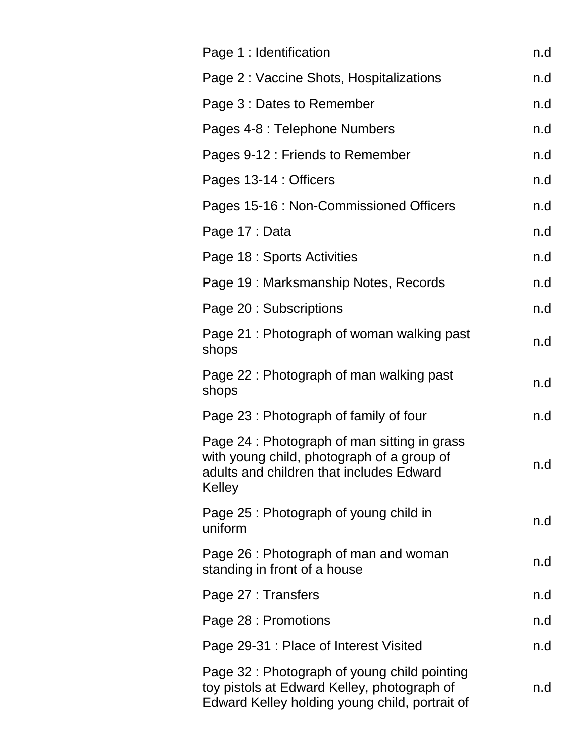| Page 1 : Identification                                                                                                                          | n.d |
|--------------------------------------------------------------------------------------------------------------------------------------------------|-----|
| Page 2 : Vaccine Shots, Hospitalizations                                                                                                         | n.d |
| Page 3 : Dates to Remember                                                                                                                       | n.d |
| Pages 4-8 : Telephone Numbers                                                                                                                    | n.d |
| Pages 9-12 : Friends to Remember                                                                                                                 | n.d |
| Pages 13-14 : Officers                                                                                                                           | n.d |
| Pages 15-16 : Non-Commissioned Officers                                                                                                          | n.d |
| Page 17 : Data                                                                                                                                   | n.d |
| Page 18 : Sports Activities                                                                                                                      | n.d |
| Page 19: Marksmanship Notes, Records                                                                                                             | n.d |
| Page 20 : Subscriptions                                                                                                                          | n.d |
| Page 21: Photograph of woman walking past<br>shops                                                                                               | n.d |
| Page 22: Photograph of man walking past<br>shops                                                                                                 | n.d |
| Page 23 : Photograph of family of four                                                                                                           | n.d |
| Page 24 : Photograph of man sitting in grass<br>with young child, photograph of a group of<br>adults and children that includes Edward<br>Kelley | n.d |
| Page 25 : Photograph of young child in<br>uniform                                                                                                | n.d |
| Page 26 : Photograph of man and woman<br>standing in front of a house                                                                            | n.d |
| Page 27 : Transfers                                                                                                                              | n.d |
| Page 28 : Promotions                                                                                                                             | n.d |
| Page 29-31 : Place of Interest Visited                                                                                                           | n.d |
| Page 32 : Photograph of young child pointing<br>toy pistols at Edward Kelley, photograph of<br>Edward Kelley holding young child, portrait of    | n.d |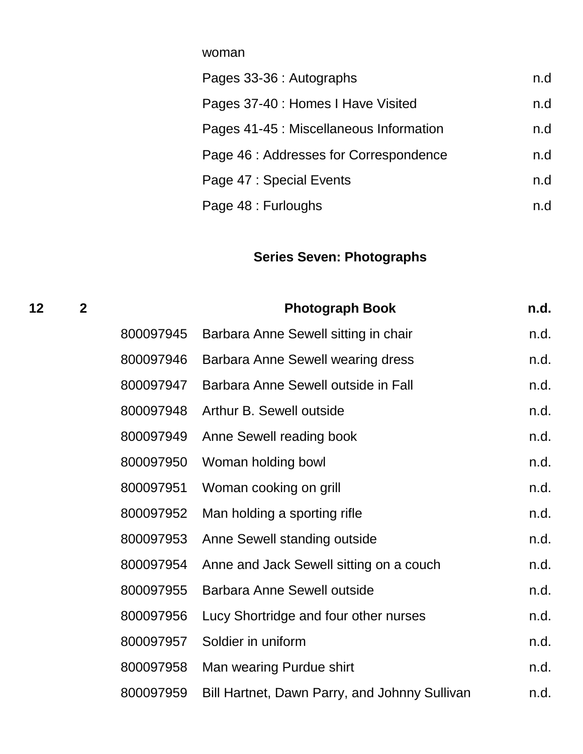| Pages 33-36 : Autographs                | n.d |
|-----------------------------------------|-----|
| Pages 37-40 : Homes I Have Visited      | n.d |
| Pages 41-45 : Miscellaneous Information | n.d |
| Page 46 : Addresses for Correspondence  | n.d |
| Page 47 : Special Events                | n.d |
| Page 48 : Furloughs                     | n.d |

#### **Series Seven: Photographs**

**12 2 Photograph Book n.d.** 800097945 Barbara Anne Sewell sitting in chair med. 800097946 Barbara Anne Sewell wearing dress hadden and. 800097947 Barbara Anne Sewell outside in Fall https://www.m.d. 800097948 Arthur B. Sewell outside n.d. 800097949 Anne Sewell reading book n.d. 800097950 Woman holding bowl example and the control of the control of the control of the control of the control of the control of the control of the control of the control of the control of the control of the control of t 800097951 Woman cooking on grill metal with the cooking on the cooking of the contract of the contract of the contract of the contract of the contract of the contract of the contract of the contract of the contract of the 800097952 Man holding a sporting rifle n.d. 800097953 Anne Sewell standing outside n.d. 800097954 Anne and Jack Sewell sitting on a couch n.d. 800097955 Barbara Anne Sewell outside n.d. 800097956 Lucy Shortridge and four other nurses https://www.n.d. 800097957 Soldier in uniform and the state of the state of the state of the state of the state of the state of the state of the state of the state of the state of the state of the state of the state of the state of the sta 800097958 Man wearing Purdue shirt n.d. 800097959 Bill Hartnet, Dawn Parry, and Johnny Sullivan h.d.